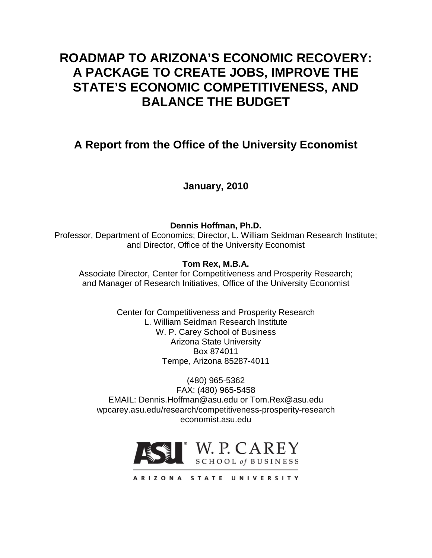# **ROADMAP TO ARIZONA'S ECONOMIC RECOVERY: A PACKAGE TO CREATE JOBS, IMPROVE THE STATE'S ECONOMIC COMPETITIVENESS, AND BALANCE THE BUDGET**

# **A Report from the Office of the University Economist**

**January, 2010**

**Dennis Hoffman, Ph.D.** Professor, Department of Economics; Director, L. William Seidman Research Institute; and Director, Office of the University Economist

**Tom Rex, M.B.A.**

Associate Director, Center for Competitiveness and Prosperity Research; and Manager of Research Initiatives, Office of the University Economist

> Center for Competitiveness and Prosperity Research L. William Seidman Research Institute W. P. Carey School of Business Arizona State University Box 874011 Tempe, Arizona 85287-4011

(480) 965-5362 FAX: (480) 965-5458 EMAIL: Dennis.Hoffman@asu.edu or Tom.Rex@asu.edu wpcarey.asu.edu/research/competitiveness-prosperity-research economist.asu.edu

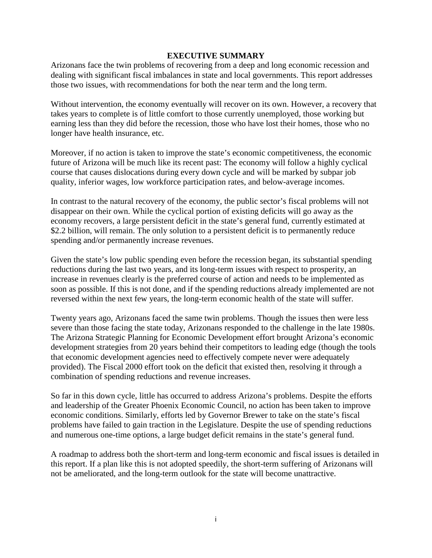#### **EXECUTIVE SUMMARY**

Arizonans face the twin problems of recovering from a deep and long economic recession and dealing with significant fiscal imbalances in state and local governments. This report addresses those two issues, with recommendations for both the near term and the long term.

Without intervention, the economy eventually will recover on its own. However, a recovery that takes years to complete is of little comfort to those currently unemployed, those working but earning less than they did before the recession, those who have lost their homes, those who no longer have health insurance, etc.

Moreover, if no action is taken to improve the state's economic competitiveness, the economic future of Arizona will be much like its recent past: The economy will follow a highly cyclical course that causes dislocations during every down cycle and will be marked by subpar job quality, inferior wages, low workforce participation rates, and below-average incomes.

In contrast to the natural recovery of the economy, the public sector's fiscal problems will not disappear on their own. While the cyclical portion of existing deficits will go away as the economy recovers, a large persistent deficit in the state's general fund, currently estimated at \$2.2 billion, will remain. The only solution to a persistent deficit is to permanently reduce spending and/or permanently increase revenues.

Given the state's low public spending even before the recession began, its substantial spending reductions during the last two years, and its long-term issues with respect to prosperity, an increase in revenues clearly is the preferred course of action and needs to be implemented as soon as possible. If this is not done, and if the spending reductions already implemented are not reversed within the next few years, the long-term economic health of the state will suffer.

Twenty years ago, Arizonans faced the same twin problems. Though the issues then were less severe than those facing the state today, Arizonans responded to the challenge in the late 1980s. The Arizona Strategic Planning for Economic Development effort brought Arizona's economic development strategies from 20 years behind their competitors to leading edge (though the tools that economic development agencies need to effectively compete never were adequately provided). The Fiscal 2000 effort took on the deficit that existed then, resolving it through a combination of spending reductions and revenue increases.

So far in this down cycle, little has occurred to address Arizona's problems. Despite the efforts and leadership of the Greater Phoenix Economic Council, no action has been taken to improve economic conditions. Similarly, efforts led by Governor Brewer to take on the state's fiscal problems have failed to gain traction in the Legislature. Despite the use of spending reductions and numerous one-time options, a large budget deficit remains in the state's general fund.

A roadmap to address both the short-term and long-term economic and fiscal issues is detailed in this report. If a plan like this is not adopted speedily, the short-term suffering of Arizonans will not be ameliorated, and the long-term outlook for the state will become unattractive.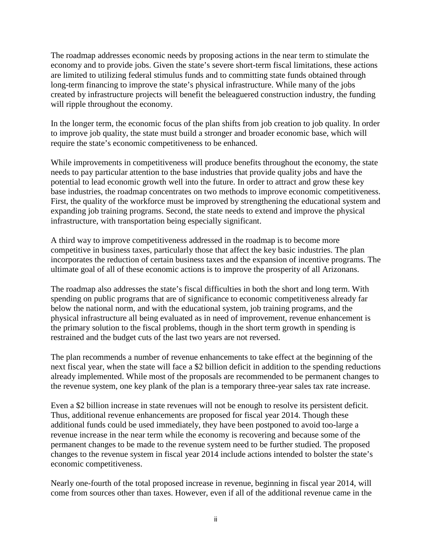The roadmap addresses economic needs by proposing actions in the near term to stimulate the economy and to provide jobs. Given the state's severe short-term fiscal limitations, these actions are limited to utilizing federal stimulus funds and to committing state funds obtained through long-term financing to improve the state's physical infrastructure. While many of the jobs created by infrastructure projects will benefit the beleaguered construction industry, the funding will ripple throughout the economy.

In the longer term, the economic focus of the plan shifts from job creation to job quality. In order to improve job quality, the state must build a stronger and broader economic base, which will require the state's economic competitiveness to be enhanced.

While improvements in competitiveness will produce benefits throughout the economy, the state needs to pay particular attention to the base industries that provide quality jobs and have the potential to lead economic growth well into the future. In order to attract and grow these key base industries, the roadmap concentrates on two methods to improve economic competitiveness. First, the quality of the workforce must be improved by strengthening the educational system and expanding job training programs. Second, the state needs to extend and improve the physical infrastructure, with transportation being especially significant.

A third way to improve competitiveness addressed in the roadmap is to become more competitive in business taxes, particularly those that affect the key basic industries. The plan incorporates the reduction of certain business taxes and the expansion of incentive programs. The ultimate goal of all of these economic actions is to improve the prosperity of all Arizonans.

The roadmap also addresses the state's fiscal difficulties in both the short and long term. With spending on public programs that are of significance to economic competitiveness already far below the national norm, and with the educational system, job training programs, and the physical infrastructure all being evaluated as in need of improvement, revenue enhancement is the primary solution to the fiscal problems, though in the short term growth in spending is restrained and the budget cuts of the last two years are not reversed.

The plan recommends a number of revenue enhancements to take effect at the beginning of the next fiscal year, when the state will face a \$2 billion deficit in addition to the spending reductions already implemented. While most of the proposals are recommended to be permanent changes to the revenue system, one key plank of the plan is a temporary three-year sales tax rate increase.

Even a \$2 billion increase in state revenues will not be enough to resolve its persistent deficit. Thus, additional revenue enhancements are proposed for fiscal year 2014. Though these additional funds could be used immediately, they have been postponed to avoid too-large a revenue increase in the near term while the economy is recovering and because some of the permanent changes to be made to the revenue system need to be further studied. The proposed changes to the revenue system in fiscal year 2014 include actions intended to bolster the state's economic competitiveness.

Nearly one-fourth of the total proposed increase in revenue, beginning in fiscal year 2014, will come from sources other than taxes. However, even if all of the additional revenue came in the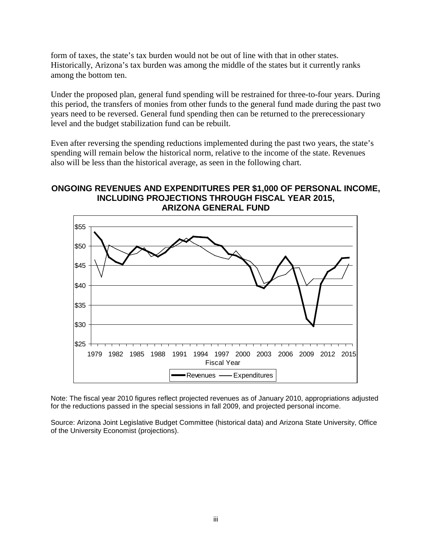form of taxes, the state's tax burden would not be out of line with that in other states. Historically, Arizona's tax burden was among the middle of the states but it currently ranks among the bottom ten.

Under the proposed plan, general fund spending will be restrained for three-to-four years. During this period, the transfers of monies from other funds to the general fund made during the past two years need to be reversed. General fund spending then can be returned to the prerecessionary level and the budget stabilization fund can be rebuilt.

Even after reversing the spending reductions implemented during the past two years, the state's spending will remain below the historical norm, relative to the income of the state. Revenues also will be less than the historical average, as seen in the following chart.

## **ONGOING REVENUES AND EXPENDITURES PER \$1,000 OF PERSONAL INCOME, INCLUDING PROJECTIONS THROUGH FISCAL YEAR 2015, ARIZONA GENERAL FUND**



Note: The fiscal year 2010 figures reflect projected revenues as of January 2010, appropriations adjusted for the reductions passed in the special sessions in fall 2009, and projected personal income.

Source: Arizona Joint Legislative Budget Committee (historical data) and Arizona State University, Office of the University Economist (projections).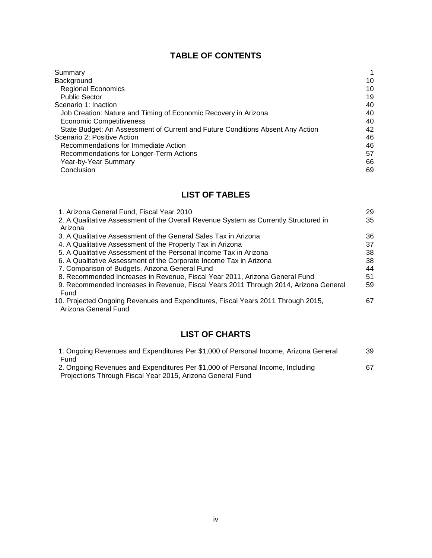# **TABLE OF CONTENTS**

| Summary                                                                        | 1  |
|--------------------------------------------------------------------------------|----|
| Background                                                                     | 10 |
| <b>Regional Economics</b>                                                      | 10 |
| <b>Public Sector</b>                                                           | 19 |
| Scenario 1: Inaction                                                           | 40 |
| Job Creation: Nature and Timing of Economic Recovery in Arizona                | 40 |
| <b>Economic Competitiveness</b>                                                | 40 |
| State Budget: An Assessment of Current and Future Conditions Absent Any Action | 42 |
| Scenario 2: Positive Action                                                    | 46 |
| Recommendations for Immediate Action                                           | 46 |
| Recommendations for Longer-Term Actions                                        | 57 |
| Year-by-Year Summary                                                           | 66 |
| Conclusion                                                                     | 69 |

# **LIST OF TABLES**

| 1. Arizona General Fund, Fiscal Year 2010                                                                | 29 |
|----------------------------------------------------------------------------------------------------------|----|
| 2. A Qualitative Assessment of the Overall Revenue System as Currently Structured in                     | 35 |
| Arizona                                                                                                  |    |
| 3. A Qualitative Assessment of the General Sales Tax in Arizona                                          | 36 |
| 4. A Qualitative Assessment of the Property Tax in Arizona                                               | 37 |
| 5. A Qualitative Assessment of the Personal Income Tax in Arizona                                        | 38 |
| 6. A Qualitative Assessment of the Corporate Income Tax in Arizona                                       | 38 |
| 7. Comparison of Budgets, Arizona General Fund                                                           | 44 |
| 8. Recommended Increases in Revenue, Fiscal Year 2011, Arizona General Fund                              | 51 |
| 9. Recommended Increases in Revenue, Fiscal Years 2011 Through 2014, Arizona General                     | 59 |
| Fund                                                                                                     |    |
| 10. Projected Ongoing Revenues and Expenditures, Fiscal Years 2011 Through 2015,<br>Arizona General Fund | 67 |

# **LIST OF CHARTS**

| 1. Ongoing Revenues and Expenditures Per \$1,000 of Personal Income, Arizona General | 39 |
|--------------------------------------------------------------------------------------|----|
| Fund                                                                                 |    |
| 2. Ongoing Revenues and Expenditures Per \$1,000 of Personal Income, Including       | 67 |
| Projections Through Fiscal Year 2015, Arizona General Fund                           |    |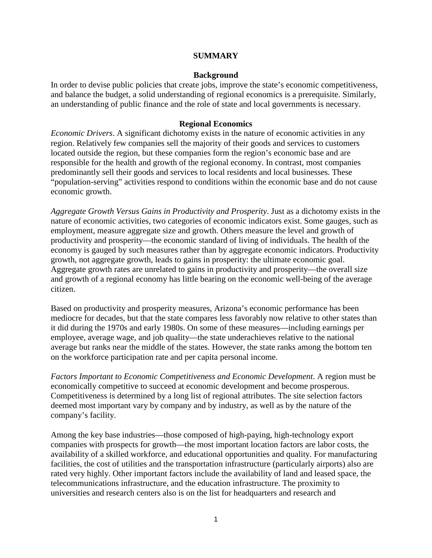#### **SUMMARY**

#### **Background**

In order to devise public policies that create jobs, improve the state's economic competitiveness, and balance the budget, a solid understanding of regional economics is a prerequisite. Similarly, an understanding of public finance and the role of state and local governments is necessary.

#### **Regional Economics**

*Economic Drivers*. A significant dichotomy exists in the nature of economic activities in any region. Relatively few companies sell the majority of their goods and services to customers located outside the region, but these companies form the region's economic base and are responsible for the health and growth of the regional economy. In contrast, most companies predominantly sell their goods and services to local residents and local businesses. These "population-serving" activities respond to conditions within the economic base and do not cause economic growth.

*Aggregate Growth Versus Gains in Productivity and Prosperity*. Just as a dichotomy exists in the nature of economic activities, two categories of economic indicators exist. Some gauges, such as employment, measure aggregate size and growth. Others measure the level and growth of productivity and prosperity—the economic standard of living of individuals. The health of the economy is gauged by such measures rather than by aggregate economic indicators. Productivity growth, not aggregate growth, leads to gains in prosperity: the ultimate economic goal. Aggregate growth rates are unrelated to gains in productivity and prosperity—the overall size and growth of a regional economy has little bearing on the economic well-being of the average citizen.

Based on productivity and prosperity measures, Arizona's economic performance has been mediocre for decades, but that the state compares less favorably now relative to other states than it did during the 1970s and early 1980s. On some of these measures—including earnings per employee, average wage, and job quality—the state underachieves relative to the national average but ranks near the middle of the states. However, the state ranks among the bottom ten on the workforce participation rate and per capita personal income.

*Factors Important to Economic Competitiveness and Economic Development*. A region must be economically competitive to succeed at economic development and become prosperous. Competitiveness is determined by a long list of regional attributes. The site selection factors deemed most important vary by company and by industry, as well as by the nature of the company's facility.

Among the key base industries—those composed of high-paying, high-technology export companies with prospects for growth—the most important location factors are labor costs, the availability of a skilled workforce, and educational opportunities and quality. For manufacturing facilities, the cost of utilities and the transportation infrastructure (particularly airports) also are rated very highly. Other important factors include the availability of land and leased space, the telecommunications infrastructure, and the education infrastructure. The proximity to universities and research centers also is on the list for headquarters and research and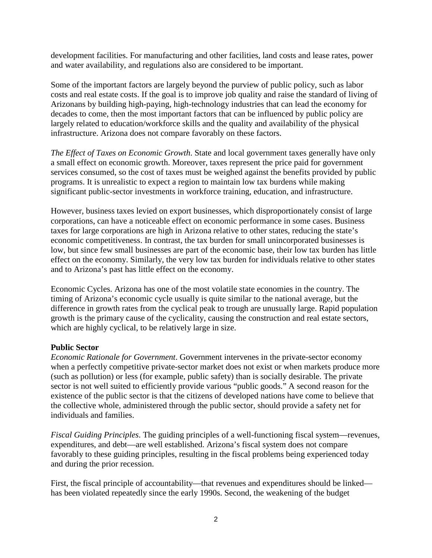development facilities. For manufacturing and other facilities, land costs and lease rates, power and water availability, and regulations also are considered to be important.

Some of the important factors are largely beyond the purview of public policy, such as labor costs and real estate costs. If the goal is to improve job quality and raise the standard of living of Arizonans by building high-paying, high-technology industries that can lead the economy for decades to come, then the most important factors that can be influenced by public policy are largely related to education/workforce skills and the quality and availability of the physical infrastructure. Arizona does not compare favorably on these factors.

*The Effect of Taxes on Economic Growth*. State and local government taxes generally have only a small effect on economic growth. Moreover, taxes represent the price paid for government services consumed, so the cost of taxes must be weighed against the benefits provided by public programs. It is unrealistic to expect a region to maintain low tax burdens while making significant public-sector investments in workforce training, education, and infrastructure.

However, business taxes levied on export businesses, which disproportionately consist of large corporations, can have a noticeable effect on economic performance in some cases. Business taxes for large corporations are high in Arizona relative to other states, reducing the state's economic competitiveness. In contrast, the tax burden for small unincorporated businesses is low, but since few small businesses are part of the economic base, their low tax burden has little effect on the economy. Similarly, the very low tax burden for individuals relative to other states and to Arizona's past has little effect on the economy.

Economic Cycles. Arizona has one of the most volatile state economies in the country. The timing of Arizona's economic cycle usually is quite similar to the national average, but the difference in growth rates from the cyclical peak to trough are unusually large. Rapid population growth is the primary cause of the cyclicality, causing the construction and real estate sectors, which are highly cyclical, to be relatively large in size.

#### **Public Sector**

*Economic Rationale for Government*. Government intervenes in the private-sector economy when a perfectly competitive private-sector market does not exist or when markets produce more (such as pollution) or less (for example, public safety) than is socially desirable. The private sector is not well suited to efficiently provide various "public goods." A second reason for the existence of the public sector is that the citizens of developed nations have come to believe that the collective whole, administered through the public sector, should provide a safety net for individuals and families.

*Fiscal Guiding Principles*. The guiding principles of a well-functioning fiscal system—revenues, expenditures, and debt—are well established. Arizona's fiscal system does not compare favorably to these guiding principles, resulting in the fiscal problems being experienced today and during the prior recession.

First, the fiscal principle of accountability—that revenues and expenditures should be linked has been violated repeatedly since the early 1990s. Second, the weakening of the budget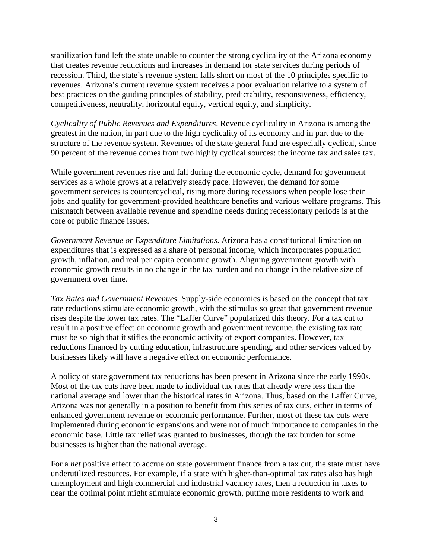stabilization fund left the state unable to counter the strong cyclicality of the Arizona economy that creates revenue reductions and increases in demand for state services during periods of recession. Third, the state's revenue system falls short on most of the 10 principles specific to revenues. Arizona's current revenue system receives a poor evaluation relative to a system of best practices on the guiding principles of stability, predictability, responsiveness, efficiency, competitiveness, neutrality, horizontal equity, vertical equity, and simplicity.

*Cyclicality of Public Revenues and Expenditures*. Revenue cyclicality in Arizona is among the greatest in the nation, in part due to the high cyclicality of its economy and in part due to the structure of the revenue system. Revenues of the state general fund are especially cyclical, since 90 percent of the revenue comes from two highly cyclical sources: the income tax and sales tax.

While government revenues rise and fall during the economic cycle, demand for government services as a whole grows at a relatively steady pace. However, the demand for some government services is countercyclical, rising more during recessions when people lose their jobs and qualify for government-provided healthcare benefits and various welfare programs. This mismatch between available revenue and spending needs during recessionary periods is at the core of public finance issues.

*Government Revenue or Expenditure Limitations*. Arizona has a constitutional limitation on expenditures that is expressed as a share of personal income, which incorporates population growth, inflation, and real per capita economic growth. Aligning government growth with economic growth results in no change in the tax burden and no change in the relative size of government over time.

*Tax Rates and Government Revenues*. Supply-side economics is based on the concept that tax rate reductions stimulate economic growth, with the stimulus so great that government revenue rises despite the lower tax rates. The "Laffer Curve" popularized this theory. For a tax cut to result in a positive effect on economic growth and government revenue, the existing tax rate must be so high that it stifles the economic activity of export companies. However, tax reductions financed by cutting education, infrastructure spending, and other services valued by businesses likely will have a negative effect on economic performance.

A policy of state government tax reductions has been present in Arizona since the early 1990s. Most of the tax cuts have been made to individual tax rates that already were less than the national average and lower than the historical rates in Arizona. Thus, based on the Laffer Curve, Arizona was not generally in a position to benefit from this series of tax cuts, either in terms of enhanced government revenue or economic performance. Further, most of these tax cuts were implemented during economic expansions and were not of much importance to companies in the economic base. Little tax relief was granted to businesses, though the tax burden for some businesses is higher than the national average.

For a *net* positive effect to accrue on state government finance from a tax cut, the state must have underutilized resources. For example, if a state with higher-than-optimal tax rates also has high unemployment and high commercial and industrial vacancy rates, then a reduction in taxes to near the optimal point might stimulate economic growth, putting more residents to work and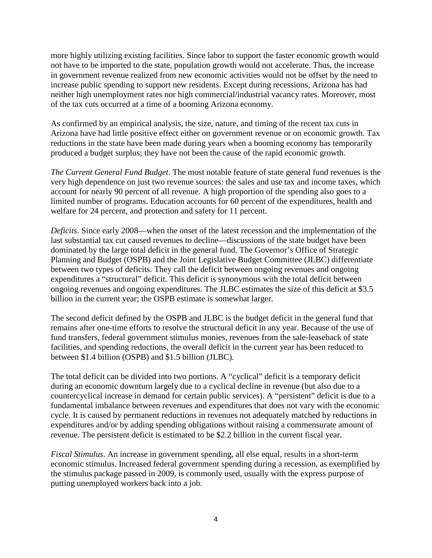more highly utilizing existing facilities. Since labor to support the faster economic growth would not have to be imported to the state, population growth would not accelerate. Thus, the increase in government revenue realized from new economic activities would not be offset by the need to increase public spending to support new residents. Except during recessions, Arizona has had neither high unemployment rates nor high commercial/industrial vacancy rates. Moreover, most of the tax cuts occurred at a time of a booming Arizona economy.

As confirmed by an empirical analysis, the size, nature, and timing of the recent tax cuts in Arizona have had little positive effect either on government revenue or on economic growth. Tax reductions in the state have been made during years when a booming economy has temporarily produced a budget surplus; they have not been the cause of the rapid economic growth.

*The Current General Fund Budget*. The most notable feature of state general fund revenues is the very high dependence on just two revenue sources: the sales and use tax and income taxes, which account for nearly 90 percent of all revenue. A high proportion of the spending also goes to a limited number of programs. Education accounts for 60 percent of the expenditures, health and welfare for 24 percent, and protection and safety for 11 percent.

*Deficits*. Since early 2008—when the onset of the latest recession and the implementation of the last substantial tax cut caused revenues to decline—discussions of the state budget have been dominated by the large total deficit in the general fund. The Governor's Office of Strategic Planning and Budget (OSPB) and the Joint Legislative Budget Committee (JLBC) differentiate between two types of deficits. They call the deficit between ongoing revenues and ongoing expenditures a "structural" deficit. This deficit is synonymous with the total deficit between ongoing revenues and ongoing expenditures. The JLBC estimates the size of this deficit at \$3.5 billion in the current year; the OSPB estimate is somewhat larger.

The second deficit defined by the OSPB and JLBC is the budget deficit in the general fund that remains after one-time efforts to resolve the structural deficit in any year. Because of the use of fund transfers, federal government stimulus monies, revenues from the sale-leaseback of state facilities, and spending reductions, the overall deficit in the current year has been reduced to between \$1.4 billion (OSPB) and \$1.5 billion (JLBC).

The total deficit can be divided into two portions. A "cyclical" deficit is a temporary deficit during an economic downturn largely due to a cyclical decline in revenue (but also due to a countercyclical increase in demand for certain public services). A "persistent" deficit is due to a fundamental imbalance between revenues and expenditures that does not vary with the economic cycle. It is caused by permanent reductions in revenues not adequately matched by reductions in expenditures and/or by adding spending obligations without raising a commensurate amount of revenue. The persistent deficit is estimated to be \$2.2 billion in the current fiscal year.

*Fiscal Stimulus*. An increase in government spending, all else equal, results in a short-term economic stimulus. Increased federal government spending during a recession, as exemplified by the stimulus package passed in 2009, is commonly used, usually with the express purpose of putting unemployed workers back into a job.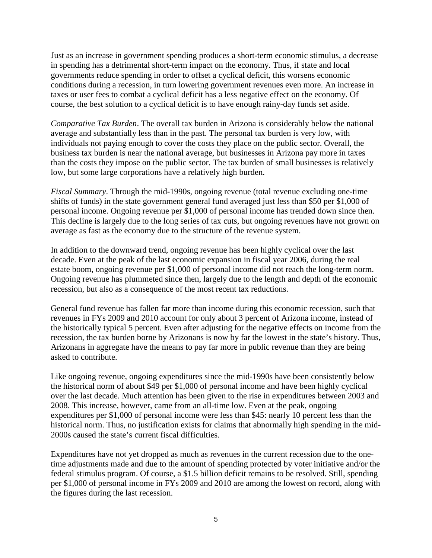Just as an increase in government spending produces a short-term economic stimulus, a decrease in spending has a detrimental short-term impact on the economy. Thus, if state and local governments reduce spending in order to offset a cyclical deficit, this worsens economic conditions during a recession, in turn lowering government revenues even more. An increase in taxes or user fees to combat a cyclical deficit has a less negative effect on the economy. Of course, the best solution to a cyclical deficit is to have enough rainy-day funds set aside.

*Comparative Tax Burden*. The overall tax burden in Arizona is considerably below the national average and substantially less than in the past. The personal tax burden is very low, with individuals not paying enough to cover the costs they place on the public sector. Overall, the business tax burden is near the national average, but businesses in Arizona pay more in taxes than the costs they impose on the public sector. The tax burden of small businesses is relatively low, but some large corporations have a relatively high burden.

*Fiscal Summary*. Through the mid-1990s, ongoing revenue (total revenue excluding one-time shifts of funds) in the state government general fund averaged just less than \$50 per \$1,000 of personal income. Ongoing revenue per \$1,000 of personal income has trended down since then. This decline is largely due to the long series of tax cuts, but ongoing revenues have not grown on average as fast as the economy due to the structure of the revenue system.

In addition to the downward trend, ongoing revenue has been highly cyclical over the last decade. Even at the peak of the last economic expansion in fiscal year 2006, during the real estate boom, ongoing revenue per \$1,000 of personal income did not reach the long-term norm. Ongoing revenue has plummeted since then, largely due to the length and depth of the economic recession, but also as a consequence of the most recent tax reductions.

General fund revenue has fallen far more than income during this economic recession, such that revenues in FYs 2009 and 2010 account for only about 3 percent of Arizona income, instead of the historically typical 5 percent. Even after adjusting for the negative effects on income from the recession, the tax burden borne by Arizonans is now by far the lowest in the state's history. Thus, Arizonans in aggregate have the means to pay far more in public revenue than they are being asked to contribute.

Like ongoing revenue, ongoing expenditures since the mid-1990s have been consistently below the historical norm of about \$49 per \$1,000 of personal income and have been highly cyclical over the last decade. Much attention has been given to the rise in expenditures between 2003 and 2008. This increase, however, came from an all-time low. Even at the peak, ongoing expenditures per \$1,000 of personal income were less than \$45: nearly 10 percent less than the historical norm. Thus, no justification exists for claims that abnormally high spending in the mid-2000s caused the state's current fiscal difficulties.

Expenditures have not yet dropped as much as revenues in the current recession due to the onetime adjustments made and due to the amount of spending protected by voter initiative and/or the federal stimulus program. Of course, a \$1.5 billion deficit remains to be resolved. Still, spending per \$1,000 of personal income in FYs 2009 and 2010 are among the lowest on record, along with the figures during the last recession.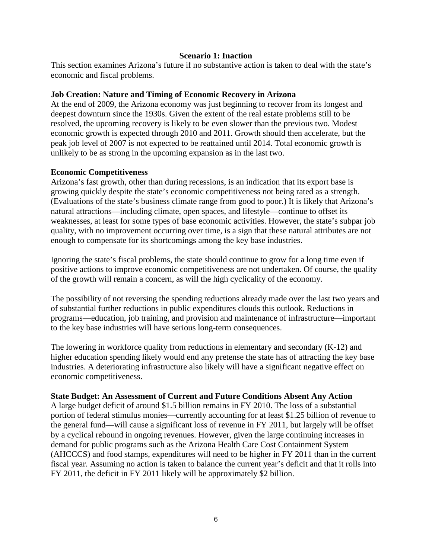#### **Scenario 1: Inaction**

This section examines Arizona's future if no substantive action is taken to deal with the state's economic and fiscal problems.

#### **Job Creation: Nature and Timing of Economic Recovery in Arizona**

At the end of 2009, the Arizona economy was just beginning to recover from its longest and deepest downturn since the 1930s. Given the extent of the real estate problems still to be resolved, the upcoming recovery is likely to be even slower than the previous two. Modest economic growth is expected through 2010 and 2011. Growth should then accelerate, but the peak job level of 2007 is not expected to be reattained until 2014. Total economic growth is unlikely to be as strong in the upcoming expansion as in the last two.

#### **Economic Competitiveness**

Arizona's fast growth, other than during recessions, is an indication that its export base is growing quickly despite the state's economic competitiveness not being rated as a strength. (Evaluations of the state's business climate range from good to poor.) It is likely that Arizona's natural attractions—including climate, open spaces, and lifestyle—continue to offset its weaknesses, at least for some types of base economic activities. However, the state's subpar job quality, with no improvement occurring over time, is a sign that these natural attributes are not enough to compensate for its shortcomings among the key base industries.

Ignoring the state's fiscal problems, the state should continue to grow for a long time even if positive actions to improve economic competitiveness are not undertaken. Of course, the quality of the growth will remain a concern, as will the high cyclicality of the economy.

The possibility of not reversing the spending reductions already made over the last two years and of substantial further reductions in public expenditures clouds this outlook. Reductions in programs—education, job training, and provision and maintenance of infrastructure—important to the key base industries will have serious long-term consequences.

The lowering in workforce quality from reductions in elementary and secondary (K-12) and higher education spending likely would end any pretense the state has of attracting the key base industries. A deteriorating infrastructure also likely will have a significant negative effect on economic competitiveness.

#### **State Budget: An Assessment of Current and Future Conditions Absent Any Action**

A large budget deficit of around \$1.5 billion remains in FY 2010. The loss of a substantial portion of federal stimulus monies—currently accounting for at least \$1.25 billion of revenue to the general fund—will cause a significant loss of revenue in FY 2011, but largely will be offset by a cyclical rebound in ongoing revenues. However, given the large continuing increases in demand for public programs such as the Arizona Health Care Cost Containment System (AHCCCS) and food stamps, expenditures will need to be higher in FY 2011 than in the current fiscal year. Assuming no action is taken to balance the current year's deficit and that it rolls into FY 2011, the deficit in FY 2011 likely will be approximately \$2 billion.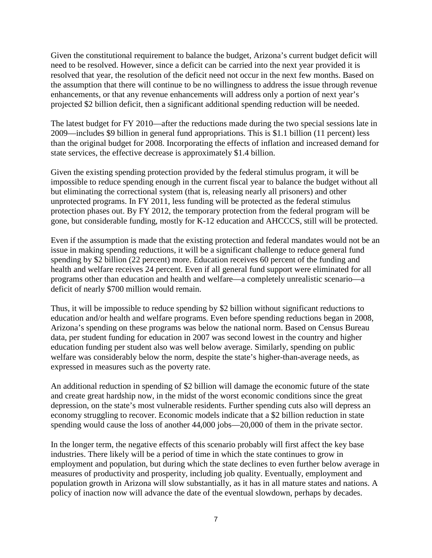Given the constitutional requirement to balance the budget, Arizona's current budget deficit will need to be resolved. However, since a deficit can be carried into the next year provided it is resolved that year, the resolution of the deficit need not occur in the next few months. Based on the assumption that there will continue to be no willingness to address the issue through revenue enhancements, or that any revenue enhancements will address only a portion of next year's projected \$2 billion deficit, then a significant additional spending reduction will be needed.

The latest budget for FY 2010—after the reductions made during the two special sessions late in 2009—includes \$9 billion in general fund appropriations. This is \$1.1 billion (11 percent) less than the original budget for 2008. Incorporating the effects of inflation and increased demand for state services, the effective decrease is approximately \$1.4 billion.

Given the existing spending protection provided by the federal stimulus program, it will be impossible to reduce spending enough in the current fiscal year to balance the budget without all but eliminating the correctional system (that is, releasing nearly all prisoners) and other unprotected programs. In FY 2011, less funding will be protected as the federal stimulus protection phases out. By FY 2012, the temporary protection from the federal program will be gone, but considerable funding, mostly for K-12 education and AHCCCS, still will be protected.

Even if the assumption is made that the existing protection and federal mandates would not be an issue in making spending reductions, it will be a significant challenge to reduce general fund spending by \$2 billion (22 percent) more. Education receives 60 percent of the funding and health and welfare receives 24 percent. Even if all general fund support were eliminated for all programs other than education and health and welfare—a completely unrealistic scenario—a deficit of nearly \$700 million would remain.

Thus, it will be impossible to reduce spending by \$2 billion without significant reductions to education and/or health and welfare programs. Even before spending reductions began in 2008, Arizona's spending on these programs was below the national norm. Based on Census Bureau data, per student funding for education in 2007 was second lowest in the country and higher education funding per student also was well below average. Similarly, spending on public welfare was considerably below the norm, despite the state's higher-than-average needs, as expressed in measures such as the poverty rate.

An additional reduction in spending of \$2 billion will damage the economic future of the state and create great hardship now, in the midst of the worst economic conditions since the great depression, on the state's most vulnerable residents. Further spending cuts also will depress an economy struggling to recover. Economic models indicate that a \$2 billion reduction in state spending would cause the loss of another 44,000 jobs—20,000 of them in the private sector.

In the longer term, the negative effects of this scenario probably will first affect the key base industries. There likely will be a period of time in which the state continues to grow in employment and population, but during which the state declines to even further below average in measures of productivity and prosperity, including job quality. Eventually, employment and population growth in Arizona will slow substantially, as it has in all mature states and nations. A policy of inaction now will advance the date of the eventual slowdown, perhaps by decades.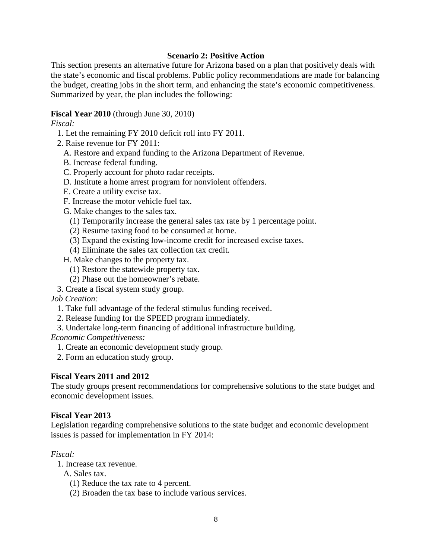#### **Scenario 2: Positive Action**

This section presents an alternative future for Arizona based on a plan that positively deals with the state's economic and fiscal problems. Public policy recommendations are made for balancing the budget, creating jobs in the short term, and enhancing the state's economic competitiveness. Summarized by year, the plan includes the following:

#### **Fiscal Year 2010** (through June 30, 2010)

#### *Fiscal:*

- 1. Let the remaining FY 2010 deficit roll into FY 2011.
- 2. Raise revenue for FY 2011:
	- A. Restore and expand funding to the Arizona Department of Revenue.
	- B. Increase federal funding.
	- C. Properly account for photo radar receipts.
	- D. Institute a home arrest program for nonviolent offenders.
	- E. Create a utility excise tax.
	- F. Increase the motor vehicle fuel tax.

G. Make changes to the sales tax.

- (1) Temporarily increase the general sales tax rate by 1 percentage point.
- (2) Resume taxing food to be consumed at home.
- (3) Expand the existing low-income credit for increased excise taxes.
- (4) Eliminate the sales tax collection tax credit.

H. Make changes to the property tax.

- (1) Restore the statewide property tax.
- (2) Phase out the homeowner's rebate.
- 3. Create a fiscal system study group.

*Job Creation:*

- 1. Take full advantage of the federal stimulus funding received.
- 2. Release funding for the SPEED program immediately.
- 3. Undertake long-term financing of additional infrastructure building.

*Economic Competitiveness:*

- 1. Create an economic development study group.
- 2. Form an education study group.

#### **Fiscal Years 2011 and 2012**

The study groups present recommendations for comprehensive solutions to the state budget and economic development issues.

#### **Fiscal Year 2013**

Legislation regarding comprehensive solutions to the state budget and economic development issues is passed for implementation in FY 2014:

#### *Fiscal:*

- 1. Increase tax revenue.
	- A. Sales tax.
		- (1) Reduce the tax rate to 4 percent.
		- (2) Broaden the tax base to include various services.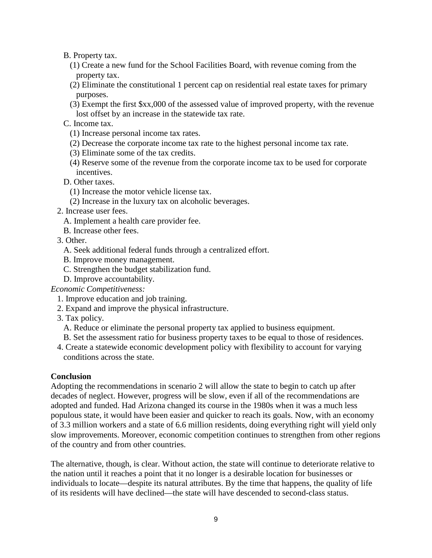B. Property tax.

- (1) Create a new fund for the School Facilities Board, with revenue coming from the property tax.
- (2) Eliminate the constitutional 1 percent cap on residential real estate taxes for primary purposes.
- (3) Exempt the first \$xx,000 of the assessed value of improved property, with the revenue lost offset by an increase in the statewide tax rate.

C. Income tax.

- (1) Increase personal income tax rates.
- (2) Decrease the corporate income tax rate to the highest personal income tax rate.
- (3) Eliminate some of the tax credits.
- (4) Reserve some of the revenue from the corporate income tax to be used for corporate incentives.
- D. Other taxes.
	- (1) Increase the motor vehicle license tax.
	- (2) Increase in the luxury tax on alcoholic beverages.
- 2. Increase user fees.
	- A. Implement a health care provider fee.
	- B. Increase other fees.
- 3. Other.
	- A. Seek additional federal funds through a centralized effort.
	- B. Improve money management.
	- C. Strengthen the budget stabilization fund.
- D. Improve accountability.

*Economic Competitiveness:*

- 1. Improve education and job training.
- 2. Expand and improve the physical infrastructure.
- 3. Tax policy.
	- A. Reduce or eliminate the personal property tax applied to business equipment.
	- B. Set the assessment ratio for business property taxes to be equal to those of residences.
- 4. Create a statewide economic development policy with flexibility to account for varying conditions across the state.

#### **Conclusion**

Adopting the recommendations in scenario 2 will allow the state to begin to catch up after decades of neglect. However, progress will be slow, even if all of the recommendations are adopted and funded. Had Arizona changed its course in the 1980s when it was a much less populous state, it would have been easier and quicker to reach its goals. Now, with an economy of 3.3 million workers and a state of 6.6 million residents, doing everything right will yield only slow improvements. Moreover, economic competition continues to strengthen from other regions of the country and from other countries.

The alternative, though, is clear. Without action, the state will continue to deteriorate relative to the nation until it reaches a point that it no longer is a desirable location for businesses or individuals to locate—despite its natural attributes. By the time that happens, the quality of life of its residents will have declined—the state will have descended to second-class status.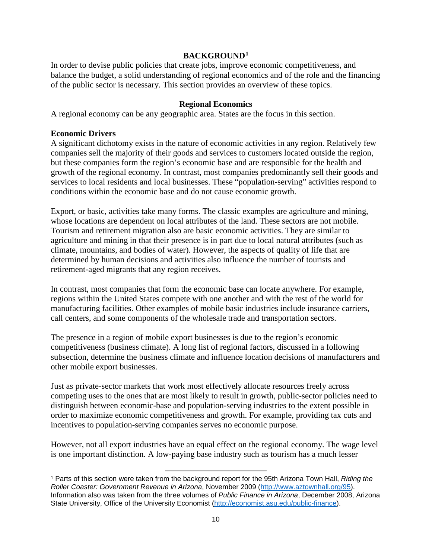#### **BACKGROUND[1](#page-14-0)**

In order to devise public policies that create jobs, improve economic competitiveness, and balance the budget, a solid understanding of regional economics and of the role and the financing of the public sector is necessary. This section provides an overview of these topics.

#### **Regional Economics**

A regional economy can be any geographic area. States are the focus in this section.

#### **Economic Drivers**

A significant dichotomy exists in the nature of economic activities in any region. Relatively few companies sell the majority of their goods and services to customers located outside the region, but these companies form the region's economic base and are responsible for the health and growth of the regional economy. In contrast, most companies predominantly sell their goods and services to local residents and local businesses. These "population-serving" activities respond to conditions within the economic base and do not cause economic growth.

Export, or basic, activities take many forms. The classic examples are agriculture and mining, whose locations are dependent on local attributes of the land. These sectors are not mobile. Tourism and retirement migration also are basic economic activities. They are similar to agriculture and mining in that their presence is in part due to local natural attributes (such as climate, mountains, and bodies of water). However, the aspects of quality of life that are determined by human decisions and activities also influence the number of tourists and retirement-aged migrants that any region receives.

In contrast, most companies that form the economic base can locate anywhere. For example, regions within the United States compete with one another and with the rest of the world for manufacturing facilities. Other examples of mobile basic industries include insurance carriers, call centers, and some components of the wholesale trade and transportation sectors.

The presence in a region of mobile export businesses is due to the region's economic competitiveness (business climate). A long list of regional factors, discussed in a following subsection, determine the business climate and influence location decisions of manufacturers and other mobile export businesses.

Just as private-sector markets that work most effectively allocate resources freely across competing uses to the ones that are most likely to result in growth, public-sector policies need to distinguish between economic-base and population-serving industries to the extent possible in order to maximize economic competitiveness and growth. For example, providing tax cuts and incentives to population-serving companies serves no economic purpose.

However, not all export industries have an equal effect on the regional economy. The wage level is one important distinction. A low-paying base industry such as tourism has a much lesser

<span id="page-14-0"></span><sup>1</sup> Parts of this section were taken from the background report for the 95th Arizona Town Hall, *Riding the Roller Coaster: Government Revenue in Arizona*, November 2009 [\(http://www.aztownhall.org/95\)](http://www.aztownhall.org/95). Information also was taken from the three volumes of *Public Finance in Arizona*, December 2008, Arizona State University, Office of the University Economist [\(http://economist.asu.edu/public-finance\)](http://economist.asu.edu/public-finance). l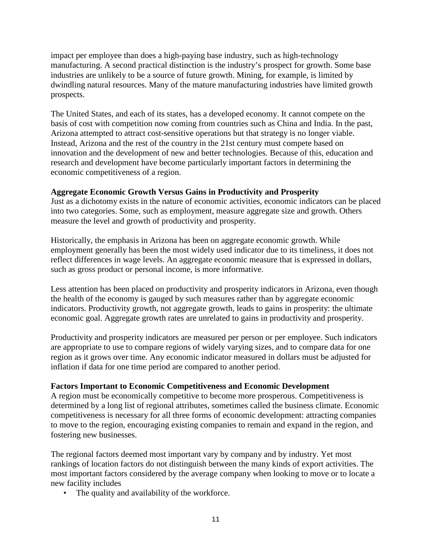impact per employee than does a high-paying base industry, such as high-technology manufacturing. A second practical distinction is the industry's prospect for growth. Some base industries are unlikely to be a source of future growth. Mining, for example, is limited by dwindling natural resources. Many of the mature manufacturing industries have limited growth prospects.

The United States, and each of its states, has a developed economy. It cannot compete on the basis of cost with competition now coming from countries such as China and India. In the past, Arizona attempted to attract cost-sensitive operations but that strategy is no longer viable. Instead, Arizona and the rest of the country in the 21st century must compete based on innovation and the development of new and better technologies. Because of this, education and research and development have become particularly important factors in determining the economic competitiveness of a region.

## **Aggregate Economic Growth Versus Gains in Productivity and Prosperity**

Just as a dichotomy exists in the nature of economic activities, economic indicators can be placed into two categories. Some, such as employment, measure aggregate size and growth. Others measure the level and growth of productivity and prosperity.

Historically, the emphasis in Arizona has been on aggregate economic growth. While employment generally has been the most widely used indicator due to its timeliness, it does not reflect differences in wage levels. An aggregate economic measure that is expressed in dollars, such as gross product or personal income, is more informative.

Less attention has been placed on productivity and prosperity indicators in Arizona, even though the health of the economy is gauged by such measures rather than by aggregate economic indicators. Productivity growth, not aggregate growth, leads to gains in prosperity: the ultimate economic goal. Aggregate growth rates are unrelated to gains in productivity and prosperity.

Productivity and prosperity indicators are measured per person or per employee. Such indicators are appropriate to use to compare regions of widely varying sizes, and to compare data for one region as it grows over time. Any economic indicator measured in dollars must be adjusted for inflation if data for one time period are compared to another period.

#### **Factors Important to Economic Competitiveness and Economic Development**

A region must be economically competitive to become more prosperous. Competitiveness is determined by a long list of regional attributes, sometimes called the business climate. Economic competitiveness is necessary for all three forms of economic development: attracting companies to move to the region, encouraging existing companies to remain and expand in the region, and fostering new businesses.

The regional factors deemed most important vary by company and by industry. Yet most rankings of location factors do not distinguish between the many kinds of export activities. The most important factors considered by the average company when looking to move or to locate a new facility includes

• The quality and availability of the workforce.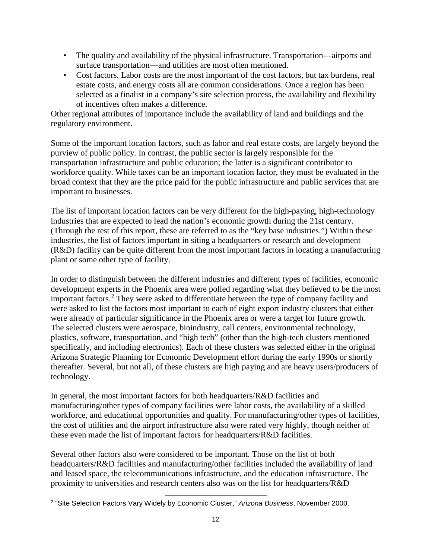- The quality and availability of the physical infrastructure. Transportation—airports and surface transportation—and utilities are most often mentioned.
- Cost factors. Labor costs are the most important of the cost factors, but tax burdens, real estate costs, and energy costs all are common considerations. Once a region has been selected as a finalist in a company's site selection process, the availability and flexibility of incentives often makes a difference.

Other regional attributes of importance include the availability of land and buildings and the regulatory environment.

Some of the important location factors, such as labor and real estate costs, are largely beyond the purview of public policy. In contrast, the public sector is largely responsible for the transportation infrastructure and public education; the latter is a significant contributor to workforce quality. While taxes can be an important location factor, they must be evaluated in the broad context that they are the price paid for the public infrastructure and public services that are important to businesses.

The list of important location factors can be very different for the high-paying, high-technology industries that are expected to lead the nation's economic growth during the 21st century. (Through the rest of this report, these are referred to as the "key base industries.") Within these industries, the list of factors important in siting a headquarters or research and development (R&D) facility can be quite different from the most important factors in locating a manufacturing plant or some other type of facility.

In order to distinguish between the different industries and different types of facilities, economic development experts in the Phoenix area were polled regarding what they believed to be the most important factors.<sup>[2](#page-16-0)</sup> They were asked to differentiate between the type of company facility and were asked to list the factors most important to each of eight export industry clusters that either were already of particular significance in the Phoenix area or were a target for future growth. The selected clusters were aerospace, bioindustry, call centers, environmental technology, plastics, software, transportation, and "high tech" (other than the high-tech clusters mentioned specifically, and including electronics). Each of these clusters was selected either in the original Arizona Strategic Planning for Economic Development effort during the early 1990s or shortly thereafter. Several, but not all, of these clusters are high paying and are heavy users/producers of technology.

In general, the most important factors for both headquarters/R&D facilities and manufacturing/other types of company facilities were labor costs, the availability of a skilled workforce, and educational opportunities and quality. For manufacturing/other types of facilities, the cost of utilities and the airport infrastructure also were rated very highly, though neither of these even made the list of important factors for headquarters/R&D facilities.

Several other factors also were considered to be important. Those on the list of both headquarters/R&D facilities and manufacturing/other facilities included the availability of land and leased space, the telecommunications infrastructure, and the education infrastructure. The proximity to universities and research centers also was on the list for headquarters/R&D

<span id="page-16-0"></span><sup>2</sup> "Site Selection Factors Vary Widely by Economic Cluster," *Arizona Business*, November 2000. l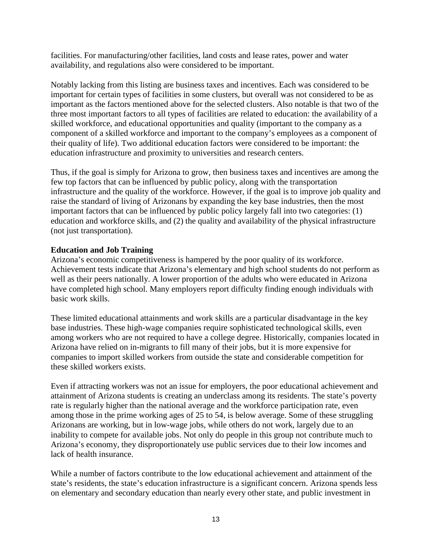facilities. For manufacturing/other facilities, land costs and lease rates, power and water availability, and regulations also were considered to be important.

Notably lacking from this listing are business taxes and incentives. Each was considered to be important for certain types of facilities in some clusters, but overall was not considered to be as important as the factors mentioned above for the selected clusters. Also notable is that two of the three most important factors to all types of facilities are related to education: the availability of a skilled workforce, and educational opportunities and quality (important to the company as a component of a skilled workforce and important to the company's employees as a component of their quality of life). Two additional education factors were considered to be important: the education infrastructure and proximity to universities and research centers.

Thus, if the goal is simply for Arizona to grow, then business taxes and incentives are among the few top factors that can be influenced by public policy, along with the transportation infrastructure and the quality of the workforce. However, if the goal is to improve job quality and raise the standard of living of Arizonans by expanding the key base industries, then the most important factors that can be influenced by public policy largely fall into two categories: (1) education and workforce skills, and (2) the quality and availability of the physical infrastructure (not just transportation).

## **Education and Job Training**

Arizona's economic competitiveness is hampered by the poor quality of its workforce. Achievement tests indicate that Arizona's elementary and high school students do not perform as well as their peers nationally. A lower proportion of the adults who were educated in Arizona have completed high school. Many employers report difficulty finding enough individuals with basic work skills.

These limited educational attainments and work skills are a particular disadvantage in the key base industries. These high-wage companies require sophisticated technological skills, even among workers who are not required to have a college degree. Historically, companies located in Arizona have relied on in-migrants to fill many of their jobs, but it is more expensive for companies to import skilled workers from outside the state and considerable competition for these skilled workers exists.

Even if attracting workers was not an issue for employers, the poor educational achievement and attainment of Arizona students is creating an underclass among its residents. The state's poverty rate is regularly higher than the national average and the workforce participation rate, even among those in the prime working ages of 25 to 54, is below average. Some of these struggling Arizonans are working, but in low-wage jobs, while others do not work, largely due to an inability to compete for available jobs. Not only do people in this group not contribute much to Arizona's economy, they disproportionately use public services due to their low incomes and lack of health insurance.

While a number of factors contribute to the low educational achievement and attainment of the state's residents, the state's education infrastructure is a significant concern. Arizona spends less on elementary and secondary education than nearly every other state, and public investment in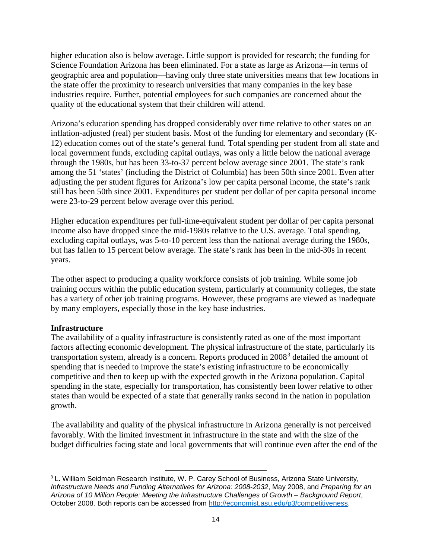higher education also is below average. Little support is provided for research; the funding for Science Foundation Arizona has been eliminated. For a state as large as Arizona—in terms of geographic area and population—having only three state universities means that few locations in the state offer the proximity to research universities that many companies in the key base industries require. Further, potential employees for such companies are concerned about the quality of the educational system that their children will attend.

Arizona's education spending has dropped considerably over time relative to other states on an inflation-adjusted (real) per student basis. Most of the funding for elementary and secondary (K-12) education comes out of the state's general fund. Total spending per student from all state and local government funds, excluding capital outlays, was only a little below the national average through the 1980s, but has been 33-to-37 percent below average since 2001. The state's rank among the 51 'states' (including the District of Columbia) has been 50th since 2001. Even after adjusting the per student figures for Arizona's low per capita personal income, the state's rank still has been 50th since 2001. Expenditures per student per dollar of per capita personal income were 23-to-29 percent below average over this period.

Higher education expenditures per full-time-equivalent student per dollar of per capita personal income also have dropped since the mid-1980s relative to the U.S. average. Total spending, excluding capital outlays, was 5-to-10 percent less than the national average during the 1980s, but has fallen to 15 percent below average. The state's rank has been in the mid-30s in recent years.

The other aspect to producing a quality workforce consists of job training. While some job training occurs within the public education system, particularly at community colleges, the state has a variety of other job training programs. However, these programs are viewed as inadequate by many employers, especially those in the key base industries.

#### **Infrastructure**

The availability of a quality infrastructure is consistently rated as one of the most important factors affecting economic development. The physical infrastructure of the state, particularly its transportation system, already is a concern. Reports produced in 2008[3](#page-18-0) detailed the amount of spending that is needed to improve the state's existing infrastructure to be economically competitive and then to keep up with the expected growth in the Arizona population. Capital spending in the state, especially for transportation, has consistently been lower relative to other states than would be expected of a state that generally ranks second in the nation in population growth.

The availability and quality of the physical infrastructure in Arizona generally is not perceived favorably. With the limited investment in infrastructure in the state and with the size of the budget difficulties facing state and local governments that will continue even after the end of the

l

<span id="page-18-0"></span><sup>&</sup>lt;sup>3</sup> L. William Seidman Research Institute, W. P. Carey School of Business, Arizona State University, *Infrastructure Needs and Funding Alternatives for Arizona: 2008-2032*, May 2008, and *Preparing for an Arizona of 10 Million People: Meeting the Infrastructure Challenges of Growth – Background Report*, October 2008. Both reports can be accessed from [http://economist.asu.edu/p3/competitiveness.](http://economist.asu.edu/p3/competitiveness)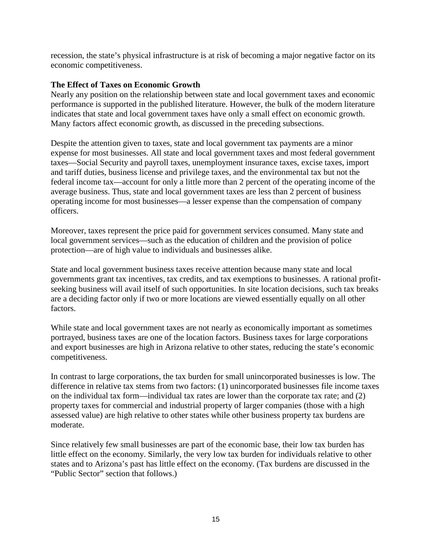recession, the state's physical infrastructure is at risk of becoming a major negative factor on its economic competitiveness.

#### **The Effect of Taxes on Economic Growth**

Nearly any position on the relationship between state and local government taxes and economic performance is supported in the published literature. However, the bulk of the modern literature indicates that state and local government taxes have only a small effect on economic growth. Many factors affect economic growth, as discussed in the preceding subsections.

Despite the attention given to taxes, state and local government tax payments are a minor expense for most businesses. All state and local government taxes and most federal government taxes—Social Security and payroll taxes, unemployment insurance taxes, excise taxes, import and tariff duties, business license and privilege taxes, and the environmental tax but not the federal income tax—account for only a little more than 2 percent of the operating income of the average business. Thus, state and local government taxes are less than 2 percent of business operating income for most businesses—a lesser expense than the compensation of company officers.

Moreover, taxes represent the price paid for government services consumed. Many state and local government services—such as the education of children and the provision of police protection—are of high value to individuals and businesses alike.

State and local government business taxes receive attention because many state and local governments grant tax incentives, tax credits, and tax exemptions to businesses. A rational profitseeking business will avail itself of such opportunities. In site location decisions, such tax breaks are a deciding factor only if two or more locations are viewed essentially equally on all other factors.

While state and local government taxes are not nearly as economically important as sometimes portrayed, business taxes are one of the location factors. Business taxes for large corporations and export businesses are high in Arizona relative to other states, reducing the state's economic competitiveness.

In contrast to large corporations, the tax burden for small unincorporated businesses is low. The difference in relative tax stems from two factors: (1) unincorporated businesses file income taxes on the individual tax form—individual tax rates are lower than the corporate tax rate; and (2) property taxes for commercial and industrial property of larger companies (those with a high assessed value) are high relative to other states while other business property tax burdens are moderate.

Since relatively few small businesses are part of the economic base, their low tax burden has little effect on the economy. Similarly, the very low tax burden for individuals relative to other states and to Arizona's past has little effect on the economy. (Tax burdens are discussed in the "Public Sector" section that follows.)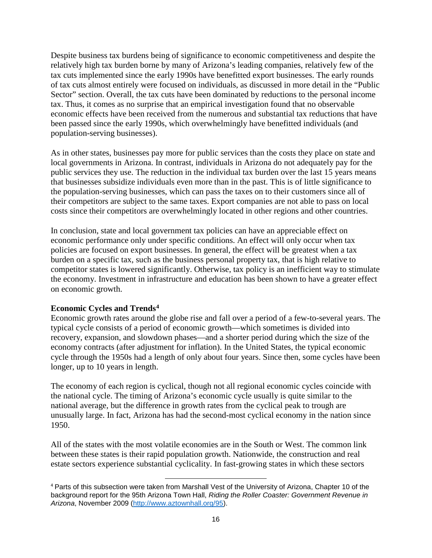Despite business tax burdens being of significance to economic competitiveness and despite the relatively high tax burden borne by many of Arizona's leading companies, relatively few of the tax cuts implemented since the early 1990s have benefitted export businesses. The early rounds of tax cuts almost entirely were focused on individuals, as discussed in more detail in the "Public Sector" section. Overall, the tax cuts have been dominated by reductions to the personal income tax. Thus, it comes as no surprise that an empirical investigation found that no observable economic effects have been received from the numerous and substantial tax reductions that have been passed since the early 1990s, which overwhelmingly have benefitted individuals (and population-serving businesses).

As in other states, businesses pay more for public services than the costs they place on state and local governments in Arizona. In contrast, individuals in Arizona do not adequately pay for the public services they use. The reduction in the individual tax burden over the last 15 years means that businesses subsidize individuals even more than in the past. This is of little significance to the population-serving businesses, which can pass the taxes on to their customers since all of their competitors are subject to the same taxes. Export companies are not able to pass on local costs since their competitors are overwhelmingly located in other regions and other countries.

In conclusion, state and local government tax policies can have an appreciable effect on economic performance only under specific conditions. An effect will only occur when tax policies are focused on export businesses. In general, the effect will be greatest when a tax burden on a specific tax, such as the business personal property tax, that is high relative to competitor states is lowered significantly. Otherwise, tax policy is an inefficient way to stimulate the economy. Investment in infrastructure and education has been shown to have a greater effect on economic growth.

#### **Economic Cycles and Trends[4](#page-20-0)**

Economic growth rates around the globe rise and fall over a period of a few-to-several years. The typical cycle consists of a period of economic growth—which sometimes is divided into recovery, expansion, and slowdown phases—and a shorter period during which the size of the economy contracts (after adjustment for inflation). In the United States, the typical economic cycle through the 1950s had a length of only about four years. Since then, some cycles have been longer, up to 10 years in length.

The economy of each region is cyclical, though not all regional economic cycles coincide with the national cycle. The timing of Arizona's economic cycle usually is quite similar to the national average, but the difference in growth rates from the cyclical peak to trough are unusually large. In fact, Arizona has had the second-most cyclical economy in the nation since 1950.

All of the states with the most volatile economies are in the South or West. The common link between these states is their rapid population growth. Nationwide, the construction and real estate sectors experience substantial cyclicality. In fast-growing states in which these sectors

<span id="page-20-0"></span><sup>4</sup> Parts of this subsection were taken from Marshall Vest of the University of Arizona, Chapter 10 of the background report for the 95th Arizona Town Hall, *Riding the Roller Coaster: Government Revenue in Arizona*, November 2009 [\(http://www.aztownhall.org/95\)](http://www.aztownhall.org/95). l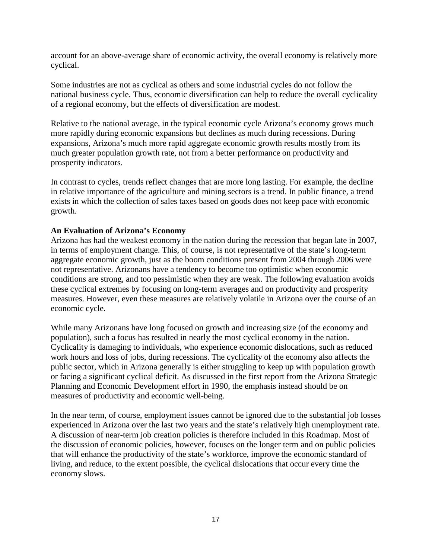account for an above-average share of economic activity, the overall economy is relatively more cyclical.

Some industries are not as cyclical as others and some industrial cycles do not follow the national business cycle. Thus, economic diversification can help to reduce the overall cyclicality of a regional economy, but the effects of diversification are modest.

Relative to the national average, in the typical economic cycle Arizona's economy grows much more rapidly during economic expansions but declines as much during recessions. During expansions, Arizona's much more rapid aggregate economic growth results mostly from its much greater population growth rate, not from a better performance on productivity and prosperity indicators.

In contrast to cycles, trends reflect changes that are more long lasting. For example, the decline in relative importance of the agriculture and mining sectors is a trend. In public finance, a trend exists in which the collection of sales taxes based on goods does not keep pace with economic growth.

#### **An Evaluation of Arizona's Economy**

Arizona has had the weakest economy in the nation during the recession that began late in 2007, in terms of employment change. This, of course, is not representative of the state's long-term aggregate economic growth, just as the boom conditions present from 2004 through 2006 were not representative. Arizonans have a tendency to become too optimistic when economic conditions are strong, and too pessimistic when they are weak. The following evaluation avoids these cyclical extremes by focusing on long-term averages and on productivity and prosperity measures. However, even these measures are relatively volatile in Arizona over the course of an economic cycle.

While many Arizonans have long focused on growth and increasing size (of the economy and population), such a focus has resulted in nearly the most cyclical economy in the nation. Cyclicality is damaging to individuals, who experience economic dislocations, such as reduced work hours and loss of jobs, during recessions. The cyclicality of the economy also affects the public sector, which in Arizona generally is either struggling to keep up with population growth or facing a significant cyclical deficit. As discussed in the first report from the Arizona Strategic Planning and Economic Development effort in 1990, the emphasis instead should be on measures of productivity and economic well-being.

In the near term, of course, employment issues cannot be ignored due to the substantial job losses experienced in Arizona over the last two years and the state's relatively high unemployment rate. A discussion of near-term job creation policies is therefore included in this Roadmap. Most of the discussion of economic policies, however, focuses on the longer term and on public policies that will enhance the productivity of the state's workforce, improve the economic standard of living, and reduce, to the extent possible, the cyclical dislocations that occur every time the economy slows.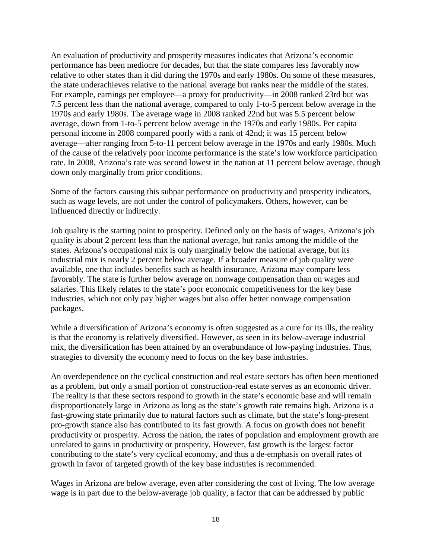An evaluation of productivity and prosperity measures indicates that Arizona's economic performance has been mediocre for decades, but that the state compares less favorably now relative to other states than it did during the 1970s and early 1980s. On some of these measures, the state underachieves relative to the national average but ranks near the middle of the states. For example, earnings per employee—a proxy for productivity—in 2008 ranked 23rd but was 7.5 percent less than the national average, compared to only 1-to-5 percent below average in the 1970s and early 1980s. The average wage in 2008 ranked 22nd but was 5.5 percent below average, down from 1-to-5 percent below average in the 1970s and early 1980s. Per capita personal income in 2008 compared poorly with a rank of 42nd; it was 15 percent below average—after ranging from 5-to-11 percent below average in the 1970s and early 1980s. Much of the cause of the relatively poor income performance is the state's low workforce participation rate. In 2008, Arizona's rate was second lowest in the nation at 11 percent below average, though down only marginally from prior conditions.

Some of the factors causing this subpar performance on productivity and prosperity indicators, such as wage levels, are not under the control of policymakers. Others, however, can be influenced directly or indirectly.

Job quality is the starting point to prosperity. Defined only on the basis of wages, Arizona's job quality is about 2 percent less than the national average, but ranks among the middle of the states. Arizona's occupational mix is only marginally below the national average, but its industrial mix is nearly 2 percent below average. If a broader measure of job quality were available, one that includes benefits such as health insurance, Arizona may compare less favorably. The state is further below average on nonwage compensation than on wages and salaries. This likely relates to the state's poor economic competitiveness for the key base industries, which not only pay higher wages but also offer better nonwage compensation packages.

While a diversification of Arizona's economy is often suggested as a cure for its ills, the reality is that the economy is relatively diversified. However, as seen in its below-average industrial mix, the diversification has been attained by an overabundance of low-paying industries. Thus, strategies to diversify the economy need to focus on the key base industries.

An overdependence on the cyclical construction and real estate sectors has often been mentioned as a problem, but only a small portion of construction-real estate serves as an economic driver. The reality is that these sectors respond to growth in the state's economic base and will remain disproportionately large in Arizona as long as the state's growth rate remains high. Arizona is a fast-growing state primarily due to natural factors such as climate, but the state's long-present pro-growth stance also has contributed to its fast growth. A focus on growth does not benefit productivity or prosperity. Across the nation, the rates of population and employment growth are unrelated to gains in productivity or prosperity. However, fast growth is the largest factor contributing to the state's very cyclical economy, and thus a de-emphasis on overall rates of growth in favor of targeted growth of the key base industries is recommended.

Wages in Arizona are below average, even after considering the cost of living. The low average wage is in part due to the below-average job quality, a factor that can be addressed by public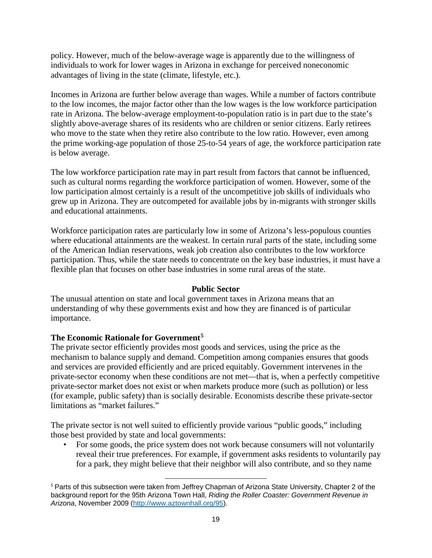policy. However, much of the below-average wage is apparently due to the willingness of individuals to work for lower wages in Arizona in exchange for perceived noneconomic advantages of living in the state (climate, lifestyle, etc.).

Incomes in Arizona are further below average than wages. While a number of factors contribute to the low incomes, the major factor other than the low wages is the low workforce participation rate in Arizona. The below-average employment-to-population ratio is in part due to the state's slightly above-average shares of its residents who are children or senior citizens. Early retirees who move to the state when they retire also contribute to the low ratio. However, even among the prime working-age population of those 25-to-54 years of age, the workforce participation rate is below average.

The low workforce participation rate may in part result from factors that cannot be influenced, such as cultural norms regarding the workforce participation of women. However, some of the low participation almost certainly is a result of the uncompetitive job skills of individuals who grew up in Arizona. They are outcompeted for available jobs by in-migrants with stronger skills and educational attainments.

Workforce participation rates are particularly low in some of Arizona's less-populous counties where educational attainments are the weakest. In certain rural parts of the state, including some of the American Indian reservations, weak job creation also contributes to the low workforce participation. Thus, while the state needs to concentrate on the key base industries, it must have a flexible plan that focuses on other base industries in some rural areas of the state.

## **Public Sector**

The unusual attention on state and local government taxes in Arizona means that an understanding of why these governments exist and how they are financed is of particular importance.

## **The Economic Rationale for Government[5](#page-23-0)**

The private sector efficiently provides most goods and services, using the price as the mechanism to balance supply and demand. Competition among companies ensures that goods and services are provided efficiently and are priced equitably. Government intervenes in the private-sector economy when these conditions are not met—that is, when a perfectly competitive private-sector market does not exist or when markets produce more (such as pollution) or less (for example, public safety) than is socially desirable. Economists describe these private-sector limitations as "market failures."

The private sector is not well suited to efficiently provide various "public goods," including those best provided by state and local governments:

l

• For some goods, the price system does not work because consumers will not voluntarily reveal their true preferences. For example, if government asks residents to voluntarily pay for a park, they might believe that their neighbor will also contribute, and so they name

<span id="page-23-0"></span><sup>5</sup> Parts of this subsection were taken from Jeffrey Chapman of Arizona State University, Chapter 2 of the background report for the 95th Arizona Town Hall, *Riding the Roller Coaster: Government Revenue in Arizona*, November 2009 [\(http://www.aztownhall.org/95\)](http://www.aztownhall.org/95).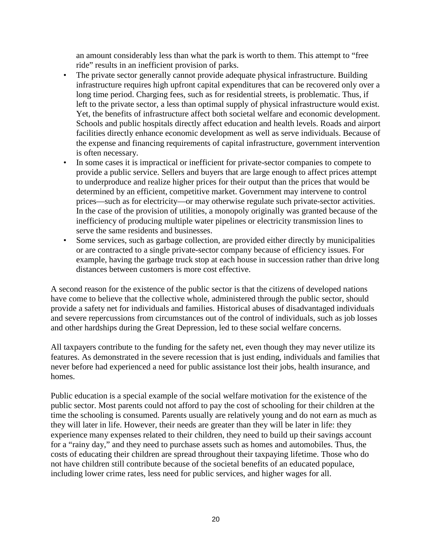an amount considerably less than what the park is worth to them. This attempt to "free ride" results in an inefficient provision of parks.

- The private sector generally cannot provide adequate physical infrastructure. Building infrastructure requires high upfront capital expenditures that can be recovered only over a long time period. Charging fees, such as for residential streets, is problematic. Thus, if left to the private sector, a less than optimal supply of physical infrastructure would exist. Yet, the benefits of infrastructure affect both societal welfare and economic development. Schools and public hospitals directly affect education and health levels. Roads and airport facilities directly enhance economic development as well as serve individuals. Because of the expense and financing requirements of capital infrastructure, government intervention is often necessary.
- In some cases it is impractical or inefficient for private-sector companies to compete to provide a public service. Sellers and buyers that are large enough to affect prices attempt to underproduce and realize higher prices for their output than the prices that would be determined by an efficient, competitive market. Government may intervene to control prices—such as for electricity—or may otherwise regulate such private-sector activities. In the case of the provision of utilities, a monopoly originally was granted because of the inefficiency of producing multiple water pipelines or electricity transmission lines to serve the same residents and businesses.
- Some services, such as garbage collection, are provided either directly by municipalities or are contracted to a single private-sector company because of efficiency issues. For example, having the garbage truck stop at each house in succession rather than drive long distances between customers is more cost effective.

A second reason for the existence of the public sector is that the citizens of developed nations have come to believe that the collective whole, administered through the public sector, should provide a safety net for individuals and families. Historical abuses of disadvantaged individuals and severe repercussions from circumstances out of the control of individuals, such as job losses and other hardships during the Great Depression, led to these social welfare concerns.

All taxpayers contribute to the funding for the safety net, even though they may never utilize its features. As demonstrated in the severe recession that is just ending, individuals and families that never before had experienced a need for public assistance lost their jobs, health insurance, and homes.

Public education is a special example of the social welfare motivation for the existence of the public sector. Most parents could not afford to pay the cost of schooling for their children at the time the schooling is consumed. Parents usually are relatively young and do not earn as much as they will later in life. However, their needs are greater than they will be later in life: they experience many expenses related to their children, they need to build up their savings account for a "rainy day," and they need to purchase assets such as homes and automobiles. Thus, the costs of educating their children are spread throughout their taxpaying lifetime. Those who do not have children still contribute because of the societal benefits of an educated populace, including lower crime rates, less need for public services, and higher wages for all.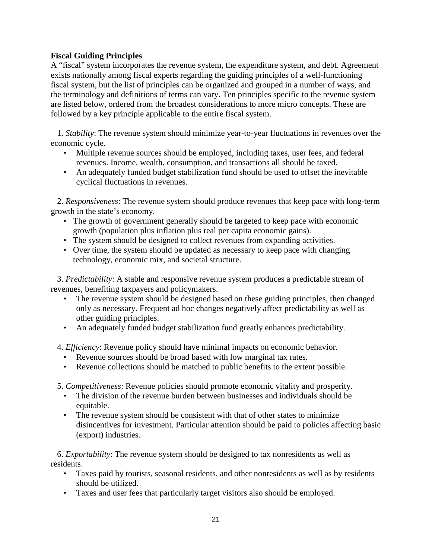## **Fiscal Guiding Principles**

A "fiscal" system incorporates the revenue system, the expenditure system, and debt. Agreement exists nationally among fiscal experts regarding the guiding principles of a well-functioning fiscal system, but the list of principles can be organized and grouped in a number of ways, and the terminology and definitions of terms can vary. Ten principles specific to the revenue system are listed below, ordered from the broadest considerations to more micro concepts. These are followed by a key principle applicable to the entire fiscal system.

1. *Stability*: The revenue system should minimize year-to-year fluctuations in revenues over the economic cycle.

- Multiple revenue sources should be employed, including taxes, user fees, and federal revenues. Income, wealth, consumption, and transactions all should be taxed.
- An adequately funded budget stabilization fund should be used to offset the inevitable cyclical fluctuations in revenues.

2. *Responsiveness*: The revenue system should produce revenues that keep pace with long-term growth in the state's economy.

- The growth of government generally should be targeted to keep pace with economic growth (population plus inflation plus real per capita economic gains).
- The system should be designed to collect revenues from expanding activities.
- Over time, the system should be updated as necessary to keep pace with changing technology, economic mix, and societal structure.

3. *Predictability*: A stable and responsive revenue system produces a predictable stream of revenues, benefiting taxpayers and policymakers.

- The revenue system should be designed based on these guiding principles, then changed only as necessary. Frequent ad hoc changes negatively affect predictability as well as other guiding principles.
- An adequately funded budget stabilization fund greatly enhances predictability.

4. *Efficiency*: Revenue policy should have minimal impacts on economic behavior.

- Revenue sources should be broad based with low marginal tax rates.
- Revenue collections should be matched to public benefits to the extent possible.
- 5. *Competitiveness*: Revenue policies should promote economic vitality and prosperity.
	- The division of the revenue burden between businesses and individuals should be equitable.
	- The revenue system should be consistent with that of other states to minimize disincentives for investment. Particular attention should be paid to policies affecting basic (export) industries.

6. *Exportability*: The revenue system should be designed to tax nonresidents as well as residents.

- Taxes paid by tourists, seasonal residents, and other nonresidents as well as by residents should be utilized.
- Taxes and user fees that particularly target visitors also should be employed.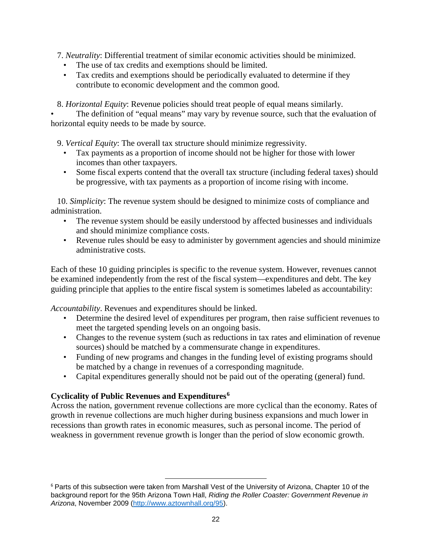7. *Neutrality*: Differential treatment of similar economic activities should be minimized.

- The use of tax credits and exemptions should be limited.
- Tax credits and exemptions should be periodically evaluated to determine if they contribute to economic development and the common good.

8. *Horizontal Equity*: Revenue policies should treat people of equal means similarly.

The definition of "equal means" may vary by revenue source, such that the evaluation of horizontal equity needs to be made by source.

9. *Vertical Equity*: The overall tax structure should minimize regressivity.

- Tax payments as a proportion of income should not be higher for those with lower incomes than other taxpayers.
- Some fiscal experts contend that the overall tax structure (including federal taxes) should be progressive, with tax payments as a proportion of income rising with income.

10. *Simplicity*: The revenue system should be designed to minimize costs of compliance and administration.

- The revenue system should be easily understood by affected businesses and individuals and should minimize compliance costs.
- Revenue rules should be easy to administer by government agencies and should minimize administrative costs.

Each of these 10 guiding principles is specific to the revenue system. However, revenues cannot be examined independently from the rest of the fiscal system—expenditures and debt. The key guiding principle that applies to the entire fiscal system is sometimes labeled as accountability:

*Accountability*. Revenues and expenditures should be linked.

- Determine the desired level of expenditures per program, then raise sufficient revenues to meet the targeted spending levels on an ongoing basis.
- Changes to the revenue system (such as reductions in tax rates and elimination of revenue sources) should be matched by a commensurate change in expenditures.
- Funding of new programs and changes in the funding level of existing programs should be matched by a change in revenues of a corresponding magnitude.
- Capital expenditures generally should not be paid out of the operating (general) fund.

## **Cyclicality of Public Revenues and Expenditures[6](#page-26-0)**

l

Across the nation, government revenue collections are more cyclical than the economy. Rates of growth in revenue collections are much higher during business expansions and much lower in recessions than growth rates in economic measures, such as personal income. The period of weakness in government revenue growth is longer than the period of slow economic growth.

<span id="page-26-0"></span><sup>&</sup>lt;sup>6</sup> Parts of this subsection were taken from Marshall Vest of the University of Arizona, Chapter 10 of the background report for the 95th Arizona Town Hall, *Riding the Roller Coaster: Government Revenue in Arizona*, November 2009 [\(http://www.aztownhall.org/95\)](http://www.aztownhall.org/95).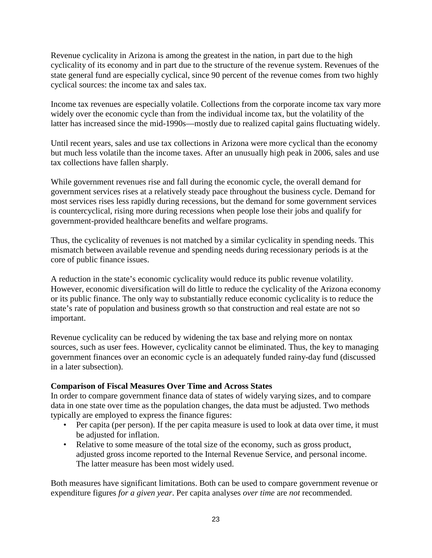Revenue cyclicality in Arizona is among the greatest in the nation, in part due to the high cyclicality of its economy and in part due to the structure of the revenue system. Revenues of the state general fund are especially cyclical, since 90 percent of the revenue comes from two highly cyclical sources: the income tax and sales tax.

Income tax revenues are especially volatile. Collections from the corporate income tax vary more widely over the economic cycle than from the individual income tax, but the volatility of the latter has increased since the mid-1990s—mostly due to realized capital gains fluctuating widely.

Until recent years, sales and use tax collections in Arizona were more cyclical than the economy but much less volatile than the income taxes. After an unusually high peak in 2006, sales and use tax collections have fallen sharply.

While government revenues rise and fall during the economic cycle, the overall demand for government services rises at a relatively steady pace throughout the business cycle. Demand for most services rises less rapidly during recessions, but the demand for some government services is countercyclical, rising more during recessions when people lose their jobs and qualify for government-provided healthcare benefits and welfare programs.

Thus, the cyclicality of revenues is not matched by a similar cyclicality in spending needs. This mismatch between available revenue and spending needs during recessionary periods is at the core of public finance issues.

A reduction in the state's economic cyclicality would reduce its public revenue volatility. However, economic diversification will do little to reduce the cyclicality of the Arizona economy or its public finance. The only way to substantially reduce economic cyclicality is to reduce the state's rate of population and business growth so that construction and real estate are not so important.

Revenue cyclicality can be reduced by widening the tax base and relying more on nontax sources, such as user fees. However, cyclicality cannot be eliminated. Thus, the key to managing government finances over an economic cycle is an adequately funded rainy-day fund (discussed in a later subsection).

## **Comparison of Fiscal Measures Over Time and Across States**

In order to compare government finance data of states of widely varying sizes, and to compare data in one state over time as the population changes, the data must be adjusted. Two methods typically are employed to express the finance figures:

- Per capita (per person). If the per capita measure is used to look at data over time, it must be adjusted for inflation.
- Relative to some measure of the total size of the economy, such as gross product, adjusted gross income reported to the Internal Revenue Service, and personal income. The latter measure has been most widely used.

Both measures have significant limitations. Both can be used to compare government revenue or expenditure figures *for a given year*. Per capita analyses *over time* are *not* recommended.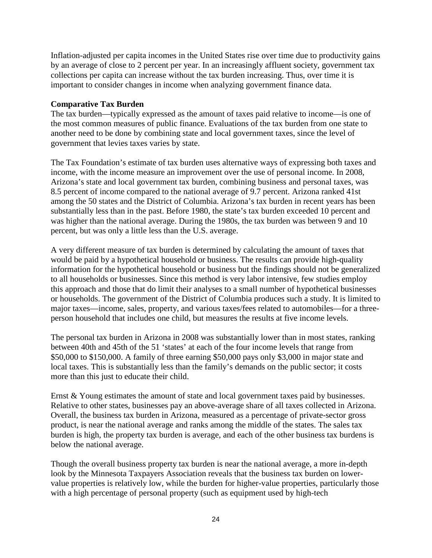Inflation-adjusted per capita incomes in the United States rise over time due to productivity gains by an average of close to 2 percent per year. In an increasingly affluent society, government tax collections per capita can increase without the tax burden increasing. Thus, over time it is important to consider changes in income when analyzing government finance data.

## **Comparative Tax Burden**

The tax burden—typically expressed as the amount of taxes paid relative to income—is one of the most common measures of public finance. Evaluations of the tax burden from one state to another need to be done by combining state and local government taxes, since the level of government that levies taxes varies by state.

The Tax Foundation's estimate of tax burden uses alternative ways of expressing both taxes and income, with the income measure an improvement over the use of personal income. In 2008, Arizona's state and local government tax burden, combining business and personal taxes, was 8.5 percent of income compared to the national average of 9.7 percent. Arizona ranked 41st among the 50 states and the District of Columbia. Arizona's tax burden in recent years has been substantially less than in the past. Before 1980, the state's tax burden exceeded 10 percent and was higher than the national average. During the 1980s, the tax burden was between 9 and 10 percent, but was only a little less than the U.S. average.

A very different measure of tax burden is determined by calculating the amount of taxes that would be paid by a hypothetical household or business. The results can provide high-quality information for the hypothetical household or business but the findings should not be generalized to all households or businesses. Since this method is very labor intensive, few studies employ this approach and those that do limit their analyses to a small number of hypothetical businesses or households. The government of the District of Columbia produces such a study. It is limited to major taxes—income, sales, property, and various taxes/fees related to automobiles—for a threeperson household that includes one child, but measures the results at five income levels.

The personal tax burden in Arizona in 2008 was substantially lower than in most states, ranking between 40th and 45th of the 51 'states' at each of the four income levels that range from \$50,000 to \$150,000. A family of three earning \$50,000 pays only \$3,000 in major state and local taxes. This is substantially less than the family's demands on the public sector; it costs more than this just to educate their child.

Ernst & Young estimates the amount of state and local government taxes paid by businesses. Relative to other states, businesses pay an above-average share of all taxes collected in Arizona. Overall, the business tax burden in Arizona, measured as a percentage of private-sector gross product, is near the national average and ranks among the middle of the states. The sales tax burden is high, the property tax burden is average, and each of the other business tax burdens is below the national average.

Though the overall business property tax burden is near the national average, a more in-depth look by the Minnesota Taxpayers Association reveals that the business tax burden on lowervalue properties is relatively low, while the burden for higher-value properties, particularly those with a high percentage of personal property (such as equipment used by high-tech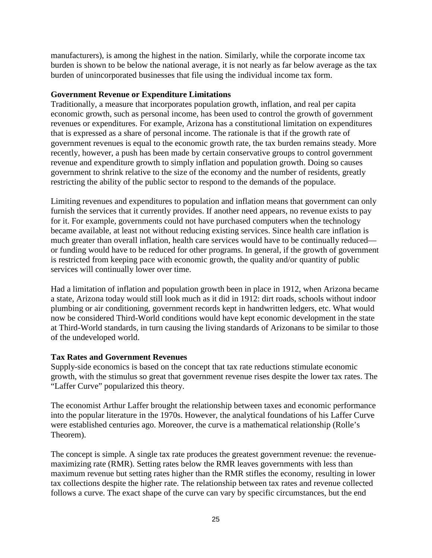manufacturers), is among the highest in the nation. Similarly, while the corporate income tax burden is shown to be below the national average, it is not nearly as far below average as the tax burden of unincorporated businesses that file using the individual income tax form.

#### **Government Revenue or Expenditure Limitations**

Traditionally, a measure that incorporates population growth, inflation, and real per capita economic growth, such as personal income, has been used to control the growth of government revenues or expenditures. For example, Arizona has a constitutional limitation on expenditures that is expressed as a share of personal income. The rationale is that if the growth rate of government revenues is equal to the economic growth rate, the tax burden remains steady. More recently, however, a push has been made by certain conservative groups to control government revenue and expenditure growth to simply inflation and population growth. Doing so causes government to shrink relative to the size of the economy and the number of residents, greatly restricting the ability of the public sector to respond to the demands of the populace.

Limiting revenues and expenditures to population and inflation means that government can only furnish the services that it currently provides. If another need appears, no revenue exists to pay for it. For example, governments could not have purchased computers when the technology became available, at least not without reducing existing services. Since health care inflation is much greater than overall inflation, health care services would have to be continually reduced or funding would have to be reduced for other programs. In general, if the growth of government is restricted from keeping pace with economic growth, the quality and/or quantity of public services will continually lower over time.

Had a limitation of inflation and population growth been in place in 1912, when Arizona became a state, Arizona today would still look much as it did in 1912: dirt roads, schools without indoor plumbing or air conditioning, government records kept in handwritten ledgers, etc. What would now be considered Third-World conditions would have kept economic development in the state at Third-World standards, in turn causing the living standards of Arizonans to be similar to those of the undeveloped world.

## **Tax Rates and Government Revenues**

Supply-side economics is based on the concept that tax rate reductions stimulate economic growth, with the stimulus so great that government revenue rises despite the lower tax rates. The "Laffer Curve" popularized this theory.

The economist Arthur Laffer brought the relationship between taxes and economic performance into the popular literature in the 1970s. However, the analytical foundations of his Laffer Curve were established centuries ago. Moreover, the curve is a mathematical relationship (Rolle's Theorem).

The concept is simple. A single tax rate produces the greatest government revenue: the revenuemaximizing rate (RMR). Setting rates below the RMR leaves governments with less than maximum revenue but setting rates higher than the RMR stifles the economy, resulting in lower tax collections despite the higher rate. The relationship between tax rates and revenue collected follows a curve. The exact shape of the curve can vary by specific circumstances, but the end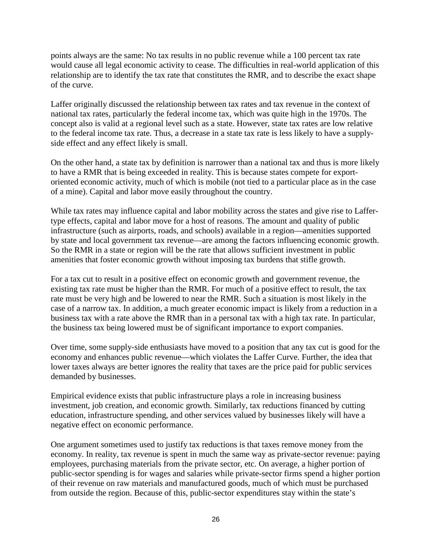points always are the same: No tax results in no public revenue while a 100 percent tax rate would cause all legal economic activity to cease. The difficulties in real-world application of this relationship are to identify the tax rate that constitutes the RMR, and to describe the exact shape of the curve.

Laffer originally discussed the relationship between tax rates and tax revenue in the context of national tax rates, particularly the federal income tax, which was quite high in the 1970s. The concept also is valid at a regional level such as a state. However, state tax rates are low relative to the federal income tax rate. Thus, a decrease in a state tax rate is less likely to have a supplyside effect and any effect likely is small.

On the other hand, a state tax by definition is narrower than a national tax and thus is more likely to have a RMR that is being exceeded in reality. This is because states compete for exportoriented economic activity, much of which is mobile (not tied to a particular place as in the case of a mine). Capital and labor move easily throughout the country.

While tax rates may influence capital and labor mobility across the states and give rise to Laffertype effects, capital and labor move for a host of reasons. The amount and quality of public infrastructure (such as airports, roads, and schools) available in a region—amenities supported by state and local government tax revenue—are among the factors influencing economic growth. So the RMR in a state or region will be the rate that allows sufficient investment in public amenities that foster economic growth without imposing tax burdens that stifle growth.

For a tax cut to result in a positive effect on economic growth and government revenue, the existing tax rate must be higher than the RMR. For much of a positive effect to result, the tax rate must be very high and be lowered to near the RMR. Such a situation is most likely in the case of a narrow tax. In addition, a much greater economic impact is likely from a reduction in a business tax with a rate above the RMR than in a personal tax with a high tax rate. In particular, the business tax being lowered must be of significant importance to export companies.

Over time, some supply-side enthusiasts have moved to a position that any tax cut is good for the economy and enhances public revenue—which violates the Laffer Curve. Further, the idea that lower taxes always are better ignores the reality that taxes are the price paid for public services demanded by businesses.

Empirical evidence exists that public infrastructure plays a role in increasing business investment, job creation, and economic growth. Similarly, tax reductions financed by cutting education, infrastructure spending, and other services valued by businesses likely will have a negative effect on economic performance.

One argument sometimes used to justify tax reductions is that taxes remove money from the economy. In reality, tax revenue is spent in much the same way as private-sector revenue: paying employees, purchasing materials from the private sector, etc. On average, a higher portion of public-sector spending is for wages and salaries while private-sector firms spend a higher portion of their revenue on raw materials and manufactured goods, much of which must be purchased from outside the region. Because of this, public-sector expenditures stay within the state's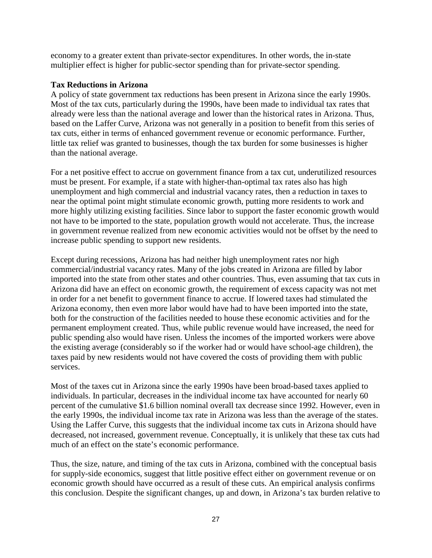economy to a greater extent than private-sector expenditures. In other words, the in-state multiplier effect is higher for public-sector spending than for private-sector spending.

#### **Tax Reductions in Arizona**

A policy of state government tax reductions has been present in Arizona since the early 1990s. Most of the tax cuts, particularly during the 1990s, have been made to individual tax rates that already were less than the national average and lower than the historical rates in Arizona. Thus, based on the Laffer Curve, Arizona was not generally in a position to benefit from this series of tax cuts, either in terms of enhanced government revenue or economic performance. Further, little tax relief was granted to businesses, though the tax burden for some businesses is higher than the national average.

For a net positive effect to accrue on government finance from a tax cut, underutilized resources must be present. For example, if a state with higher-than-optimal tax rates also has high unemployment and high commercial and industrial vacancy rates, then a reduction in taxes to near the optimal point might stimulate economic growth, putting more residents to work and more highly utilizing existing facilities. Since labor to support the faster economic growth would not have to be imported to the state, population growth would not accelerate. Thus, the increase in government revenue realized from new economic activities would not be offset by the need to increase public spending to support new residents.

Except during recessions, Arizona has had neither high unemployment rates nor high commercial/industrial vacancy rates. Many of the jobs created in Arizona are filled by labor imported into the state from other states and other countries. Thus, even assuming that tax cuts in Arizona did have an effect on economic growth, the requirement of excess capacity was not met in order for a net benefit to government finance to accrue. If lowered taxes had stimulated the Arizona economy, then even more labor would have had to have been imported into the state, both for the construction of the facilities needed to house these economic activities and for the permanent employment created. Thus, while public revenue would have increased, the need for public spending also would have risen. Unless the incomes of the imported workers were above the existing average (considerably so if the worker had or would have school-age children), the taxes paid by new residents would not have covered the costs of providing them with public services.

Most of the taxes cut in Arizona since the early 1990s have been broad-based taxes applied to individuals. In particular, decreases in the individual income tax have accounted for nearly 60 percent of the cumulative \$1.6 billion nominal overall tax decrease since 1992. However, even in the early 1990s, the individual income tax rate in Arizona was less than the average of the states. Using the Laffer Curve, this suggests that the individual income tax cuts in Arizona should have decreased, not increased, government revenue. Conceptually, it is unlikely that these tax cuts had much of an effect on the state's economic performance.

Thus, the size, nature, and timing of the tax cuts in Arizona, combined with the conceptual basis for supply-side economics, suggest that little positive effect either on government revenue or on economic growth should have occurred as a result of these cuts. An empirical analysis confirms this conclusion. Despite the significant changes, up and down, in Arizona's tax burden relative to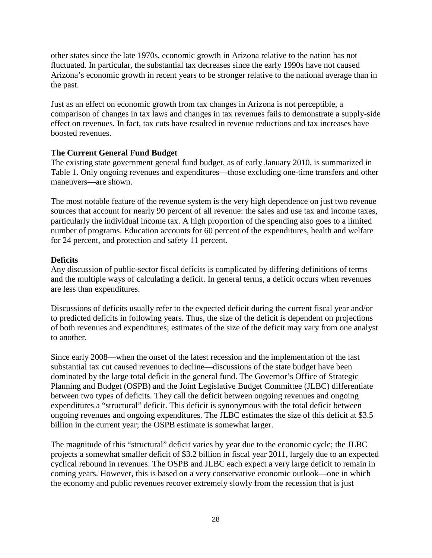other states since the late 1970s, economic growth in Arizona relative to the nation has not fluctuated. In particular, the substantial tax decreases since the early 1990s have not caused Arizona's economic growth in recent years to be stronger relative to the national average than in the past.

Just as an effect on economic growth from tax changes in Arizona is not perceptible, a comparison of changes in tax laws and changes in tax revenues fails to demonstrate a supply-side effect on revenues. In fact, tax cuts have resulted in revenue reductions and tax increases have boosted revenues.

## **The Current General Fund Budget**

The existing state government general fund budget, as of early January 2010, is summarized in Table 1. Only ongoing revenues and expenditures—those excluding one-time transfers and other maneuvers—are shown.

The most notable feature of the revenue system is the very high dependence on just two revenue sources that account for nearly 90 percent of all revenue: the sales and use tax and income taxes, particularly the individual income tax. A high proportion of the spending also goes to a limited number of programs. Education accounts for 60 percent of the expenditures, health and welfare for 24 percent, and protection and safety 11 percent.

## **Deficits**

Any discussion of public-sector fiscal deficits is complicated by differing definitions of terms and the multiple ways of calculating a deficit. In general terms, a deficit occurs when revenues are less than expenditures.

Discussions of deficits usually refer to the expected deficit during the current fiscal year and/or to predicted deficits in following years. Thus, the size of the deficit is dependent on projections of both revenues and expenditures; estimates of the size of the deficit may vary from one analyst to another.

Since early 2008—when the onset of the latest recession and the implementation of the last substantial tax cut caused revenues to decline—discussions of the state budget have been dominated by the large total deficit in the general fund. The Governor's Office of Strategic Planning and Budget (OSPB) and the Joint Legislative Budget Committee (JLBC) differentiate between two types of deficits. They call the deficit between ongoing revenues and ongoing expenditures a "structural" deficit. This deficit is synonymous with the total deficit between ongoing revenues and ongoing expenditures. The JLBC estimates the size of this deficit at \$3.5 billion in the current year; the OSPB estimate is somewhat larger.

The magnitude of this "structural" deficit varies by year due to the economic cycle; the JLBC projects a somewhat smaller deficit of \$3.2 billion in fiscal year 2011, largely due to an expected cyclical rebound in revenues. The OSPB and JLBC each expect a very large deficit to remain in coming years. However, this is based on a very conservative economic outlook—one in which the economy and public revenues recover extremely slowly from the recession that is just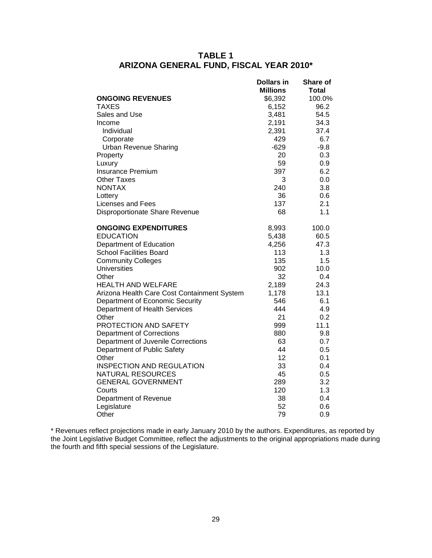## **TABLE 1 ARIZONA GENERAL FUND, FISCAL YEAR 2010\***

|                                             | <b>Dollars in</b> | Share of |
|---------------------------------------------|-------------------|----------|
|                                             | <b>Millions</b>   | Total    |
| <b>ONGOING REVENUES</b>                     | \$6,392           | 100.0%   |
| <b>TAXES</b>                                | 6,152             | 96.2     |
| Sales and Use                               | 3,481             | 54.5     |
| Income                                      | 2,191             | 34.3     |
| Individual                                  | 2,391             | 37.4     |
| Corporate                                   | 429               | 6.7      |
| <b>Urban Revenue Sharing</b>                | $-629$            | $-9.8$   |
| Property                                    | 20                | 0.3      |
| Luxury                                      | 59                | 0.9      |
| <b>Insurance Premium</b>                    | 397               | 6.2      |
| <b>Other Taxes</b>                          | 3                 | 0.0      |
| <b>NONTAX</b>                               | 240               | 3.8      |
| Lottery                                     | 36                | 0.6      |
| Licenses and Fees                           | 137               | 2.1      |
| Disproportionate Share Revenue              | 68                | 1.1      |
| <b>ONGOING EXPENDITURES</b>                 | 8,993             | 100.0    |
| <b>EDUCATION</b>                            | 5,438             | 60.5     |
| Department of Education                     | 4,256             | 47.3     |
| <b>School Facilities Board</b>              | 113               | 1.3      |
| <b>Community Colleges</b>                   | 135               | 1.5      |
| Universities                                | 902               | 10.0     |
| Other                                       | 32                | 0.4      |
| <b>HEALTH AND WELFARE</b>                   | 2,189             | 24.3     |
| Arizona Health Care Cost Containment System | 1,178             | 13.1     |
| Department of Economic Security             | 546               | 6.1      |
| Department of Health Services               | 444               | 4.9      |
| Other                                       | 21                | 0.2      |
| PROTECTION AND SAFETY                       | 999               | 11.1     |
| <b>Department of Corrections</b>            | 880               | 9.8      |
| Department of Juvenile Corrections          | 63                | 0.7      |
| Department of Public Safety                 | 44                | 0.5      |
| Other                                       | 12                | 0.1      |
| <b>INSPECTION AND REGULATION</b>            | 33                | 0.4      |
| NATURAL RESOURCES                           | 45                | 0.5      |
| <b>GENERAL GOVERNMENT</b>                   | 289               | 3.2      |
| Courts                                      | 120               | 1.3      |
| Department of Revenue                       | 38                | 0.4      |
| Legislature                                 | 52                | 0.6      |
| Other                                       | 79                | 0.9      |

\* Revenues reflect projections made in early January 2010 by the authors. Expenditures, as reported by the Joint Legislative Budget Committee, reflect the adjustments to the original appropriations made during the fourth and fifth special sessions of the Legislature.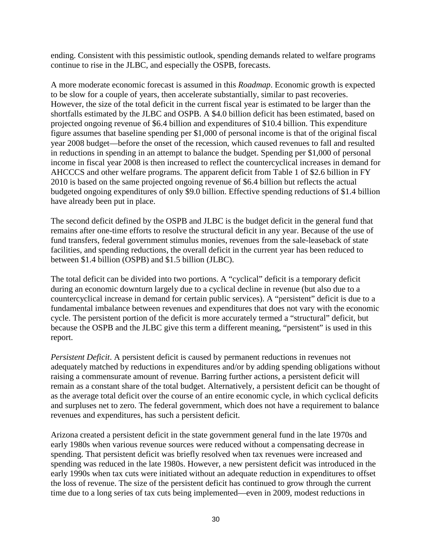ending. Consistent with this pessimistic outlook, spending demands related to welfare programs continue to rise in the JLBC, and especially the OSPB, forecasts.

A more moderate economic forecast is assumed in this *Roadmap*. Economic growth is expected to be slow for a couple of years, then accelerate substantially, similar to past recoveries. However, the size of the total deficit in the current fiscal year is estimated to be larger than the shortfalls estimated by the JLBC and OSPB. A \$4.0 billion deficit has been estimated, based on projected ongoing revenue of \$6.4 billion and expenditures of \$10.4 billion. This expenditure figure assumes that baseline spending per \$1,000 of personal income is that of the original fiscal year 2008 budget—before the onset of the recession, which caused revenues to fall and resulted in reductions in spending in an attempt to balance the budget. Spending per \$1,000 of personal income in fiscal year 2008 is then increased to reflect the countercyclical increases in demand for AHCCCS and other welfare programs. The apparent deficit from Table 1 of \$2.6 billion in FY 2010 is based on the same projected ongoing revenue of \$6.4 billion but reflects the actual budgeted ongoing expenditures of only \$9.0 billion. Effective spending reductions of \$1.4 billion have already been put in place.

The second deficit defined by the OSPB and JLBC is the budget deficit in the general fund that remains after one-time efforts to resolve the structural deficit in any year. Because of the use of fund transfers, federal government stimulus monies, revenues from the sale-leaseback of state facilities, and spending reductions, the overall deficit in the current year has been reduced to between \$1.4 billion (OSPB) and \$1.5 billion (JLBC).

The total deficit can be divided into two portions. A "cyclical" deficit is a temporary deficit during an economic downturn largely due to a cyclical decline in revenue (but also due to a countercyclical increase in demand for certain public services). A "persistent" deficit is due to a fundamental imbalance between revenues and expenditures that does not vary with the economic cycle. The persistent portion of the deficit is more accurately termed a "structural" deficit, but because the OSPB and the JLBC give this term a different meaning, "persistent" is used in this report.

*Persistent Deficit*. A persistent deficit is caused by permanent reductions in revenues not adequately matched by reductions in expenditures and/or by adding spending obligations without raising a commensurate amount of revenue. Barring further actions, a persistent deficit will remain as a constant share of the total budget. Alternatively, a persistent deficit can be thought of as the average total deficit over the course of an entire economic cycle, in which cyclical deficits and surpluses net to zero. The federal government, which does not have a requirement to balance revenues and expenditures, has such a persistent deficit.

Arizona created a persistent deficit in the state government general fund in the late 1970s and early 1980s when various revenue sources were reduced without a compensating decrease in spending. That persistent deficit was briefly resolved when tax revenues were increased and spending was reduced in the late 1980s. However, a new persistent deficit was introduced in the early 1990s when tax cuts were initiated without an adequate reduction in expenditures to offset the loss of revenue. The size of the persistent deficit has continued to grow through the current time due to a long series of tax cuts being implemented—even in 2009, modest reductions in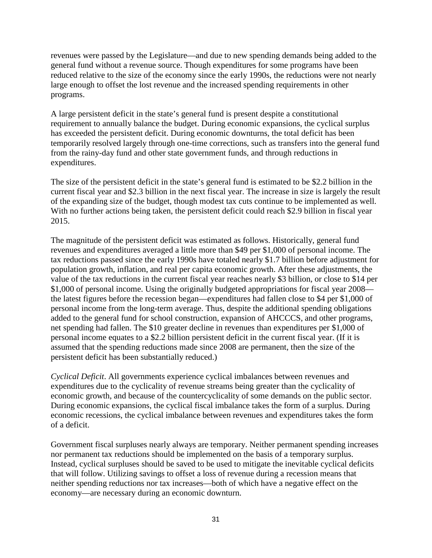revenues were passed by the Legislature—and due to new spending demands being added to the general fund without a revenue source. Though expenditures for some programs have been reduced relative to the size of the economy since the early 1990s, the reductions were not nearly large enough to offset the lost revenue and the increased spending requirements in other programs.

A large persistent deficit in the state's general fund is present despite a constitutional requirement to annually balance the budget. During economic expansions, the cyclical surplus has exceeded the persistent deficit. During economic downturns, the total deficit has been temporarily resolved largely through one-time corrections, such as transfers into the general fund from the rainy-day fund and other state government funds, and through reductions in expenditures.

The size of the persistent deficit in the state's general fund is estimated to be \$2.2 billion in the current fiscal year and \$2.3 billion in the next fiscal year. The increase in size is largely the result of the expanding size of the budget, though modest tax cuts continue to be implemented as well. With no further actions being taken, the persistent deficit could reach \$2.9 billion in fiscal year 2015.

The magnitude of the persistent deficit was estimated as follows. Historically, general fund revenues and expenditures averaged a little more than \$49 per \$1,000 of personal income. The tax reductions passed since the early 1990s have totaled nearly \$1.7 billion before adjustment for population growth, inflation, and real per capita economic growth. After these adjustments, the value of the tax reductions in the current fiscal year reaches nearly \$3 billion, or close to \$14 per \$1,000 of personal income. Using the originally budgeted appropriations for fiscal year 2008 the latest figures before the recession began—expenditures had fallen close to \$4 per \$1,000 of personal income from the long-term average. Thus, despite the additional spending obligations added to the general fund for school construction, expansion of AHCCCS, and other programs, net spending had fallen. The \$10 greater decline in revenues than expenditures per \$1,000 of personal income equates to a \$2.2 billion persistent deficit in the current fiscal year. (If it is assumed that the spending reductions made since 2008 are permanent, then the size of the persistent deficit has been substantially reduced.)

*Cyclical Deficit*. All governments experience cyclical imbalances between revenues and expenditures due to the cyclicality of revenue streams being greater than the cyclicality of economic growth, and because of the countercyclicality of some demands on the public sector. During economic expansions, the cyclical fiscal imbalance takes the form of a surplus. During economic recessions, the cyclical imbalance between revenues and expenditures takes the form of a deficit.

Government fiscal surpluses nearly always are temporary. Neither permanent spending increases nor permanent tax reductions should be implemented on the basis of a temporary surplus. Instead, cyclical surpluses should be saved to be used to mitigate the inevitable cyclical deficits that will follow. Utilizing savings to offset a loss of revenue during a recession means that neither spending reductions nor tax increases—both of which have a negative effect on the economy—are necessary during an economic downturn.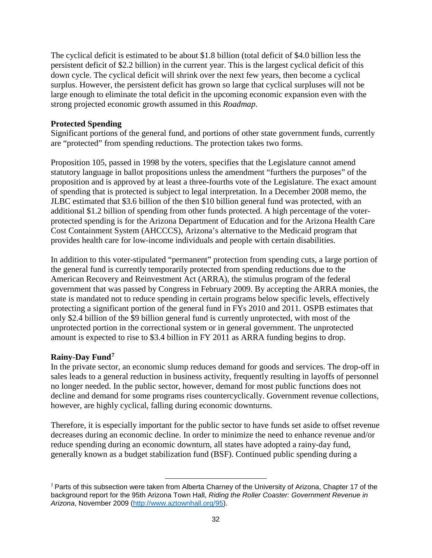The cyclical deficit is estimated to be about \$1.8 billion (total deficit of \$4.0 billion less the persistent deficit of \$2.2 billion) in the current year. This is the largest cyclical deficit of this down cycle. The cyclical deficit will shrink over the next few years, then become a cyclical surplus. However, the persistent deficit has grown so large that cyclical surpluses will not be large enough to eliminate the total deficit in the upcoming economic expansion even with the strong projected economic growth assumed in this *Roadmap*.

### **Protected Spending**

Significant portions of the general fund, and portions of other state government funds, currently are "protected" from spending reductions. The protection takes two forms.

Proposition 105, passed in 1998 by the voters, specifies that the Legislature cannot amend statutory language in ballot propositions unless the amendment "furthers the purposes" of the proposition and is approved by at least a three-fourths vote of the Legislature. The exact amount of spending that is protected is subject to legal interpretation. In a December 2008 memo, the JLBC estimated that \$3.6 billion of the then \$10 billion general fund was protected, with an additional \$1.2 billion of spending from other funds protected. A high percentage of the voterprotected spending is for the Arizona Department of Education and for the Arizona Health Care Cost Containment System (AHCCCS), Arizona's alternative to the Medicaid program that provides health care for low-income individuals and people with certain disabilities.

In addition to this voter-stipulated "permanent" protection from spending cuts, a large portion of the general fund is currently temporarily protected from spending reductions due to the American Recovery and Reinvestment Act (ARRA), the stimulus program of the federal government that was passed by Congress in February 2009. By accepting the ARRA monies, the state is mandated not to reduce spending in certain programs below specific levels, effectively protecting a significant portion of the general fund in FYs 2010 and 2011. OSPB estimates that only \$2.4 billion of the \$9 billion general fund is currently unprotected, with most of the unprotected portion in the correctional system or in general government. The unprotected amount is expected to rise to \$3.4 billion in FY 2011 as ARRA funding begins to drop.

## **Rainy-Day Fund[7](#page-36-0)**

In the private sector, an economic slump reduces demand for goods and services. The drop-off in sales leads to a general reduction in business activity, frequently resulting in layoffs of personnel no longer needed. In the public sector, however, demand for most public functions does not decline and demand for some programs rises countercyclically. Government revenue collections, however, are highly cyclical, falling during economic downturns.

Therefore, it is especially important for the public sector to have funds set aside to offset revenue decreases during an economic decline. In order to minimize the need to enhance revenue and/or reduce spending during an economic downturn, all states have adopted a rainy-day fund, generally known as a budget stabilization fund (BSF). Continued public spending during a

l

<span id="page-36-0"></span><sup>7</sup> Parts of this subsection were taken from Alberta Charney of the University of Arizona, Chapter 17 of the background report for the 95th Arizona Town Hall, *Riding the Roller Coaster: Government Revenue in Arizona*, November 2009 [\(http://www.aztownhall.org/95\)](http://www.aztownhall.org/95).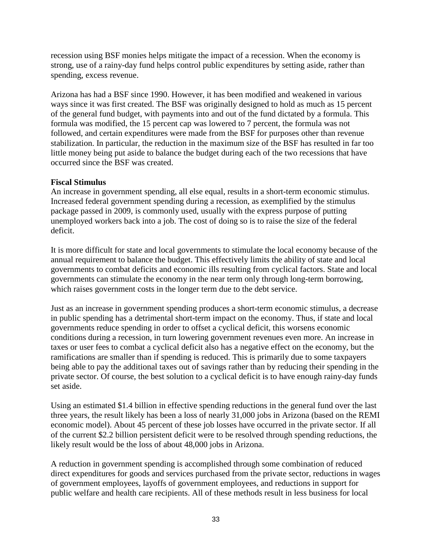recession using BSF monies helps mitigate the impact of a recession. When the economy is strong, use of a rainy-day fund helps control public expenditures by setting aside, rather than spending, excess revenue.

Arizona has had a BSF since 1990. However, it has been modified and weakened in various ways since it was first created. The BSF was originally designed to hold as much as 15 percent of the general fund budget, with payments into and out of the fund dictated by a formula. This formula was modified, the 15 percent cap was lowered to 7 percent, the formula was not followed, and certain expenditures were made from the BSF for purposes other than revenue stabilization. In particular, the reduction in the maximum size of the BSF has resulted in far too little money being put aside to balance the budget during each of the two recessions that have occurred since the BSF was created.

### **Fiscal Stimulus**

An increase in government spending, all else equal, results in a short-term economic stimulus. Increased federal government spending during a recession, as exemplified by the stimulus package passed in 2009, is commonly used, usually with the express purpose of putting unemployed workers back into a job. The cost of doing so is to raise the size of the federal deficit.

It is more difficult for state and local governments to stimulate the local economy because of the annual requirement to balance the budget. This effectively limits the ability of state and local governments to combat deficits and economic ills resulting from cyclical factors. State and local governments can stimulate the economy in the near term only through long-term borrowing, which raises government costs in the longer term due to the debt service.

Just as an increase in government spending produces a short-term economic stimulus, a decrease in public spending has a detrimental short-term impact on the economy. Thus, if state and local governments reduce spending in order to offset a cyclical deficit, this worsens economic conditions during a recession, in turn lowering government revenues even more. An increase in taxes or user fees to combat a cyclical deficit also has a negative effect on the economy, but the ramifications are smaller than if spending is reduced. This is primarily due to some taxpayers being able to pay the additional taxes out of savings rather than by reducing their spending in the private sector. Of course, the best solution to a cyclical deficit is to have enough rainy-day funds set aside.

Using an estimated \$1.4 billion in effective spending reductions in the general fund over the last three years, the result likely has been a loss of nearly 31,000 jobs in Arizona (based on the REMI economic model). About 45 percent of these job losses have occurred in the private sector. If all of the current \$2.2 billion persistent deficit were to be resolved through spending reductions, the likely result would be the loss of about 48,000 jobs in Arizona.

A reduction in government spending is accomplished through some combination of reduced direct expenditures for goods and services purchased from the private sector, reductions in wages of government employees, layoffs of government employees, and reductions in support for public welfare and health care recipients. All of these methods result in less business for local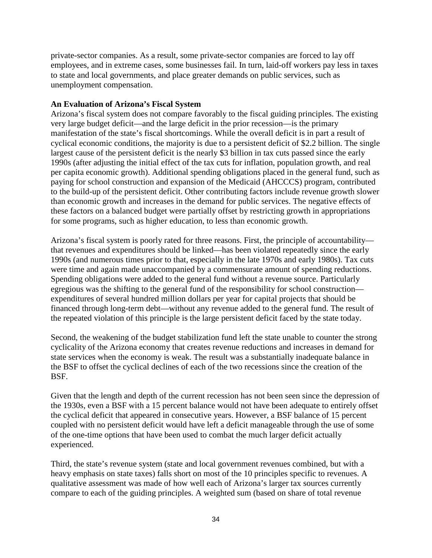private-sector companies. As a result, some private-sector companies are forced to lay off employees, and in extreme cases, some businesses fail. In turn, laid-off workers pay less in taxes to state and local governments, and place greater demands on public services, such as unemployment compensation.

### **An Evaluation of Arizona's Fiscal System**

Arizona's fiscal system does not compare favorably to the fiscal guiding principles. The existing very large budget deficit—and the large deficit in the prior recession—is the primary manifestation of the state's fiscal shortcomings. While the overall deficit is in part a result of cyclical economic conditions, the majority is due to a persistent deficit of \$2.2 billion. The single largest cause of the persistent deficit is the nearly \$3 billion in tax cuts passed since the early 1990s (after adjusting the initial effect of the tax cuts for inflation, population growth, and real per capita economic growth). Additional spending obligations placed in the general fund, such as paying for school construction and expansion of the Medicaid (AHCCCS) program, contributed to the build-up of the persistent deficit. Other contributing factors include revenue growth slower than economic growth and increases in the demand for public services. The negative effects of these factors on a balanced budget were partially offset by restricting growth in appropriations for some programs, such as higher education, to less than economic growth.

Arizona's fiscal system is poorly rated for three reasons. First, the principle of accountability that revenues and expenditures should be linked—has been violated repeatedly since the early 1990s (and numerous times prior to that, especially in the late 1970s and early 1980s). Tax cuts were time and again made unaccompanied by a commensurate amount of spending reductions. Spending obligations were added to the general fund without a revenue source. Particularly egregious was the shifting to the general fund of the responsibility for school construction expenditures of several hundred million dollars per year for capital projects that should be financed through long-term debt—without any revenue added to the general fund. The result of the repeated violation of this principle is the large persistent deficit faced by the state today.

Second, the weakening of the budget stabilization fund left the state unable to counter the strong cyclicality of the Arizona economy that creates revenue reductions and increases in demand for state services when the economy is weak. The result was a substantially inadequate balance in the BSF to offset the cyclical declines of each of the two recessions since the creation of the BSF.

Given that the length and depth of the current recession has not been seen since the depression of the 1930s, even a BSF with a 15 percent balance would not have been adequate to entirely offset the cyclical deficit that appeared in consecutive years. However, a BSF balance of 15 percent coupled with no persistent deficit would have left a deficit manageable through the use of some of the one-time options that have been used to combat the much larger deficit actually experienced.

Third, the state's revenue system (state and local government revenues combined, but with a heavy emphasis on state taxes) falls short on most of the 10 principles specific to revenues. A qualitative assessment was made of how well each of Arizona's larger tax sources currently compare to each of the guiding principles. A weighted sum (based on share of total revenue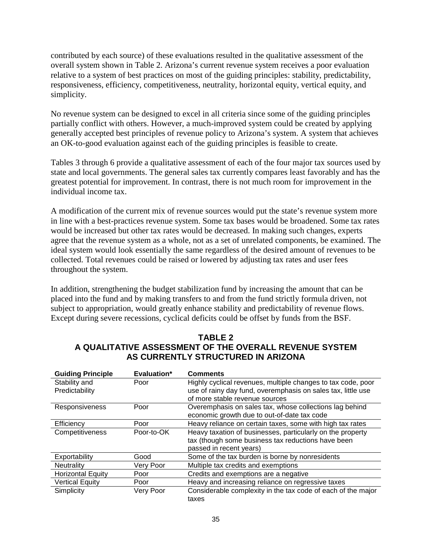contributed by each source) of these evaluations resulted in the qualitative assessment of the overall system shown in Table 2. Arizona's current revenue system receives a poor evaluation relative to a system of best practices on most of the guiding principles: stability, predictability, responsiveness, efficiency, competitiveness, neutrality, horizontal equity, vertical equity, and simplicity.

No revenue system can be designed to excel in all criteria since some of the guiding principles partially conflict with others. However, a much-improved system could be created by applying generally accepted best principles of revenue policy to Arizona's system. A system that achieves an OK-to-good evaluation against each of the guiding principles is feasible to create.

Tables 3 through 6 provide a qualitative assessment of each of the four major tax sources used by state and local governments. The general sales tax currently compares least favorably and has the greatest potential for improvement. In contrast, there is not much room for improvement in the individual income tax.

A modification of the current mix of revenue sources would put the state's revenue system more in line with a best-practices revenue system. Some tax bases would be broadened. Some tax rates would be increased but other tax rates would be decreased. In making such changes, experts agree that the revenue system as a whole, not as a set of unrelated components, be examined. The ideal system would look essentially the same regardless of the desired amount of revenues to be collected. Total revenues could be raised or lowered by adjusting tax rates and user fees throughout the system.

In addition, strengthening the budget stabilization fund by increasing the amount that can be placed into the fund and by making transfers to and from the fund strictly formula driven, not subject to appropriation, would greatly enhance stability and predictability of revenue flows. Except during severe recessions, cyclical deficits could be offset by funds from the BSF.

| <b>Guiding Principle</b> | Evaluation* | <b>Comments</b>                                              |
|--------------------------|-------------|--------------------------------------------------------------|
| Stability and            | Poor        | Highly cyclical revenues, multiple changes to tax code, poor |
| Predictability           |             | use of rainy day fund, overemphasis on sales tax, little use |
|                          |             | of more stable revenue sources                               |
| Responsiveness           | Poor        | Overemphasis on sales tax, whose collections lag behind      |
|                          |             | economic growth due to out-of-date tax code                  |
| Efficiency               | Poor        | Heavy reliance on certain taxes, some with high tax rates    |
| Competitiveness          | Poor-to-OK  | Heavy taxation of businesses, particularly on the property   |
|                          |             | tax (though some business tax reductions have been           |
|                          |             | passed in recent years)                                      |
| Exportability            | Good        | Some of the tax burden is borne by nonresidents              |
| Neutrality               | Very Poor   | Multiple tax credits and exemptions                          |
| <b>Horizontal Equity</b> | Poor        | Credits and exemptions are a negative                        |
| <b>Vertical Equity</b>   | Poor        | Heavy and increasing reliance on regressive taxes            |
| Simplicity               | Very Poor   | Considerable complexity in the tax code of each of the major |
|                          |             | taxes                                                        |

# **TABLE 2 A QUALITATIVE ASSESSMENT OF THE OVERALL REVENUE SYSTEM AS CURRENTLY STRUCTURED IN ARIZONA**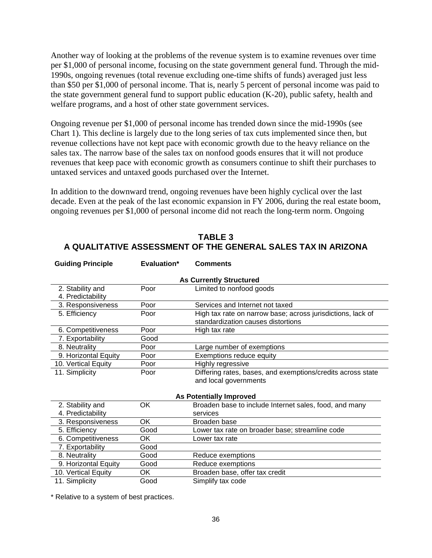Another way of looking at the problems of the revenue system is to examine revenues over time per \$1,000 of personal income, focusing on the state government general fund. Through the mid-1990s, ongoing revenues (total revenue excluding one-time shifts of funds) averaged just less than \$50 per \$1,000 of personal income. That is, nearly 5 percent of personal income was paid to the state government general fund to support public education (K-20), public safety, health and welfare programs, and a host of other state government services.

Ongoing revenue per \$1,000 of personal income has trended down since the mid-1990s (see Chart 1). This decline is largely due to the long series of tax cuts implemented since then, but revenue collections have not kept pace with economic growth due to the heavy reliance on the sales tax. The narrow base of the sales tax on nonfood goods ensures that it will not produce revenues that keep pace with economic growth as consumers continue to shift their purchases to untaxed services and untaxed goods purchased over the Internet.

In addition to the downward trend, ongoing revenues have been highly cyclical over the last decade. Even at the peak of the last economic expansion in FY 2006, during the real estate boom, ongoing revenues per \$1,000 of personal income did not reach the long-term norm. Ongoing

| ownania i mnono                |      |                                                             |  |  |  |
|--------------------------------|------|-------------------------------------------------------------|--|--|--|
| <b>As Currently Structured</b> |      |                                                             |  |  |  |
| 2. Stability and               | Poor | Limited to nonfood goods                                    |  |  |  |
| 4. Predictability              |      |                                                             |  |  |  |
| 3. Responsiveness              | Poor | Services and Internet not taxed                             |  |  |  |
| 5. Efficiency                  | Poor | High tax rate on narrow base; across jurisdictions, lack of |  |  |  |
|                                |      | standardization causes distortions                          |  |  |  |
| 6. Competitiveness             | Poor | High tax rate                                               |  |  |  |
| 7. Exportability               | Good |                                                             |  |  |  |
| 8. Neutrality                  | Poor | Large number of exemptions                                  |  |  |  |
| 9. Horizontal Equity           | Poor | Exemptions reduce equity                                    |  |  |  |
| 10. Vertical Equity            | Poor | Highly regressive                                           |  |  |  |
| 11. Simplicity                 | Poor | Differing rates, bases, and exemptions/credits across state |  |  |  |
|                                |      | and local governments                                       |  |  |  |
|                                |      |                                                             |  |  |  |
|                                |      | <b>As Potentially Improved</b>                              |  |  |  |
| 2. Stability and               | OK   | Broaden base to include Internet sales, food, and many      |  |  |  |
| 4. Predictability              |      | services                                                    |  |  |  |
| 3. Responsiveness              | OK   | Broaden base                                                |  |  |  |
| 5. Efficiency                  | Good | Lower tax rate on broader base; streamline code             |  |  |  |
| 6. Competitiveness             | ОK   | Lower tax rate                                              |  |  |  |
| 7. Exportability               | Good |                                                             |  |  |  |
| 8. Neutrality                  | Good | Reduce exemptions                                           |  |  |  |
| 9. Horizontal Equity           | Good | Reduce exemptions                                           |  |  |  |
| 10. Vertical Equity            | ОK   | Broaden base, offer tax credit                              |  |  |  |
| 11. Simplicity                 | Good | Simplify tax code                                           |  |  |  |

**TABLE 3 A QUALITATIVE ASSESSMENT OF THE GENERAL SALES TAX IN ARIZONA**

\* Relative to a system of best practices.

**Guiding Principle Evaluation\* Comments**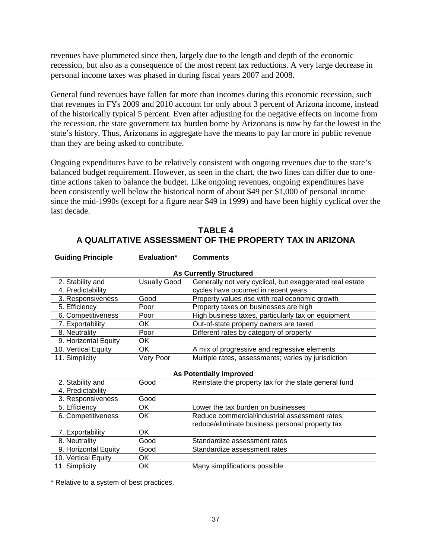revenues have plummeted since then, largely due to the length and depth of the economic recession, but also as a consequence of the most recent tax reductions. A very large decrease in personal income taxes was phased in during fiscal years 2007 and 2008.

General fund revenues have fallen far more than incomes during this economic recession, such that revenues in FYs 2009 and 2010 account for only about 3 percent of Arizona income, instead of the historically typical 5 percent. Even after adjusting for the negative effects on income from the recession, the state government tax burden borne by Arizonans is now by far the lowest in the state's history. Thus, Arizonans in aggregate have the means to pay far more in public revenue than they are being asked to contribute.

Ongoing expenditures have to be relatively consistent with ongoing revenues due to the state's balanced budget requirement. However, as seen in the chart, the two lines can differ due to onetime actions taken to balance the budget. Like ongoing revenues, ongoing expenditures have been consistently well below the historical norm of about \$49 per \$1,000 of personal income since the mid-1990s (except for a figure near \$49 in 1999) and have been highly cyclical over the last decade.

# **TABLE 4 A QUALITATIVE ASSESSMENT OF THE PROPERTY TAX IN ARIZONA**

| <b>Guiding Principle</b>       | Evaluation*         | <b>Comments</b>                                          |  |  |  |
|--------------------------------|---------------------|----------------------------------------------------------|--|--|--|
| <b>As Currently Structured</b> |                     |                                                          |  |  |  |
| 2. Stability and               | <b>Usually Good</b> | Generally not very cyclical, but exaggerated real estate |  |  |  |
| 4. Predictability              |                     | cycles have occurred in recent years                     |  |  |  |
| 3. Responsiveness              | Good                | Property values rise with real economic growth           |  |  |  |
| 5. Efficiency                  | Poor                | Property taxes on businesses are high                    |  |  |  |
| 6. Competitiveness             | Poor                | High business taxes, particularly tax on equipment       |  |  |  |
| 7. Exportability               | OK                  | Out-of-state property owners are taxed                   |  |  |  |
| 8. Neutrality                  | Poor                | Different rates by category of property                  |  |  |  |
| 9. Horizontal Equity           | OK                  |                                                          |  |  |  |
| 10. Vertical Equity            | OK                  | A mix of progressive and regressive elements             |  |  |  |
| 11. Simplicity                 | Very Poor           | Multiple rates, assessments; varies by jurisdiction      |  |  |  |
|                                |                     |                                                          |  |  |  |
|                                |                     | <b>As Potentially Improved</b>                           |  |  |  |
| 2. Stability and               | Good                | Reinstate the property tax for the state general fund    |  |  |  |
| 4. Predictability              |                     |                                                          |  |  |  |
| 3. Responsiveness              | Good                |                                                          |  |  |  |
| 5. Efficiency                  | OK                  | Lower the tax burden on businesses                       |  |  |  |
| 6. Competitiveness             | OK                  | Reduce commercial/industrial assessment rates;           |  |  |  |
|                                |                     | reduce/eliminate business personal property tax          |  |  |  |
| 7. Exportability               | <b>OK</b>           |                                                          |  |  |  |
| 8. Neutrality                  | Good                | Standardize assessment rates                             |  |  |  |
| 9. Horizontal Equity           | Good                | Standardize assessment rates                             |  |  |  |
| 10. Vertical Equity            | OK                  |                                                          |  |  |  |
| 11. Simplicity                 | OK                  | Many simplifications possible                            |  |  |  |

\* Relative to a system of best practices.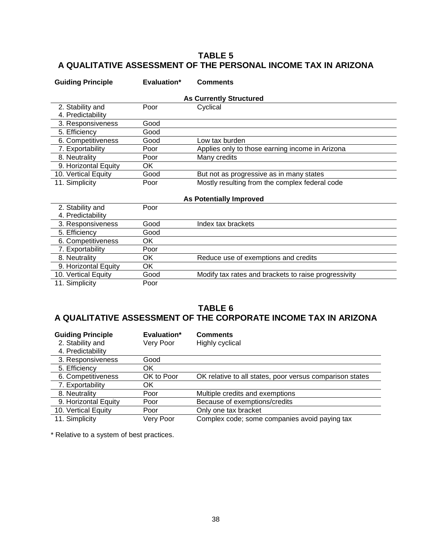# **TABLE 5 A QUALITATIVE ASSESSMENT OF THE PERSONAL INCOME TAX IN ARIZONA**

| <b>Guiding Principle</b> | Evaluation*                    | <b>Comments</b>                                      |  |  |  |
|--------------------------|--------------------------------|------------------------------------------------------|--|--|--|
|                          | <b>As Currently Structured</b> |                                                      |  |  |  |
| 2. Stability and         | Poor                           | Cyclical                                             |  |  |  |
| 4. Predictability        |                                |                                                      |  |  |  |
| 3. Responsiveness        | Good                           |                                                      |  |  |  |
| 5. Efficiency            | Good                           |                                                      |  |  |  |
| 6. Competitiveness       | Good                           | Low tax burden                                       |  |  |  |
| 7. Exportability         | Poor                           | Applies only to those earning income in Arizona      |  |  |  |
| 8. Neutrality            | Poor                           | Many credits                                         |  |  |  |
| 9. Horizontal Equity     | OK                             |                                                      |  |  |  |
| 10. Vertical Equity      | Good                           | But not as progressive as in many states             |  |  |  |
| 11. Simplicity           | Poor                           | Mostly resulting from the complex federal code       |  |  |  |
|                          |                                |                                                      |  |  |  |
|                          |                                | <b>As Potentially Improved</b>                       |  |  |  |
| 2. Stability and         | Poor                           |                                                      |  |  |  |
| 4. Predictability        |                                |                                                      |  |  |  |
| 3. Responsiveness        | Good                           | Index tax brackets                                   |  |  |  |
| 5. Efficiency            | Good                           |                                                      |  |  |  |
| 6. Competitiveness       | OK                             |                                                      |  |  |  |
| 7. Exportability         | Poor                           |                                                      |  |  |  |
| 8. Neutrality            | OK                             | Reduce use of exemptions and credits                 |  |  |  |
| 9. Horizontal Equity     | OK                             |                                                      |  |  |  |
| 10. Vertical Equity      | Good                           | Modify tax rates and brackets to raise progressivity |  |  |  |
| 11. Simplicity           | Poor                           |                                                      |  |  |  |
|                          |                                |                                                      |  |  |  |

### **TABLE 6 A QUALITATIVE ASSESSMENT OF THE CORPORATE INCOME TAX IN ARIZONA**

| <b>Guiding Principle</b> | Evaluation* | <b>Comments</b>                                          |
|--------------------------|-------------|----------------------------------------------------------|
| 2. Stability and         | Very Poor   | Highly cyclical                                          |
| 4. Predictability        |             |                                                          |
| 3. Responsiveness        | Good        |                                                          |
| 5. Efficiency            | ΟK          |                                                          |
| 6. Competitiveness       | OK to Poor  | OK relative to all states, poor versus comparison states |
| 7. Exportability         | ΟK          |                                                          |
| 8. Neutrality            | Poor        | Multiple credits and exemptions                          |
| 9. Horizontal Equity     | Poor        | Because of exemptions/credits                            |
| 10. Vertical Equity      | Poor        | Only one tax bracket                                     |
| 11. Simplicity           | Very Poor   | Complex code; some companies avoid paying tax            |

\* Relative to a system of best practices.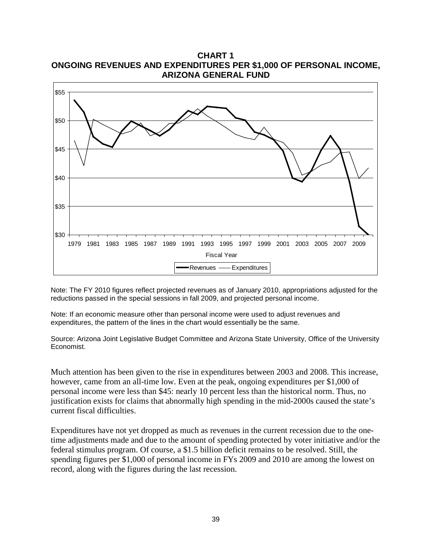**ARIZONA GENERAL FUND** \$30 \$35 \$40 \$45 \$50 \$55 1979 1981 1983 1985 1987 1989 1991 1993 1995 1997 1999 2001 2003 2005 2007 2009 Fiscal Year Revenues - Expenditures

**CHART 1 ONGOING REVENUES AND EXPENDITURES PER \$1,000 OF PERSONAL INCOME,** 

Note: The FY 2010 figures reflect projected revenues as of January 2010, appropriations adjusted for the reductions passed in the special sessions in fall 2009, and projected personal income.

Note: If an economic measure other than personal income were used to adjust revenues and expenditures, the pattern of the lines in the chart would essentially be the same.

Source: Arizona Joint Legislative Budget Committee and Arizona State University, Office of the University Economist.

Much attention has been given to the rise in expenditures between 2003 and 2008. This increase, however, came from an all-time low. Even at the peak, ongoing expenditures per \$1,000 of personal income were less than \$45: nearly 10 percent less than the historical norm. Thus, no justification exists for claims that abnormally high spending in the mid-2000s caused the state's current fiscal difficulties.

Expenditures have not yet dropped as much as revenues in the current recession due to the onetime adjustments made and due to the amount of spending protected by voter initiative and/or the federal stimulus program. Of course, a \$1.5 billion deficit remains to be resolved. Still, the spending figures per \$1,000 of personal income in FYs 2009 and 2010 are among the lowest on record, along with the figures during the last recession.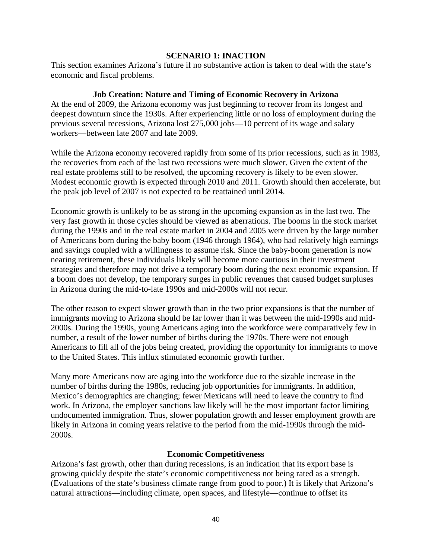#### **SCENARIO 1: INACTION**

This section examines Arizona's future if no substantive action is taken to deal with the state's economic and fiscal problems.

#### **Job Creation: Nature and Timing of Economic Recovery in Arizona**

At the end of 2009, the Arizona economy was just beginning to recover from its longest and deepest downturn since the 1930s. After experiencing little or no loss of employment during the previous several recessions, Arizona lost 275,000 jobs—10 percent of its wage and salary workers—between late 2007 and late 2009.

While the Arizona economy recovered rapidly from some of its prior recessions, such as in 1983, the recoveries from each of the last two recessions were much slower. Given the extent of the real estate problems still to be resolved, the upcoming recovery is likely to be even slower. Modest economic growth is expected through 2010 and 2011. Growth should then accelerate, but the peak job level of 2007 is not expected to be reattained until 2014.

Economic growth is unlikely to be as strong in the upcoming expansion as in the last two. The very fast growth in those cycles should be viewed as aberrations. The booms in the stock market during the 1990s and in the real estate market in 2004 and 2005 were driven by the large number of Americans born during the baby boom (1946 through 1964), who had relatively high earnings and savings coupled with a willingness to assume risk. Since the baby-boom generation is now nearing retirement, these individuals likely will become more cautious in their investment strategies and therefore may not drive a temporary boom during the next economic expansion. If a boom does not develop, the temporary surges in public revenues that caused budget surpluses in Arizona during the mid-to-late 1990s and mid-2000s will not recur.

The other reason to expect slower growth than in the two prior expansions is that the number of immigrants moving to Arizona should be far lower than it was between the mid-1990s and mid-2000s. During the 1990s, young Americans aging into the workforce were comparatively few in number, a result of the lower number of births during the 1970s. There were not enough Americans to fill all of the jobs being created, providing the opportunity for immigrants to move to the United States. This influx stimulated economic growth further.

Many more Americans now are aging into the workforce due to the sizable increase in the number of births during the 1980s, reducing job opportunities for immigrants. In addition, Mexico's demographics are changing; fewer Mexicans will need to leave the country to find work. In Arizona, the employer sanctions law likely will be the most important factor limiting undocumented immigration. Thus, slower population growth and lesser employment growth are likely in Arizona in coming years relative to the period from the mid-1990s through the mid-2000s.

#### **Economic Competitiveness**

Arizona's fast growth, other than during recessions, is an indication that its export base is growing quickly despite the state's economic competitiveness not being rated as a strength. (Evaluations of the state's business climate range from good to poor.) It is likely that Arizona's natural attractions—including climate, open spaces, and lifestyle—continue to offset its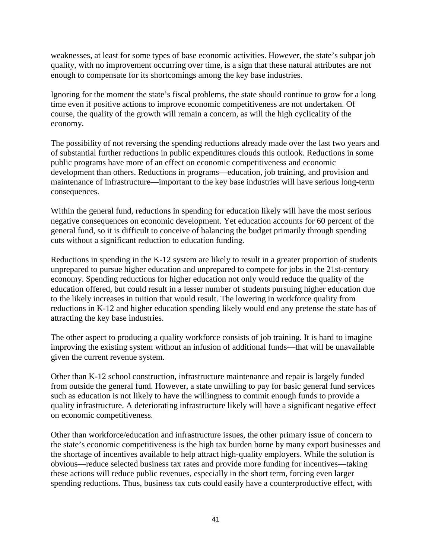weaknesses, at least for some types of base economic activities. However, the state's subpar job quality, with no improvement occurring over time, is a sign that these natural attributes are not enough to compensate for its shortcomings among the key base industries.

Ignoring for the moment the state's fiscal problems, the state should continue to grow for a long time even if positive actions to improve economic competitiveness are not undertaken. Of course, the quality of the growth will remain a concern, as will the high cyclicality of the economy.

The possibility of not reversing the spending reductions already made over the last two years and of substantial further reductions in public expenditures clouds this outlook. Reductions in some public programs have more of an effect on economic competitiveness and economic development than others. Reductions in programs—education, job training, and provision and maintenance of infrastructure—important to the key base industries will have serious long-term consequences.

Within the general fund, reductions in spending for education likely will have the most serious negative consequences on economic development. Yet education accounts for 60 percent of the general fund, so it is difficult to conceive of balancing the budget primarily through spending cuts without a significant reduction to education funding.

Reductions in spending in the K-12 system are likely to result in a greater proportion of students unprepared to pursue higher education and unprepared to compete for jobs in the 21st-century economy. Spending reductions for higher education not only would reduce the quality of the education offered, but could result in a lesser number of students pursuing higher education due to the likely increases in tuition that would result. The lowering in workforce quality from reductions in K-12 and higher education spending likely would end any pretense the state has of attracting the key base industries.

The other aspect to producing a quality workforce consists of job training. It is hard to imagine improving the existing system without an infusion of additional funds—that will be unavailable given the current revenue system.

Other than K-12 school construction, infrastructure maintenance and repair is largely funded from outside the general fund. However, a state unwilling to pay for basic general fund services such as education is not likely to have the willingness to commit enough funds to provide a quality infrastructure. A deteriorating infrastructure likely will have a significant negative effect on economic competitiveness.

Other than workforce/education and infrastructure issues, the other primary issue of concern to the state's economic competitiveness is the high tax burden borne by many export businesses and the shortage of incentives available to help attract high-quality employers. While the solution is obvious—reduce selected business tax rates and provide more funding for incentives—taking these actions will reduce public revenues, especially in the short term, forcing even larger spending reductions. Thus, business tax cuts could easily have a counterproductive effect, with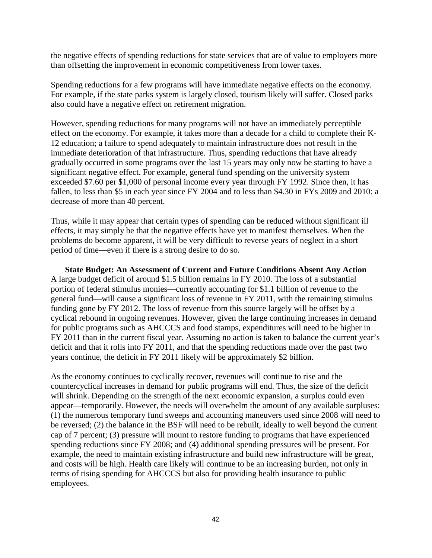the negative effects of spending reductions for state services that are of value to employers more than offsetting the improvement in economic competitiveness from lower taxes.

Spending reductions for a few programs will have immediate negative effects on the economy. For example, if the state parks system is largely closed, tourism likely will suffer. Closed parks also could have a negative effect on retirement migration.

However, spending reductions for many programs will not have an immediately perceptible effect on the economy. For example, it takes more than a decade for a child to complete their K-12 education; a failure to spend adequately to maintain infrastructure does not result in the immediate deterioration of that infrastructure. Thus, spending reductions that have already gradually occurred in some programs over the last 15 years may only now be starting to have a significant negative effect. For example, general fund spending on the university system exceeded \$7.60 per \$1,000 of personal income every year through FY 1992. Since then, it has fallen, to less than \$5 in each year since FY 2004 and to less than \$4.30 in FYs 2009 and 2010: a decrease of more than 40 percent.

Thus, while it may appear that certain types of spending can be reduced without significant ill effects, it may simply be that the negative effects have yet to manifest themselves. When the problems do become apparent, it will be very difficult to reverse years of neglect in a short period of time—even if there is a strong desire to do so.

**State Budget: An Assessment of Current and Future Conditions Absent Any Action** A large budget deficit of around \$1.5 billion remains in FY 2010. The loss of a substantial portion of federal stimulus monies—currently accounting for \$1.1 billion of revenue to the general fund—will cause a significant loss of revenue in FY 2011, with the remaining stimulus funding gone by FY 2012. The loss of revenue from this source largely will be offset by a cyclical rebound in ongoing revenues. However, given the large continuing increases in demand for public programs such as AHCCCS and food stamps, expenditures will need to be higher in FY 2011 than in the current fiscal year. Assuming no action is taken to balance the current year's deficit and that it rolls into FY 2011, and that the spending reductions made over the past two years continue, the deficit in FY 2011 likely will be approximately \$2 billion.

As the economy continues to cyclically recover, revenues will continue to rise and the countercyclical increases in demand for public programs will end. Thus, the size of the deficit will shrink. Depending on the strength of the next economic expansion, a surplus could even appear—temporarily. However, the needs will overwhelm the amount of any available surpluses: (1) the numerous temporary fund sweeps and accounting maneuvers used since 2008 will need to be reversed; (2) the balance in the BSF will need to be rebuilt, ideally to well beyond the current cap of 7 percent; (3) pressure will mount to restore funding to programs that have experienced spending reductions since FY 2008; and (4) additional spending pressures will be present. For example, the need to maintain existing infrastructure and build new infrastructure will be great, and costs will be high. Health care likely will continue to be an increasing burden, not only in terms of rising spending for AHCCCS but also for providing health insurance to public employees.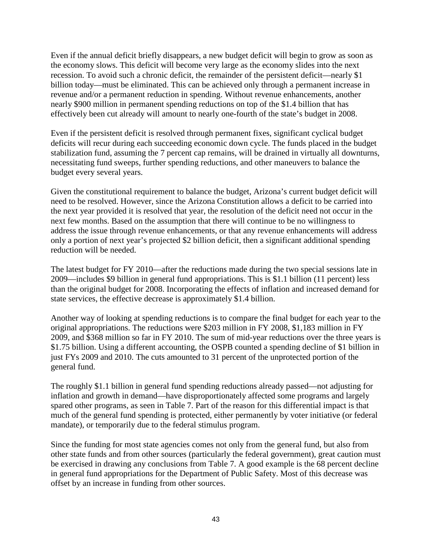Even if the annual deficit briefly disappears, a new budget deficit will begin to grow as soon as the economy slows. This deficit will become very large as the economy slides into the next recession. To avoid such a chronic deficit, the remainder of the persistent deficit—nearly \$1 billion today—must be eliminated. This can be achieved only through a permanent increase in revenue and/or a permanent reduction in spending. Without revenue enhancements, another nearly \$900 million in permanent spending reductions on top of the \$1.4 billion that has effectively been cut already will amount to nearly one-fourth of the state's budget in 2008.

Even if the persistent deficit is resolved through permanent fixes, significant cyclical budget deficits will recur during each succeeding economic down cycle. The funds placed in the budget stabilization fund, assuming the 7 percent cap remains, will be drained in virtually all downturns, necessitating fund sweeps, further spending reductions, and other maneuvers to balance the budget every several years.

Given the constitutional requirement to balance the budget, Arizona's current budget deficit will need to be resolved. However, since the Arizona Constitution allows a deficit to be carried into the next year provided it is resolved that year, the resolution of the deficit need not occur in the next few months. Based on the assumption that there will continue to be no willingness to address the issue through revenue enhancements, or that any revenue enhancements will address only a portion of next year's projected \$2 billion deficit, then a significant additional spending reduction will be needed.

The latest budget for FY 2010—after the reductions made during the two special sessions late in 2009—includes \$9 billion in general fund appropriations. This is \$1.1 billion (11 percent) less than the original budget for 2008. Incorporating the effects of inflation and increased demand for state services, the effective decrease is approximately \$1.4 billion.

Another way of looking at spending reductions is to compare the final budget for each year to the original appropriations. The reductions were \$203 million in FY 2008, \$1,183 million in FY 2009, and \$368 million so far in FY 2010. The sum of mid-year reductions over the three years is \$1.75 billion. Using a different accounting, the OSPB counted a spending decline of \$1 billion in just FYs 2009 and 2010. The cuts amounted to 31 percent of the unprotected portion of the general fund.

The roughly \$1.1 billion in general fund spending reductions already passed—not adjusting for inflation and growth in demand—have disproportionately affected some programs and largely spared other programs, as seen in Table 7. Part of the reason for this differential impact is that much of the general fund spending is protected, either permanently by voter initiative (or federal mandate), or temporarily due to the federal stimulus program.

Since the funding for most state agencies comes not only from the general fund, but also from other state funds and from other sources (particularly the federal government), great caution must be exercised in drawing any conclusions from Table 7. A good example is the 68 percent decline in general fund appropriations for the Department of Public Safety. Most of this decrease was offset by an increase in funding from other sources.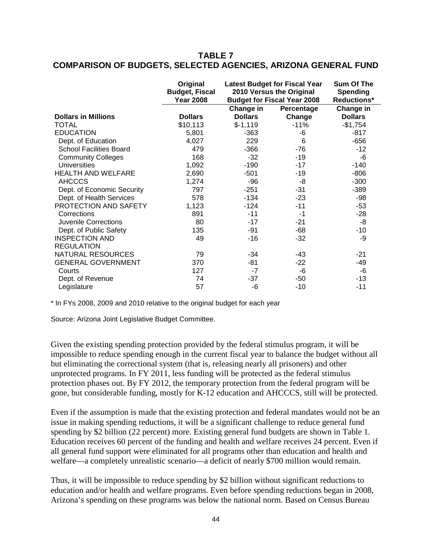### **TABLE 7 COMPARISON OF BUDGETS, SELECTED AGENCIES, ARIZONA GENERAL FUND**

|                                | Original<br><b>Budget, Fiscal</b><br><b>Year 2008</b> | <b>Latest Budget for Fiscal Year</b><br>2010 Versus the Original<br><b>Budget for Fiscal Year 2008</b> |            | Sum Of The<br><b>Spending</b><br><b>Reductions*</b> |  |
|--------------------------------|-------------------------------------------------------|--------------------------------------------------------------------------------------------------------|------------|-----------------------------------------------------|--|
|                                |                                                       | Change in                                                                                              | Percentage | Change in                                           |  |
| <b>Dollars in Millions</b>     | <b>Dollars</b>                                        | <b>Dollars</b>                                                                                         | Change     | <b>Dollars</b>                                      |  |
| <b>TOTAL</b>                   | \$10,113                                              | $$-1,119$                                                                                              | $-11%$     | $-$1,754$                                           |  |
| <b>EDUCATION</b>               | 5,801                                                 | $-363$                                                                                                 | -6         | $-817$                                              |  |
| Dept. of Education             | 4,027                                                 | 229                                                                                                    | 6          | $-656$                                              |  |
| <b>School Facilities Board</b> | 479                                                   | $-366$                                                                                                 | $-76$      | $-12$                                               |  |
| <b>Community Colleges</b>      | 168                                                   | $-32$                                                                                                  | $-19$      | -6                                                  |  |
| <b>Universities</b>            | 1,092                                                 | $-190$                                                                                                 | $-17$      | $-140$                                              |  |
| <b>HEALTH AND WELFARE</b>      | 2,690                                                 | $-501$                                                                                                 | -19        | $-806$                                              |  |
| <b>AHCCCS</b>                  | 1,274                                                 | -96                                                                                                    | -8         | $-300$                                              |  |
| Dept. of Economic Security     | 797                                                   | $-251$                                                                                                 | -31        | $-389$                                              |  |
| Dept. of Health Services       | 578                                                   | $-134$                                                                                                 | $-23$      | -98                                                 |  |
| PROTECTION AND SAFETY          | 1,123                                                 | $-124$                                                                                                 | $-11$      | $-53$                                               |  |
| Corrections                    | 891                                                   | $-11$                                                                                                  | $-1$       | $-28$                                               |  |
| Juvenile Corrections           | 80                                                    | $-17$                                                                                                  | $-21$      | -8                                                  |  |
| Dept. of Public Safety         | 135                                                   | -91                                                                                                    | $-68$      | -10                                                 |  |
| <b>INSPECTION AND</b>          | 49                                                    | $-16$                                                                                                  | $-32$      | -9                                                  |  |
| <b>REGULATION</b>              |                                                       |                                                                                                        |            |                                                     |  |
| <b>NATURAL RESOURCES</b>       | 79                                                    | $-34$                                                                                                  | -43        | -21                                                 |  |
| <b>GENERAL GOVERNMENT</b>      | 370                                                   | -81                                                                                                    | $-22$      | -49                                                 |  |
| Courts                         | 127                                                   | $-7$                                                                                                   | -6         | -6                                                  |  |
| Dept. of Revenue               | 74                                                    | $-37$                                                                                                  | -50        | $-13$                                               |  |
| Legislature                    | 57                                                    | -6                                                                                                     | $-10$      | $-11$                                               |  |

\* In FYs 2008, 2009 and 2010 relative to the original budget for each year

Source: Arizona Joint Legislative Budget Committee.

Given the existing spending protection provided by the federal stimulus program, it will be impossible to reduce spending enough in the current fiscal year to balance the budget without all but eliminating the correctional system (that is, releasing nearly all prisoners) and other unprotected programs. In FY 2011, less funding will be protected as the federal stimulus protection phases out. By FY 2012, the temporary protection from the federal program will be gone, but considerable funding, mostly for K-12 education and AHCCCS, still will be protected.

Even if the assumption is made that the existing protection and federal mandates would not be an issue in making spending reductions, it will be a significant challenge to reduce general fund spending by \$2 billion (22 percent) more. Existing general fund budgets are shown in Table 1. Education receives 60 percent of the funding and health and welfare receives 24 percent. Even if all general fund support were eliminated for all programs other than education and health and welfare—a completely unrealistic scenario—a deficit of nearly \$700 million would remain.

Thus, it will be impossible to reduce spending by \$2 billion without significant reductions to education and/or health and welfare programs. Even before spending reductions began in 2008, Arizona's spending on these programs was below the national norm. Based on Census Bureau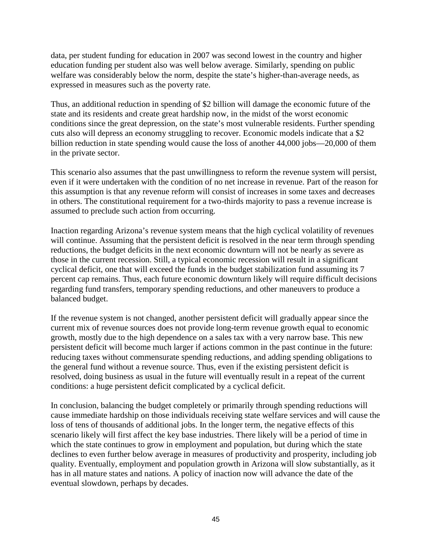data, per student funding for education in 2007 was second lowest in the country and higher education funding per student also was well below average. Similarly, spending on public welfare was considerably below the norm, despite the state's higher-than-average needs, as expressed in measures such as the poverty rate.

Thus, an additional reduction in spending of \$2 billion will damage the economic future of the state and its residents and create great hardship now, in the midst of the worst economic conditions since the great depression, on the state's most vulnerable residents. Further spending cuts also will depress an economy struggling to recover. Economic models indicate that a \$2 billion reduction in state spending would cause the loss of another 44,000 jobs—20,000 of them in the private sector.

This scenario also assumes that the past unwillingness to reform the revenue system will persist, even if it were undertaken with the condition of no net increase in revenue. Part of the reason for this assumption is that any revenue reform will consist of increases in some taxes and decreases in others. The constitutional requirement for a two-thirds majority to pass a revenue increase is assumed to preclude such action from occurring.

Inaction regarding Arizona's revenue system means that the high cyclical volatility of revenues will continue. Assuming that the persistent deficit is resolved in the near term through spending reductions, the budget deficits in the next economic downturn will not be nearly as severe as those in the current recession. Still, a typical economic recession will result in a significant cyclical deficit, one that will exceed the funds in the budget stabilization fund assuming its 7 percent cap remains. Thus, each future economic downturn likely will require difficult decisions regarding fund transfers, temporary spending reductions, and other maneuvers to produce a balanced budget.

If the revenue system is not changed, another persistent deficit will gradually appear since the current mix of revenue sources does not provide long-term revenue growth equal to economic growth, mostly due to the high dependence on a sales tax with a very narrow base. This new persistent deficit will become much larger if actions common in the past continue in the future: reducing taxes without commensurate spending reductions, and adding spending obligations to the general fund without a revenue source. Thus, even if the existing persistent deficit is resolved, doing business as usual in the future will eventually result in a repeat of the current conditions: a huge persistent deficit complicated by a cyclical deficit.

In conclusion, balancing the budget completely or primarily through spending reductions will cause immediate hardship on those individuals receiving state welfare services and will cause the loss of tens of thousands of additional jobs. In the longer term, the negative effects of this scenario likely will first affect the key base industries. There likely will be a period of time in which the state continues to grow in employment and population, but during which the state declines to even further below average in measures of productivity and prosperity, including job quality. Eventually, employment and population growth in Arizona will slow substantially, as it has in all mature states and nations. A policy of inaction now will advance the date of the eventual slowdown, perhaps by decades.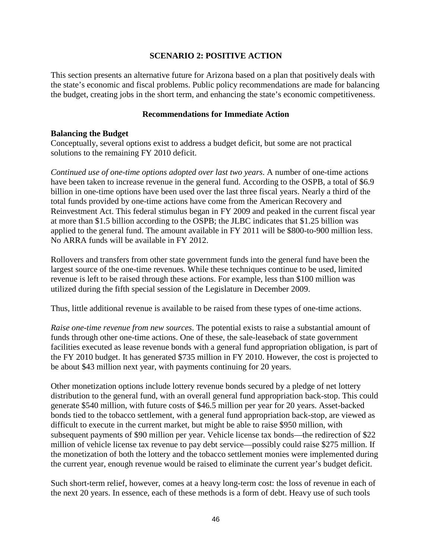#### **SCENARIO 2: POSITIVE ACTION**

This section presents an alternative future for Arizona based on a plan that positively deals with the state's economic and fiscal problems. Public policy recommendations are made for balancing the budget, creating jobs in the short term, and enhancing the state's economic competitiveness.

#### **Recommendations for Immediate Action**

#### **Balancing the Budget**

Conceptually, several options exist to address a budget deficit, but some are not practical solutions to the remaining FY 2010 deficit.

*Continued use of one-time options adopted over last two years*. A number of one-time actions have been taken to increase revenue in the general fund. According to the OSPB, a total of \$6.9 billion in one-time options have been used over the last three fiscal years. Nearly a third of the total funds provided by one-time actions have come from the American Recovery and Reinvestment Act. This federal stimulus began in FY 2009 and peaked in the current fiscal year at more than \$1.5 billion according to the OSPB; the JLBC indicates that \$1.25 billion was applied to the general fund. The amount available in FY 2011 will be \$800-to-900 million less. No ARRA funds will be available in FY 2012.

Rollovers and transfers from other state government funds into the general fund have been the largest source of the one-time revenues. While these techniques continue to be used, limited revenue is left to be raised through these actions. For example, less than \$100 million was utilized during the fifth special session of the Legislature in December 2009.

Thus, little additional revenue is available to be raised from these types of one-time actions.

*Raise one-time revenue from new sources*. The potential exists to raise a substantial amount of funds through other one-time actions. One of these, the sale-leaseback of state government facilities executed as lease revenue bonds with a general fund appropriation obligation, is part of the FY 2010 budget. It has generated \$735 million in FY 2010. However, the cost is projected to be about \$43 million next year, with payments continuing for 20 years.

Other monetization options include lottery revenue bonds secured by a pledge of net lottery distribution to the general fund, with an overall general fund appropriation back-stop. This could generate \$540 million, with future costs of \$46.5 million per year for 20 years. Asset-backed bonds tied to the tobacco settlement, with a general fund appropriation back-stop, are viewed as difficult to execute in the current market, but might be able to raise \$950 million, with subsequent payments of \$90 million per year. Vehicle license tax bonds—the redirection of \$22 million of vehicle license tax revenue to pay debt service—possibly could raise \$275 million. If the monetization of both the lottery and the tobacco settlement monies were implemented during the current year, enough revenue would be raised to eliminate the current year's budget deficit.

Such short-term relief, however, comes at a heavy long-term cost: the loss of revenue in each of the next 20 years. In essence, each of these methods is a form of debt. Heavy use of such tools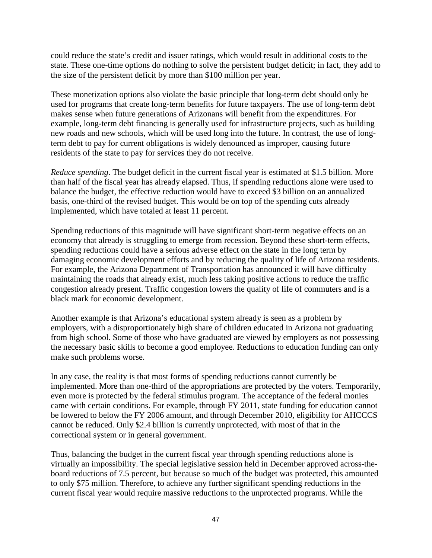could reduce the state's credit and issuer ratings, which would result in additional costs to the state. These one-time options do nothing to solve the persistent budget deficit; in fact, they add to the size of the persistent deficit by more than \$100 million per year.

These monetization options also violate the basic principle that long-term debt should only be used for programs that create long-term benefits for future taxpayers. The use of long-term debt makes sense when future generations of Arizonans will benefit from the expenditures. For example, long-term debt financing is generally used for infrastructure projects, such as building new roads and new schools, which will be used long into the future. In contrast, the use of longterm debt to pay for current obligations is widely denounced as improper, causing future residents of the state to pay for services they do not receive.

*Reduce spending*. The budget deficit in the current fiscal year is estimated at \$1.5 billion. More than half of the fiscal year has already elapsed. Thus, if spending reductions alone were used to balance the budget, the effective reduction would have to exceed \$3 billion on an annualized basis, one-third of the revised budget. This would be on top of the spending cuts already implemented, which have totaled at least 11 percent.

Spending reductions of this magnitude will have significant short-term negative effects on an economy that already is struggling to emerge from recession. Beyond these short-term effects, spending reductions could have a serious adverse effect on the state in the long term by damaging economic development efforts and by reducing the quality of life of Arizona residents. For example, the Arizona Department of Transportation has announced it will have difficulty maintaining the roads that already exist, much less taking positive actions to reduce the traffic congestion already present. Traffic congestion lowers the quality of life of commuters and is a black mark for economic development.

Another example is that Arizona's educational system already is seen as a problem by employers, with a disproportionately high share of children educated in Arizona not graduating from high school. Some of those who have graduated are viewed by employers as not possessing the necessary basic skills to become a good employee. Reductions to education funding can only make such problems worse.

In any case, the reality is that most forms of spending reductions cannot currently be implemented. More than one-third of the appropriations are protected by the voters. Temporarily, even more is protected by the federal stimulus program. The acceptance of the federal monies came with certain conditions. For example, through FY 2011, state funding for education cannot be lowered to below the FY 2006 amount, and through December 2010, eligibility for AHCCCS cannot be reduced. Only \$2.4 billion is currently unprotected, with most of that in the correctional system or in general government.

Thus, balancing the budget in the current fiscal year through spending reductions alone is virtually an impossibility. The special legislative session held in December approved across-theboard reductions of 7.5 percent, but because so much of the budget was protected, this amounted to only \$75 million. Therefore, to achieve any further significant spending reductions in the current fiscal year would require massive reductions to the unprotected programs. While the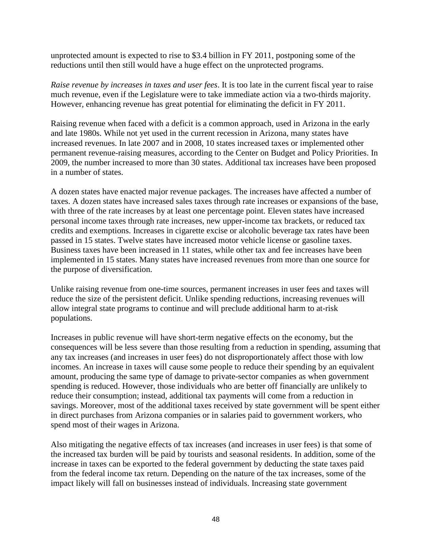unprotected amount is expected to rise to \$3.4 billion in FY 2011, postponing some of the reductions until then still would have a huge effect on the unprotected programs.

*Raise revenue by increases in taxes and user fees*. It is too late in the current fiscal year to raise much revenue, even if the Legislature were to take immediate action via a two-thirds majority. However, enhancing revenue has great potential for eliminating the deficit in FY 2011.

Raising revenue when faced with a deficit is a common approach, used in Arizona in the early and late 1980s. While not yet used in the current recession in Arizona, many states have increased revenues. In late 2007 and in 2008, 10 states increased taxes or implemented other permanent revenue-raising measures, according to the Center on Budget and Policy Priorities. In 2009, the number increased to more than 30 states. Additional tax increases have been proposed in a number of states.

A dozen states have enacted major revenue packages. The increases have affected a number of taxes. A dozen states have increased sales taxes through rate increases or expansions of the base, with three of the rate increases by at least one percentage point. Eleven states have increased personal income taxes through rate increases, new upper-income tax brackets, or reduced tax credits and exemptions. Increases in cigarette excise or alcoholic beverage tax rates have been passed in 15 states. Twelve states have increased motor vehicle license or gasoline taxes. Business taxes have been increased in 11 states, while other tax and fee increases have been implemented in 15 states. Many states have increased revenues from more than one source for the purpose of diversification.

Unlike raising revenue from one-time sources, permanent increases in user fees and taxes will reduce the size of the persistent deficit. Unlike spending reductions, increasing revenues will allow integral state programs to continue and will preclude additional harm to at-risk populations.

Increases in public revenue will have short-term negative effects on the economy, but the consequences will be less severe than those resulting from a reduction in spending, assuming that any tax increases (and increases in user fees) do not disproportionately affect those with low incomes. An increase in taxes will cause some people to reduce their spending by an equivalent amount, producing the same type of damage to private-sector companies as when government spending is reduced. However, those individuals who are better off financially are unlikely to reduce their consumption; instead, additional tax payments will come from a reduction in savings. Moreover, most of the additional taxes received by state government will be spent either in direct purchases from Arizona companies or in salaries paid to government workers, who spend most of their wages in Arizona.

Also mitigating the negative effects of tax increases (and increases in user fees) is that some of the increased tax burden will be paid by tourists and seasonal residents. In addition, some of the increase in taxes can be exported to the federal government by deducting the state taxes paid from the federal income tax return. Depending on the nature of the tax increases, some of the impact likely will fall on businesses instead of individuals. Increasing state government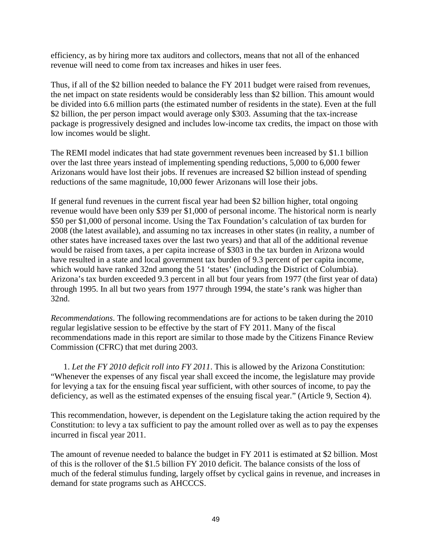efficiency, as by hiring more tax auditors and collectors, means that not all of the enhanced revenue will need to come from tax increases and hikes in user fees.

Thus, if all of the \$2 billion needed to balance the FY 2011 budget were raised from revenues, the net impact on state residents would be considerably less than \$2 billion. This amount would be divided into 6.6 million parts (the estimated number of residents in the state). Even at the full \$2 billion, the per person impact would average only \$303. Assuming that the tax-increase package is progressively designed and includes low-income tax credits, the impact on those with low incomes would be slight.

The REMI model indicates that had state government revenues been increased by \$1.1 billion over the last three years instead of implementing spending reductions, 5,000 to 6,000 fewer Arizonans would have lost their jobs. If revenues are increased \$2 billion instead of spending reductions of the same magnitude, 10,000 fewer Arizonans will lose their jobs.

If general fund revenues in the current fiscal year had been \$2 billion higher, total ongoing revenue would have been only \$39 per \$1,000 of personal income. The historical norm is nearly \$50 per \$1,000 of personal income. Using the Tax Foundation's calculation of tax burden for 2008 (the latest available), and assuming no tax increases in other states (in reality, a number of other states have increased taxes over the last two years) and that all of the additional revenue would be raised from taxes, a per capita increase of \$303 in the tax burden in Arizona would have resulted in a state and local government tax burden of 9.3 percent of per capita income, which would have ranked 32nd among the 51 'states' (including the District of Columbia). Arizona's tax burden exceeded 9.3 percent in all but four years from 1977 (the first year of data) through 1995. In all but two years from 1977 through 1994, the state's rank was higher than 32nd.

*Recommendations*. The following recommendations are for actions to be taken during the 2010 regular legislative session to be effective by the start of FY 2011. Many of the fiscal recommendations made in this report are similar to those made by the Citizens Finance Review Commission (CFRC) that met during 2003.

1. *Let the FY 2010 deficit roll into FY 2011*. This is allowed by the Arizona Constitution: "Whenever the expenses of any fiscal year shall exceed the income, the legislature may provide for levying a tax for the ensuing fiscal year sufficient, with other sources of income, to pay the deficiency, as well as the estimated expenses of the ensuing fiscal year." (Article 9, Section 4).

This recommendation, however, is dependent on the Legislature taking the action required by the Constitution: to levy a tax sufficient to pay the amount rolled over as well as to pay the expenses incurred in fiscal year 2011.

The amount of revenue needed to balance the budget in FY 2011 is estimated at \$2 billion. Most of this is the rollover of the \$1.5 billion FY 2010 deficit. The balance consists of the loss of much of the federal stimulus funding, largely offset by cyclical gains in revenue, and increases in demand for state programs such as AHCCCS.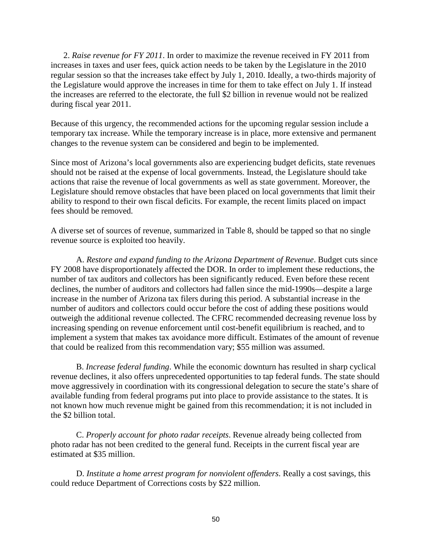2. *Raise revenue for FY 2011*. In order to maximize the revenue received in FY 2011 from increases in taxes and user fees, quick action needs to be taken by the Legislature in the 2010 regular session so that the increases take effect by July 1, 2010. Ideally, a two-thirds majority of the Legislature would approve the increases in time for them to take effect on July 1. If instead the increases are referred to the electorate, the full \$2 billion in revenue would not be realized during fiscal year 2011.

Because of this urgency, the recommended actions for the upcoming regular session include a temporary tax increase. While the temporary increase is in place, more extensive and permanent changes to the revenue system can be considered and begin to be implemented.

Since most of Arizona's local governments also are experiencing budget deficits, state revenues should not be raised at the expense of local governments. Instead, the Legislature should take actions that raise the revenue of local governments as well as state government. Moreover, the Legislature should remove obstacles that have been placed on local governments that limit their ability to respond to their own fiscal deficits. For example, the recent limits placed on impact fees should be removed.

A diverse set of sources of revenue, summarized in Table 8, should be tapped so that no single revenue source is exploited too heavily.

A. *Restore and expand funding to the Arizona Department of Revenue*. Budget cuts since FY 2008 have disproportionately affected the DOR. In order to implement these reductions, the number of tax auditors and collectors has been significantly reduced. Even before these recent declines, the number of auditors and collectors had fallen since the mid-1990s—despite a large increase in the number of Arizona tax filers during this period. A substantial increase in the number of auditors and collectors could occur before the cost of adding these positions would outweigh the additional revenue collected. The CFRC recommended decreasing revenue loss by increasing spending on revenue enforcement until cost-benefit equilibrium is reached, and to implement a system that makes tax avoidance more difficult. Estimates of the amount of revenue that could be realized from this recommendation vary; \$55 million was assumed.

B. *Increase federal funding*. While the economic downturn has resulted in sharp cyclical revenue declines, it also offers unprecedented opportunities to tap federal funds. The state should move aggressively in coordination with its congressional delegation to secure the state's share of available funding from federal programs put into place to provide assistance to the states. It is not known how much revenue might be gained from this recommendation; it is not included in the \$2 billion total.

C. *Properly account for photo radar receipts*. Revenue already being collected from photo radar has not been credited to the general fund. Receipts in the current fiscal year are estimated at \$35 million.

D. *Institute a home arrest program for nonviolent offenders*. Really a cost savings, this could reduce Department of Corrections costs by \$22 million.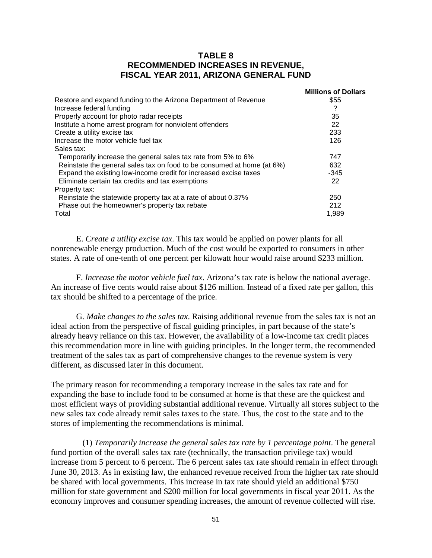#### **TABLE 8 RECOMMENDED INCREASES IN REVENUE, FISCAL YEAR 2011, ARIZONA GENERAL FUND**

|                                                                        | <b>Millions of Dollars</b> |
|------------------------------------------------------------------------|----------------------------|
| Restore and expand funding to the Arizona Department of Revenue        | \$55                       |
| Increase federal funding                                               | ?                          |
| Properly account for photo radar receipts                              | 35                         |
| Institute a home arrest program for nonviolent offenders               | 22                         |
| Create a utility excise tax                                            | 233                        |
| Increase the motor vehicle fuel tax                                    | 126                        |
| Sales tax:                                                             |                            |
| Temporarily increase the general sales tax rate from 5% to 6%          | 747                        |
| Reinstate the general sales tax on food to be consumed at home (at 6%) | 632                        |
| Expand the existing low-income credit for increased excise taxes       | $-345$                     |
| Eliminate certain tax credits and tax exemptions                       | 22                         |
| Property tax:                                                          |                            |
| Reinstate the statewide property tax at a rate of about 0.37%          | 250                        |
| Phase out the homeowner's property tax rebate                          | 212                        |
| Total                                                                  | 1,989                      |

E. *Create a utility excise tax*. This tax would be applied on power plants for all nonrenewable energy production. Much of the cost would be exported to consumers in other states. A rate of one-tenth of one percent per kilowatt hour would raise around \$233 million.

F. *Increase the motor vehicle fuel tax*. Arizona's tax rate is below the national average. An increase of five cents would raise about \$126 million. Instead of a fixed rate per gallon, this tax should be shifted to a percentage of the price.

G. *Make changes to the sales tax*. Raising additional revenue from the sales tax is not an ideal action from the perspective of fiscal guiding principles, in part because of the state's already heavy reliance on this tax. However, the availability of a low-income tax credit places this recommendation more in line with guiding principles. In the longer term, the recommended treatment of the sales tax as part of comprehensive changes to the revenue system is very different, as discussed later in this document.

The primary reason for recommending a temporary increase in the sales tax rate and for expanding the base to include food to be consumed at home is that these are the quickest and most efficient ways of providing substantial additional revenue. Virtually all stores subject to the new sales tax code already remit sales taxes to the state. Thus, the cost to the state and to the stores of implementing the recommendations is minimal.

(1) *Temporarily increase the general sales tax rate by 1 percentage point*. The general fund portion of the overall sales tax rate (technically, the transaction privilege tax) would increase from 5 percent to 6 percent. The 6 percent sales tax rate should remain in effect through June 30, 2013. As in existing law, the enhanced revenue received from the higher tax rate should be shared with local governments. This increase in tax rate should yield an additional \$750 million for state government and \$200 million for local governments in fiscal year 2011. As the economy improves and consumer spending increases, the amount of revenue collected will rise.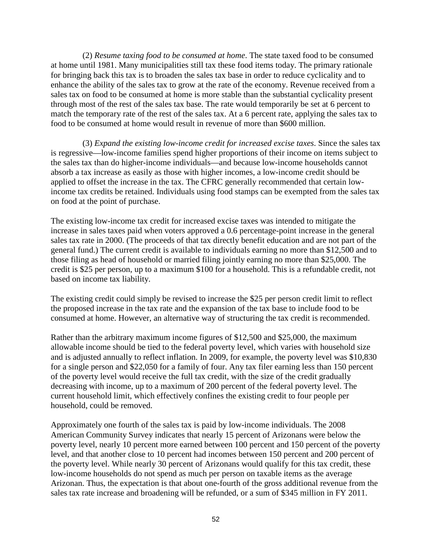(2) *Resume taxing food to be consumed at home*. The state taxed food to be consumed at home until 1981. Many municipalities still tax these food items today. The primary rationale for bringing back this tax is to broaden the sales tax base in order to reduce cyclicality and to enhance the ability of the sales tax to grow at the rate of the economy. Revenue received from a sales tax on food to be consumed at home is more stable than the substantial cyclicality present through most of the rest of the sales tax base. The rate would temporarily be set at 6 percent to match the temporary rate of the rest of the sales tax. At a 6 percent rate, applying the sales tax to food to be consumed at home would result in revenue of more than \$600 million.

(3) *Expand the existing low-income credit for increased excise taxes*. Since the sales tax is regressive—low-income families spend higher proportions of their income on items subject to the sales tax than do higher-income individuals—and because low-income households cannot absorb a tax increase as easily as those with higher incomes, a low-income credit should be applied to offset the increase in the tax. The CFRC generally recommended that certain lowincome tax credits be retained. Individuals using food stamps can be exempted from the sales tax on food at the point of purchase.

The existing low-income tax credit for increased excise taxes was intended to mitigate the increase in sales taxes paid when voters approved a 0.6 percentage-point increase in the general sales tax rate in 2000. (The proceeds of that tax directly benefit education and are not part of the general fund.) The current credit is available to individuals earning no more than \$12,500 and to those filing as head of household or married filing jointly earning no more than \$25,000. The credit is \$25 per person, up to a maximum \$100 for a household. This is a refundable credit, not based on income tax liability.

The existing credit could simply be revised to increase the \$25 per person credit limit to reflect the proposed increase in the tax rate and the expansion of the tax base to include food to be consumed at home. However, an alternative way of structuring the tax credit is recommended.

Rather than the arbitrary maximum income figures of \$12,500 and \$25,000, the maximum allowable income should be tied to the federal poverty level, which varies with household size and is adjusted annually to reflect inflation. In 2009, for example, the poverty level was \$10,830 for a single person and \$22,050 for a family of four. Any tax filer earning less than 150 percent of the poverty level would receive the full tax credit, with the size of the credit gradually decreasing with income, up to a maximum of 200 percent of the federal poverty level. The current household limit, which effectively confines the existing credit to four people per household, could be removed.

Approximately one fourth of the sales tax is paid by low-income individuals. The 2008 American Community Survey indicates that nearly 15 percent of Arizonans were below the poverty level, nearly 10 percent more earned between 100 percent and 150 percent of the poverty level, and that another close to 10 percent had incomes between 150 percent and 200 percent of the poverty level. While nearly 30 percent of Arizonans would qualify for this tax credit, these low-income households do not spend as much per person on taxable items as the average Arizonan. Thus, the expectation is that about one-fourth of the gross additional revenue from the sales tax rate increase and broadening will be refunded, or a sum of \$345 million in FY 2011.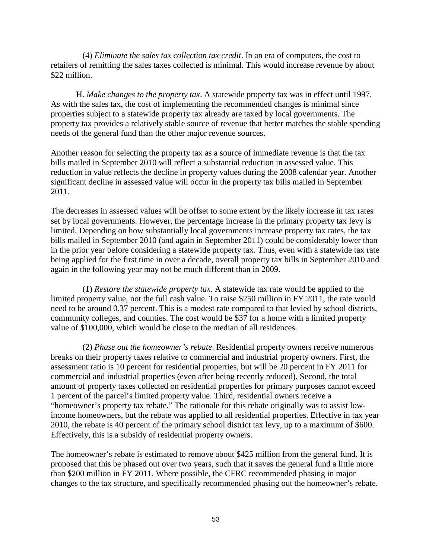(4) *Eliminate the sales tax collection tax credit*. In an era of computers, the cost to retailers of remitting the sales taxes collected is minimal. This would increase revenue by about \$22 million.

H. *Make changes to the property tax*. A statewide property tax was in effect until 1997. As with the sales tax, the cost of implementing the recommended changes is minimal since properties subject to a statewide property tax already are taxed by local governments. The property tax provides a relatively stable source of revenue that better matches the stable spending needs of the general fund than the other major revenue sources.

Another reason for selecting the property tax as a source of immediate revenue is that the tax bills mailed in September 2010 will reflect a substantial reduction in assessed value. This reduction in value reflects the decline in property values during the 2008 calendar year. Another significant decline in assessed value will occur in the property tax bills mailed in September 2011.

The decreases in assessed values will be offset to some extent by the likely increase in tax rates set by local governments. However, the percentage increase in the primary property tax levy is limited. Depending on how substantially local governments increase property tax rates, the tax bills mailed in September 2010 (and again in September 2011) could be considerably lower than in the prior year before considering a statewide property tax. Thus, even with a statewide tax rate being applied for the first time in over a decade, overall property tax bills in September 2010 and again in the following year may not be much different than in 2009.

(1) *Restore the statewide property tax*. A statewide tax rate would be applied to the limited property value, not the full cash value. To raise \$250 million in FY 2011, the rate would need to be around 0.37 percent. This is a modest rate compared to that levied by school districts, community colleges, and counties. The cost would be \$37 for a home with a limited property value of \$100,000, which would be close to the median of all residences.

(2) *Phase out the homeowner's rebate*. Residential property owners receive numerous breaks on their property taxes relative to commercial and industrial property owners. First, the assessment ratio is 10 percent for residential properties, but will be 20 percent in FY 2011 for commercial and industrial properties (even after being recently reduced). Second, the total amount of property taxes collected on residential properties for primary purposes cannot exceed 1 percent of the parcel's limited property value. Third, residential owners receive a "homeowner's property tax rebate." The rationale for this rebate originally was to assist lowincome homeowners, but the rebate was applied to all residential properties. Effective in tax year 2010, the rebate is 40 percent of the primary school district tax levy, up to a maximum of \$600. Effectively, this is a subsidy of residential property owners.

The homeowner's rebate is estimated to remove about \$425 million from the general fund. It is proposed that this be phased out over two years, such that it saves the general fund a little more than \$200 million in FY 2011. Where possible, the CFRC recommended phasing in major changes to the tax structure, and specifically recommended phasing out the homeowner's rebate.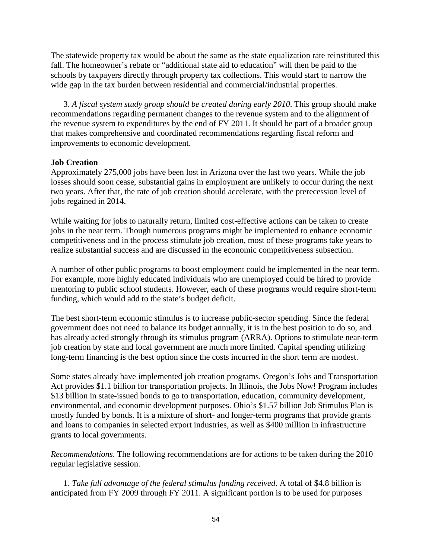The statewide property tax would be about the same as the state equalization rate reinstituted this fall. The homeowner's rebate or "additional state aid to education" will then be paid to the schools by taxpayers directly through property tax collections. This would start to narrow the wide gap in the tax burden between residential and commercial/industrial properties.

3. *A fiscal system study group should be created during early 2010*. This group should make recommendations regarding permanent changes to the revenue system and to the alignment of the revenue system to expenditures by the end of FY 2011. It should be part of a broader group that makes comprehensive and coordinated recommendations regarding fiscal reform and improvements to economic development.

### **Job Creation**

Approximately 275,000 jobs have been lost in Arizona over the last two years. While the job losses should soon cease, substantial gains in employment are unlikely to occur during the next two years. After that, the rate of job creation should accelerate, with the prerecession level of jobs regained in 2014.

While waiting for jobs to naturally return, limited cost-effective actions can be taken to create jobs in the near term. Though numerous programs might be implemented to enhance economic competitiveness and in the process stimulate job creation, most of these programs take years to realize substantial success and are discussed in the economic competitiveness subsection.

A number of other public programs to boost employment could be implemented in the near term. For example, more highly educated individuals who are unemployed could be hired to provide mentoring to public school students. However, each of these programs would require short-term funding, which would add to the state's budget deficit.

The best short-term economic stimulus is to increase public-sector spending. Since the federal government does not need to balance its budget annually, it is in the best position to do so, and has already acted strongly through its stimulus program (ARRA). Options to stimulate near-term job creation by state and local government are much more limited. Capital spending utilizing long-term financing is the best option since the costs incurred in the short term are modest.

Some states already have implemented job creation programs. Oregon's Jobs and Transportation Act provides \$1.1 billion for transportation projects. In Illinois, the Jobs Now! Program includes \$13 billion in state-issued bonds to go to transportation, education, community development, environmental, and economic development purposes. Ohio's \$1.57 billion Job Stimulus Plan is mostly funded by bonds. It is a mixture of short- and longer-term programs that provide grants and loans to companies in selected export industries, as well as \$400 million in infrastructure grants to local governments.

*Recommendations*. The following recommendations are for actions to be taken during the 2010 regular legislative session.

1. *Take full advantage of the federal stimulus funding received*. A total of \$4.8 billion is anticipated from FY 2009 through FY 2011. A significant portion is to be used for purposes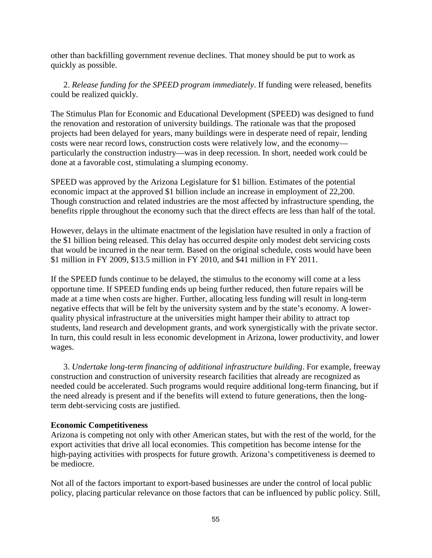other than backfilling government revenue declines. That money should be put to work as quickly as possible.

2. *Release funding for the SPEED program immediately*. If funding were released, benefits could be realized quickly.

The Stimulus Plan for Economic and Educational Development (SPEED) was designed to fund the renovation and restoration of university buildings. The rationale was that the proposed projects had been delayed for years, many buildings were in desperate need of repair, lending costs were near record lows, construction costs were relatively low, and the economy particularly the construction industry—was in deep recession. In short, needed work could be done at a favorable cost, stimulating a slumping economy.

SPEED was approved by the Arizona Legislature for \$1 billion. Estimates of the potential economic impact at the approved \$1 billion include an increase in employment of 22,200. Though construction and related industries are the most affected by infrastructure spending, the benefits ripple throughout the economy such that the direct effects are less than half of the total.

However, delays in the ultimate enactment of the legislation have resulted in only a fraction of the \$1 billion being released. This delay has occurred despite only modest debt servicing costs that would be incurred in the near term. Based on the original schedule, costs would have been \$1 million in FY 2009, \$13.5 million in FY 2010, and \$41 million in FY 2011.

If the SPEED funds continue to be delayed, the stimulus to the economy will come at a less opportune time. If SPEED funding ends up being further reduced, then future repairs will be made at a time when costs are higher. Further, allocating less funding will result in long-term negative effects that will be felt by the university system and by the state's economy. A lowerquality physical infrastructure at the universities might hamper their ability to attract top students, land research and development grants, and work synergistically with the private sector. In turn, this could result in less economic development in Arizona, lower productivity, and lower wages.

3. *Undertake long-term financing of additional infrastructure building*. For example, freeway construction and construction of university research facilities that already are recognized as needed could be accelerated. Such programs would require additional long-term financing, but if the need already is present and if the benefits will extend to future generations, then the longterm debt-servicing costs are justified.

#### **Economic Competitiveness**

Arizona is competing not only with other American states, but with the rest of the world, for the export activities that drive all local economies. This competition has become intense for the high-paying activities with prospects for future growth. Arizona's competitiveness is deemed to be mediocre.

Not all of the factors important to export-based businesses are under the control of local public policy, placing particular relevance on those factors that can be influenced by public policy. Still,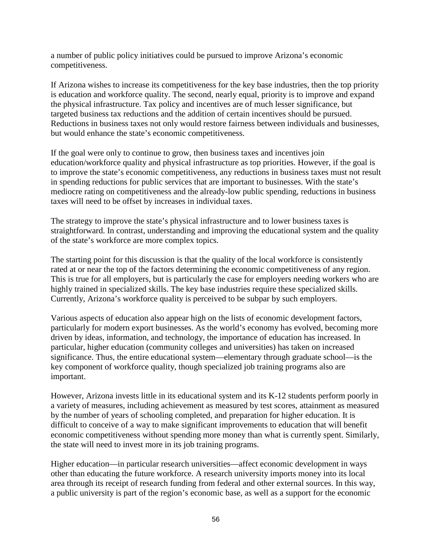a number of public policy initiatives could be pursued to improve Arizona's economic competitiveness.

If Arizona wishes to increase its competitiveness for the key base industries, then the top priority is education and workforce quality. The second, nearly equal, priority is to improve and expand the physical infrastructure. Tax policy and incentives are of much lesser significance, but targeted business tax reductions and the addition of certain incentives should be pursued. Reductions in business taxes not only would restore fairness between individuals and businesses, but would enhance the state's economic competitiveness.

If the goal were only to continue to grow, then business taxes and incentives join education/workforce quality and physical infrastructure as top priorities. However, if the goal is to improve the state's economic competitiveness, any reductions in business taxes must not result in spending reductions for public services that are important to businesses. With the state's mediocre rating on competitiveness and the already-low public spending, reductions in business taxes will need to be offset by increases in individual taxes.

The strategy to improve the state's physical infrastructure and to lower business taxes is straightforward. In contrast, understanding and improving the educational system and the quality of the state's workforce are more complex topics.

The starting point for this discussion is that the quality of the local workforce is consistently rated at or near the top of the factors determining the economic competitiveness of any region. This is true for all employers, but is particularly the case for employers needing workers who are highly trained in specialized skills. The key base industries require these specialized skills. Currently, Arizona's workforce quality is perceived to be subpar by such employers.

Various aspects of education also appear high on the lists of economic development factors, particularly for modern export businesses. As the world's economy has evolved, becoming more driven by ideas, information, and technology, the importance of education has increased. In particular, higher education (community colleges and universities) has taken on increased significance. Thus, the entire educational system—elementary through graduate school—is the key component of workforce quality, though specialized job training programs also are important.

However, Arizona invests little in its educational system and its K-12 students perform poorly in a variety of measures, including achievement as measured by test scores, attainment as measured by the number of years of schooling completed, and preparation for higher education. It is difficult to conceive of a way to make significant improvements to education that will benefit economic competitiveness without spending more money than what is currently spent. Similarly, the state will need to invest more in its job training programs.

Higher education—in particular research universities—affect economic development in ways other than educating the future workforce. A research university imports money into its local area through its receipt of research funding from federal and other external sources. In this way, a public university is part of the region's economic base, as well as a support for the economic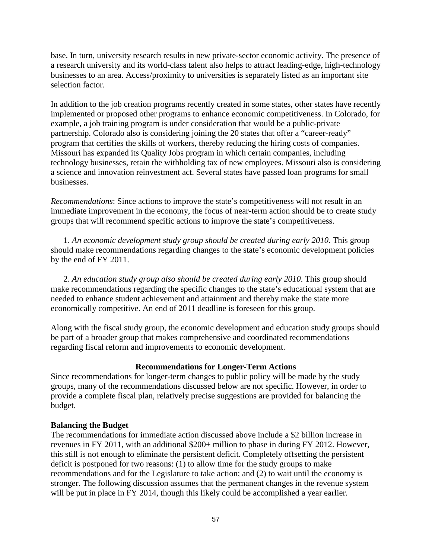base. In turn, university research results in new private-sector economic activity. The presence of a research university and its world-class talent also helps to attract leading-edge, high-technology businesses to an area. Access/proximity to universities is separately listed as an important site selection factor.

In addition to the job creation programs recently created in some states, other states have recently implemented or proposed other programs to enhance economic competitiveness. In Colorado, for example, a job training program is under consideration that would be a public-private partnership. Colorado also is considering joining the 20 states that offer a "career-ready" program that certifies the skills of workers, thereby reducing the hiring costs of companies. Missouri has expanded its Quality Jobs program in which certain companies, including technology businesses, retain the withholding tax of new employees. Missouri also is considering a science and innovation reinvestment act. Several states have passed loan programs for small businesses.

*Recommendations*: Since actions to improve the state's competitiveness will not result in an immediate improvement in the economy, the focus of near-term action should be to create study groups that will recommend specific actions to improve the state's competitiveness.

1. *An economic development study group should be created during early 2010*. This group should make recommendations regarding changes to the state's economic development policies by the end of FY 2011.

2. *An education study group also should be created during early 2010*. This group should make recommendations regarding the specific changes to the state's educational system that are needed to enhance student achievement and attainment and thereby make the state more economically competitive. An end of 2011 deadline is foreseen for this group.

Along with the fiscal study group, the economic development and education study groups should be part of a broader group that makes comprehensive and coordinated recommendations regarding fiscal reform and improvements to economic development.

## **Recommendations for Longer-Term Actions**

Since recommendations for longer-term changes to public policy will be made by the study groups, many of the recommendations discussed below are not specific. However, in order to provide a complete fiscal plan, relatively precise suggestions are provided for balancing the budget.

#### **Balancing the Budget**

The recommendations for immediate action discussed above include a \$2 billion increase in revenues in FY 2011, with an additional \$200+ million to phase in during FY 2012. However, this still is not enough to eliminate the persistent deficit. Completely offsetting the persistent deficit is postponed for two reasons: (1) to allow time for the study groups to make recommendations and for the Legislature to take action; and (2) to wait until the economy is stronger. The following discussion assumes that the permanent changes in the revenue system will be put in place in FY 2014, though this likely could be accomplished a year earlier.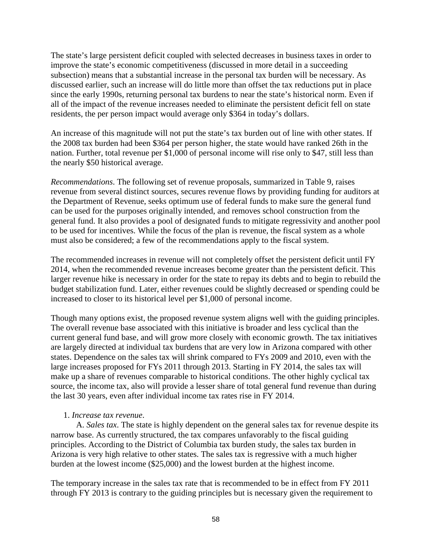The state's large persistent deficit coupled with selected decreases in business taxes in order to improve the state's economic competitiveness (discussed in more detail in a succeeding subsection) means that a substantial increase in the personal tax burden will be necessary. As discussed earlier, such an increase will do little more than offset the tax reductions put in place since the early 1990s, returning personal tax burdens to near the state's historical norm. Even if all of the impact of the revenue increases needed to eliminate the persistent deficit fell on state residents, the per person impact would average only \$364 in today's dollars.

An increase of this magnitude will not put the state's tax burden out of line with other states. If the 2008 tax burden had been \$364 per person higher, the state would have ranked 26th in the nation. Further, total revenue per \$1,000 of personal income will rise only to \$47, still less than the nearly \$50 historical average.

*Recommendations*. The following set of revenue proposals, summarized in Table 9, raises revenue from several distinct sources, secures revenue flows by providing funding for auditors at the Department of Revenue, seeks optimum use of federal funds to make sure the general fund can be used for the purposes originally intended, and removes school construction from the general fund. It also provides a pool of designated funds to mitigate regressivity and another pool to be used for incentives. While the focus of the plan is revenue, the fiscal system as a whole must also be considered; a few of the recommendations apply to the fiscal system.

The recommended increases in revenue will not completely offset the persistent deficit until FY 2014, when the recommended revenue increases become greater than the persistent deficit. This larger revenue hike is necessary in order for the state to repay its debts and to begin to rebuild the budget stabilization fund. Later, either revenues could be slightly decreased or spending could be increased to closer to its historical level per \$1,000 of personal income.

Though many options exist, the proposed revenue system aligns well with the guiding principles. The overall revenue base associated with this initiative is broader and less cyclical than the current general fund base, and will grow more closely with economic growth. The tax initiatives are largely directed at individual tax burdens that are very low in Arizona compared with other states. Dependence on the sales tax will shrink compared to FYs 2009 and 2010, even with the large increases proposed for FYs 2011 through 2013. Starting in FY 2014, the sales tax will make up a share of revenues comparable to historical conditions. The other highly cyclical tax source, the income tax, also will provide a lesser share of total general fund revenue than during the last 30 years, even after individual income tax rates rise in FY 2014.

#### 1. *Increase tax revenue*.

A. *Sales tax*. The state is highly dependent on the general sales tax for revenue despite its narrow base. As currently structured, the tax compares unfavorably to the fiscal guiding principles. According to the District of Columbia tax burden study, the sales tax burden in Arizona is very high relative to other states. The sales tax is regressive with a much higher burden at the lowest income (\$25,000) and the lowest burden at the highest income.

The temporary increase in the sales tax rate that is recommended to be in effect from FY 2011 through FY 2013 is contrary to the guiding principles but is necessary given the requirement to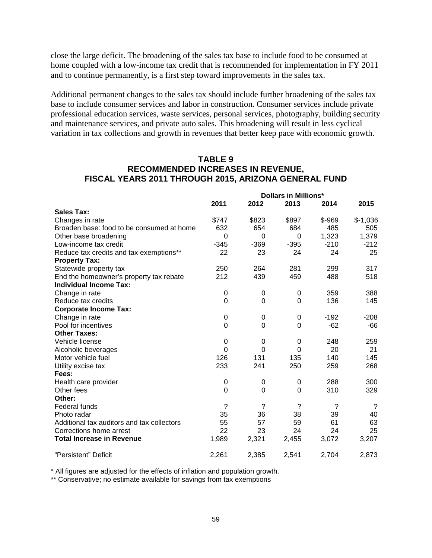close the large deficit. The broadening of the sales tax base to include food to be consumed at home coupled with a low-income tax credit that is recommended for implementation in FY 2011 and to continue permanently, is a first step toward improvements in the sales tax.

Additional permanent changes to the sales tax should include further broadening of the sales tax base to include consumer services and labor in construction. Consumer services include private professional education services, waste services, personal services, photography, building security and maintenance services, and private auto sales. This broadening will result in less cyclical variation in tax collections and growth in revenues that better keep pace with economic growth.

### **TABLE 9 RECOMMENDED INCREASES IN REVENUE, FISCAL YEARS 2011 THROUGH 2015, ARIZONA GENERAL FUND**

|                                            | <b>Dollars in Millions*</b> |             |             |          |                          |
|--------------------------------------------|-----------------------------|-------------|-------------|----------|--------------------------|
|                                            | 2011                        | 2012        | 2013        | 2014     | 2015                     |
| <b>Sales Tax:</b>                          |                             |             |             |          |                          |
| Changes in rate                            | \$747                       | \$823       | \$897       | $$ -969$ | $$-1,036$                |
| Broaden base: food to be consumed at home  | 632                         | 654         | 684         | 485      | 505                      |
| Other base broadening                      | 0                           | 0           | 0           | 1,323    | 1,379                    |
| Low-income tax credit                      | $-345$                      | $-369$      | $-395$      | $-210$   | $-212$                   |
| Reduce tax credits and tax exemptions**    | 22                          | 23          | 24          | 24       | 25                       |
| <b>Property Tax:</b>                       |                             |             |             |          |                          |
| Statewide property tax                     | 250                         | 264         | 281         | 299      | 317                      |
| End the homeowner's property tax rebate    | 212                         | 439         | 459         | 488      | 518                      |
| <b>Individual Income Tax:</b>              |                             |             |             |          |                          |
| Change in rate                             | 0                           | 0           | 0           | 359      | 388                      |
| Reduce tax credits                         | 0                           | 0           | $\mathbf 0$ | 136      | 145                      |
| <b>Corporate Income Tax:</b>               |                             |             |             |          |                          |
| Change in rate                             | 0                           | 0           | 0           | $-192$   | $-208$                   |
| Pool for incentives                        | 0                           | $\mathbf 0$ | $\mathbf 0$ | $-62$    | -66                      |
| <b>Other Taxes:</b>                        |                             |             |             |          |                          |
| Vehicle license                            | 0                           | 0           | 0           | 248      | 259                      |
| Alcoholic beverages                        | $\Omega$                    | $\Omega$    | $\Omega$    | 20       | 21                       |
| Motor vehicle fuel                         | 126                         | 131         | 135         | 140      | 145                      |
| Utility excise tax                         | 233                         | 241         | 250         | 259      | 268                      |
| Fees:                                      |                             |             |             |          |                          |
| Health care provider                       | 0                           | 0           | 0           | 288      | 300                      |
| Other fees                                 | 0                           | $\mathbf 0$ | $\mathbf 0$ | 310      | 329                      |
| Other:                                     |                             |             |             |          |                          |
| Federal funds                              | $\overline{\phantom{0}}$    | ?           | ?           | ?        | $\overline{\mathcal{C}}$ |
| Photo radar                                | 35                          | 36          | 38          | 39       | 40                       |
| Additional tax auditors and tax collectors | 55                          | 57          | 59          | 61       | 63                       |
| Corrections home arrest                    | 22                          | 23          | 24          | 24       | 25                       |
| <b>Total Increase in Revenue</b>           | 1,989                       | 2,321       | 2,455       | 3,072    | 3,207                    |
| "Persistent" Deficit                       | 2,261                       | 2,385       | 2,541       | 2,704    | 2,873                    |

\* All figures are adjusted for the effects of inflation and population growth.

\*\* Conservative; no estimate available for savings from tax exemptions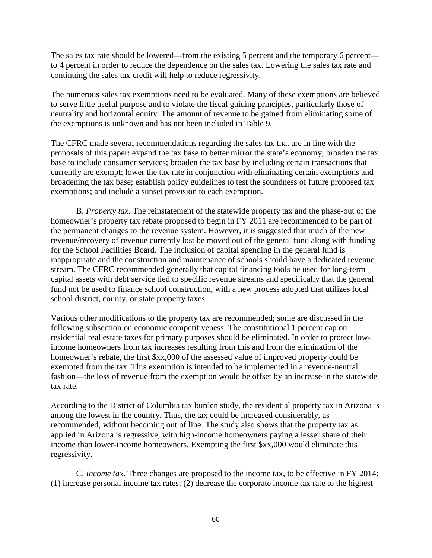The sales tax rate should be lowered—from the existing 5 percent and the temporary 6 percent to 4 percent in order to reduce the dependence on the sales tax. Lowering the sales tax rate and continuing the sales tax credit will help to reduce regressivity.

The numerous sales tax exemptions need to be evaluated. Many of these exemptions are believed to serve little useful purpose and to violate the fiscal guiding principles, particularly those of neutrality and horizontal equity. The amount of revenue to be gained from eliminating some of the exemptions is unknown and has not been included in Table 9.

The CFRC made several recommendations regarding the sales tax that are in line with the proposals of this paper: expand the tax base to better mirror the state's economy; broaden the tax base to include consumer services; broaden the tax base by including certain transactions that currently are exempt; lower the tax rate in conjunction with eliminating certain exemptions and broadening the tax base; establish policy guidelines to test the soundness of future proposed tax exemptions; and include a sunset provision to each exemption.

B. *Property tax*. The reinstatement of the statewide property tax and the phase-out of the homeowner's property tax rebate proposed to begin in FY 2011 are recommended to be part of the permanent changes to the revenue system. However, it is suggested that much of the new revenue/recovery of revenue currently lost be moved out of the general fund along with funding for the School Facilities Board. The inclusion of capital spending in the general fund is inappropriate and the construction and maintenance of schools should have a dedicated revenue stream. The CFRC recommended generally that capital financing tools be used for long-term capital assets with debt service tied to specific revenue streams and specifically that the general fund not be used to finance school construction, with a new process adopted that utilizes local school district, county, or state property taxes.

Various other modifications to the property tax are recommended; some are discussed in the following subsection on economic competitiveness. The constitutional 1 percent cap on residential real estate taxes for primary purposes should be eliminated. In order to protect lowincome homeowners from tax increases resulting from this and from the elimination of the homeowner's rebate, the first \$xx,000 of the assessed value of improved property could be exempted from the tax. This exemption is intended to be implemented in a revenue-neutral fashion—the loss of revenue from the exemption would be offset by an increase in the statewide tax rate.

According to the District of Columbia tax burden study, the residential property tax in Arizona is among the lowest in the country. Thus, the tax could be increased considerably, as recommended, without becoming out of line. The study also shows that the property tax as applied in Arizona is regressive, with high-income homeowners paying a lesser share of their income than lower-income homeowners. Exempting the first \$xx,000 would eliminate this regressivity.

C. *Income tax*. Three changes are proposed to the income tax, to be effective in FY 2014: (1) increase personal income tax rates; (2) decrease the corporate income tax rate to the highest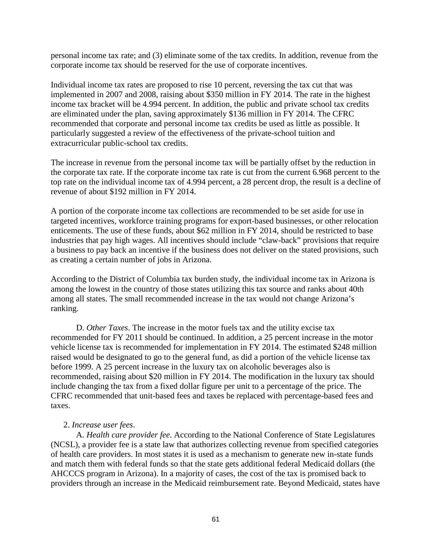personal income tax rate; and (3) eliminate some of the tax credits. In addition, revenue from the corporate income tax should be reserved for the use of corporate incentives.

Individual income tax rates are proposed to rise 10 percent, reversing the tax cut that was implemented in 2007 and 2008, raising about \$350 million in FY 2014. The rate in the highest income tax bracket will be 4.994 percent. In addition, the public and private school tax credits are eliminated under the plan, saving approximately \$136 million in FY 2014. The CFRC recommended that corporate and personal income tax credits be used as little as possible. It particularly suggested a review of the effectiveness of the private-school tuition and extracurricular public-school tax credits.

The increase in revenue from the personal income tax will be partially offset by the reduction in the corporate tax rate. If the corporate income tax rate is cut from the current 6.968 percent to the top rate on the individual income tax of 4.994 percent, a 28 percent drop, the result is a decline of revenue of about \$192 million in FY 2014.

A portion of the corporate income tax collections are recommended to be set aside for use in targeted incentives, workforce training programs for export-based businesses, or other relocation enticements. The use of these funds, about \$62 million in FY 2014, should be restricted to base industries that pay high wages. All incentives should include "claw-back" provisions that require a business to pay back an incentive if the business does not deliver on the stated provisions, such as creating a certain number of jobs in Arizona.

According to the District of Columbia tax burden study, the individual income tax in Arizona is among the lowest in the country of those states utilizing this tax source and ranks about 40th among all states. The small recommended increase in the tax would not change Arizona's ranking.

D. *Other Taxes*. The increase in the motor fuels tax and the utility excise tax recommended for FY 2011 should be continued. In addition, a 25 percent increase in the motor vehicle license tax is recommended for implementation in FY 2014. The estimated \$248 million raised would be designated to go to the general fund, as did a portion of the vehicle license tax before 1999. A 25 percent increase in the luxury tax on alcoholic beverages also is recommended, raising about \$20 million in FY 2014. The modification in the luxury tax should include changing the tax from a fixed dollar figure per unit to a percentage of the price. The CFRC recommended that unit-based fees and taxes be replaced with percentage-based fees and taxes.

#### 2. *Increase user fees*.

A. *Health care provider fee*. According to the National Conference of State Legislatures (NCSL), a provider fee is a state law that authorizes collecting revenue from specified categories of health care providers. In most states it is used as a mechanism to generate new in-state funds and match them with federal funds so that the state gets additional federal Medicaid dollars (the AHCCCS program in Arizona). In a majority of cases, the cost of the tax is promised back to providers through an increase in the Medicaid reimbursement rate. Beyond Medicaid, states have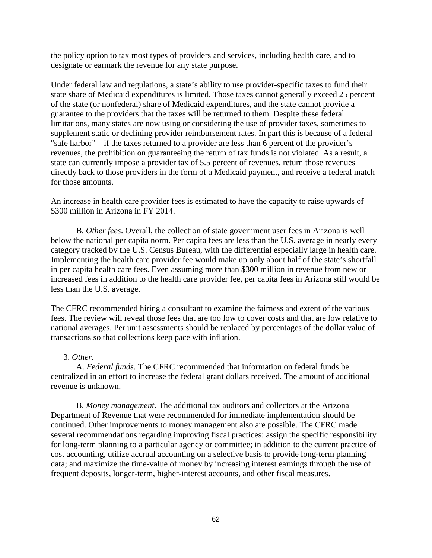the policy option to tax most types of providers and services, including health care, and to designate or earmark the revenue for any state purpose.

Under federal law and regulations, a state's ability to use provider-specific taxes to fund their state share of Medicaid expenditures is limited. Those taxes cannot generally exceed 25 percent of the state (or nonfederal) share of Medicaid expenditures, and the state cannot provide a guarantee to the providers that the taxes will be returned to them. Despite these federal limitations, many states are now using or considering the use of provider taxes, sometimes to supplement static or declining provider reimbursement rates. In part this is because of a federal "safe harbor"—if the taxes returned to a provider are less than 6 percent of the provider's revenues, the prohibition on guaranteeing the return of tax funds is not violated. As a result, a state can currently impose a provider tax of 5.5 percent of revenues, return those revenues directly back to those providers in the form of a Medicaid payment, and receive a federal match for those amounts.

An increase in health care provider fees is estimated to have the capacity to raise upwards of \$300 million in Arizona in FY 2014.

B. *Other fees*. Overall, the collection of state government user fees in Arizona is well below the national per capita norm. Per capita fees are less than the U.S. average in nearly every category tracked by the U.S. Census Bureau, with the differential especially large in health care. Implementing the health care provider fee would make up only about half of the state's shortfall in per capita health care fees. Even assuming more than \$300 million in revenue from new or increased fees in addition to the health care provider fee, per capita fees in Arizona still would be less than the U.S. average.

The CFRC recommended hiring a consultant to examine the fairness and extent of the various fees. The review will reveal those fees that are too low to cover costs and that are low relative to national averages. Per unit assessments should be replaced by percentages of the dollar value of transactions so that collections keep pace with inflation.

#### 3. *Other*.

A. *Federal funds*. The CFRC recommended that information on federal funds be centralized in an effort to increase the federal grant dollars received. The amount of additional revenue is unknown.

B. *Money management*. The additional tax auditors and collectors at the Arizona Department of Revenue that were recommended for immediate implementation should be continued. Other improvements to money management also are possible. The CFRC made several recommendations regarding improving fiscal practices: assign the specific responsibility for long-term planning to a particular agency or committee; in addition to the current practice of cost accounting, utilize accrual accounting on a selective basis to provide long-term planning data; and maximize the time-value of money by increasing interest earnings through the use of frequent deposits, longer-term, higher-interest accounts, and other fiscal measures.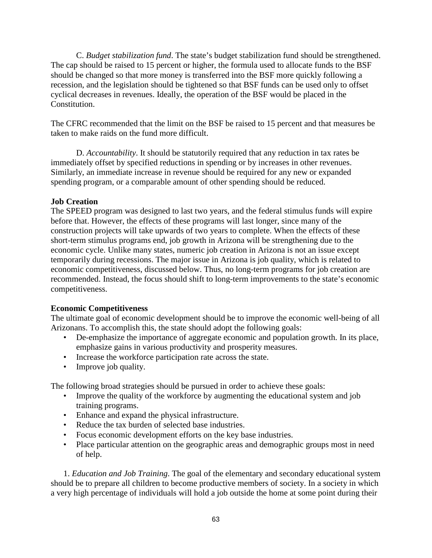C. *Budget stabilization fund*. The state's budget stabilization fund should be strengthened. The cap should be raised to 15 percent or higher, the formula used to allocate funds to the BSF should be changed so that more money is transferred into the BSF more quickly following a recession, and the legislation should be tightened so that BSF funds can be used only to offset cyclical decreases in revenues. Ideally, the operation of the BSF would be placed in the Constitution.

The CFRC recommended that the limit on the BSF be raised to 15 percent and that measures be taken to make raids on the fund more difficult.

D. *Accountability*. It should be statutorily required that any reduction in tax rates be immediately offset by specified reductions in spending or by increases in other revenues. Similarly, an immediate increase in revenue should be required for any new or expanded spending program, or a comparable amount of other spending should be reduced.

## **Job Creation**

The SPEED program was designed to last two years, and the federal stimulus funds will expire before that. However, the effects of these programs will last longer, since many of the construction projects will take upwards of two years to complete. When the effects of these short-term stimulus programs end, job growth in Arizona will be strengthening due to the economic cycle. Unlike many states, numeric job creation in Arizona is not an issue except temporarily during recessions. The major issue in Arizona is job quality, which is related to economic competitiveness, discussed below. Thus, no long-term programs for job creation are recommended. Instead, the focus should shift to long-term improvements to the state's economic competitiveness.

# **Economic Competitiveness**

The ultimate goal of economic development should be to improve the economic well-being of all Arizonans. To accomplish this, the state should adopt the following goals:

- De-emphasize the importance of aggregate economic and population growth. In its place, emphasize gains in various productivity and prosperity measures.
- Increase the workforce participation rate across the state.
- Improve job quality.

The following broad strategies should be pursued in order to achieve these goals:

- Improve the quality of the workforce by augmenting the educational system and job training programs.
- Enhance and expand the physical infrastructure.
- Reduce the tax burden of selected base industries.
- Focus economic development efforts on the key base industries.
- Place particular attention on the geographic areas and demographic groups most in need of help.

1. *Education and Job Training*. The goal of the elementary and secondary educational system should be to prepare all children to become productive members of society. In a society in which a very high percentage of individuals will hold a job outside the home at some point during their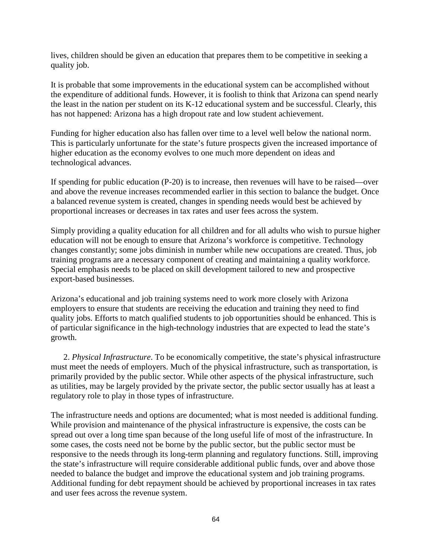lives, children should be given an education that prepares them to be competitive in seeking a quality job.

It is probable that some improvements in the educational system can be accomplished without the expenditure of additional funds. However, it is foolish to think that Arizona can spend nearly the least in the nation per student on its K-12 educational system and be successful. Clearly, this has not happened: Arizona has a high dropout rate and low student achievement.

Funding for higher education also has fallen over time to a level well below the national norm. This is particularly unfortunate for the state's future prospects given the increased importance of higher education as the economy evolves to one much more dependent on ideas and technological advances.

If spending for public education (P-20) is to increase, then revenues will have to be raised—over and above the revenue increases recommended earlier in this section to balance the budget. Once a balanced revenue system is created, changes in spending needs would best be achieved by proportional increases or decreases in tax rates and user fees across the system.

Simply providing a quality education for all children and for all adults who wish to pursue higher education will not be enough to ensure that Arizona's workforce is competitive. Technology changes constantly; some jobs diminish in number while new occupations are created. Thus, job training programs are a necessary component of creating and maintaining a quality workforce. Special emphasis needs to be placed on skill development tailored to new and prospective export-based businesses.

Arizona's educational and job training systems need to work more closely with Arizona employers to ensure that students are receiving the education and training they need to find quality jobs. Efforts to match qualified students to job opportunities should be enhanced. This is of particular significance in the high-technology industries that are expected to lead the state's growth.

2. *Physical Infrastructure*. To be economically competitive, the state's physical infrastructure must meet the needs of employers. Much of the physical infrastructure, such as transportation, is primarily provided by the public sector. While other aspects of the physical infrastructure, such as utilities, may be largely provided by the private sector, the public sector usually has at least a regulatory role to play in those types of infrastructure.

The infrastructure needs and options are documented; what is most needed is additional funding. While provision and maintenance of the physical infrastructure is expensive, the costs can be spread out over a long time span because of the long useful life of most of the infrastructure. In some cases, the costs need not be borne by the public sector, but the public sector must be responsive to the needs through its long-term planning and regulatory functions. Still, improving the state's infrastructure will require considerable additional public funds, over and above those needed to balance the budget and improve the educational system and job training programs. Additional funding for debt repayment should be achieved by proportional increases in tax rates and user fees across the revenue system.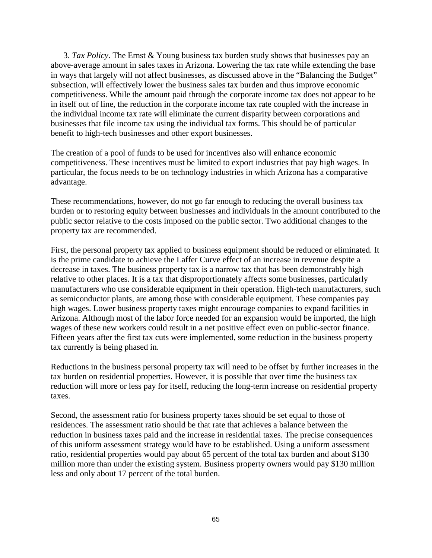3. *Tax Policy*. The Ernst & Young business tax burden study shows that businesses pay an above-average amount in sales taxes in Arizona. Lowering the tax rate while extending the base in ways that largely will not affect businesses, as discussed above in the "Balancing the Budget" subsection, will effectively lower the business sales tax burden and thus improve economic competitiveness. While the amount paid through the corporate income tax does not appear to be in itself out of line, the reduction in the corporate income tax rate coupled with the increase in the individual income tax rate will eliminate the current disparity between corporations and businesses that file income tax using the individual tax forms. This should be of particular benefit to high-tech businesses and other export businesses.

The creation of a pool of funds to be used for incentives also will enhance economic competitiveness. These incentives must be limited to export industries that pay high wages. In particular, the focus needs to be on technology industries in which Arizona has a comparative advantage.

These recommendations, however, do not go far enough to reducing the overall business tax burden or to restoring equity between businesses and individuals in the amount contributed to the public sector relative to the costs imposed on the public sector. Two additional changes to the property tax are recommended.

First, the personal property tax applied to business equipment should be reduced or eliminated. It is the prime candidate to achieve the Laffer Curve effect of an increase in revenue despite a decrease in taxes. The business property tax is a narrow tax that has been demonstrably high relative to other places. It is a tax that disproportionately affects some businesses, particularly manufacturers who use considerable equipment in their operation. High-tech manufacturers, such as semiconductor plants, are among those with considerable equipment. These companies pay high wages. Lower business property taxes might encourage companies to expand facilities in Arizona. Although most of the labor force needed for an expansion would be imported, the high wages of these new workers could result in a net positive effect even on public-sector finance. Fifteen years after the first tax cuts were implemented, some reduction in the business property tax currently is being phased in.

Reductions in the business personal property tax will need to be offset by further increases in the tax burden on residential properties. However, it is possible that over time the business tax reduction will more or less pay for itself, reducing the long-term increase on residential property taxes.

Second, the assessment ratio for business property taxes should be set equal to those of residences. The assessment ratio should be that rate that achieves a balance between the reduction in business taxes paid and the increase in residential taxes. The precise consequences of this uniform assessment strategy would have to be established. Using a uniform assessment ratio, residential properties would pay about 65 percent of the total tax burden and about \$130 million more than under the existing system. Business property owners would pay \$130 million less and only about 17 percent of the total burden.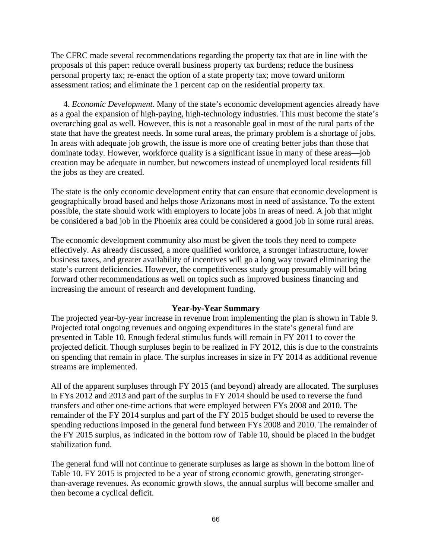The CFRC made several recommendations regarding the property tax that are in line with the proposals of this paper: reduce overall business property tax burdens; reduce the business personal property tax; re-enact the option of a state property tax; move toward uniform assessment ratios; and eliminate the 1 percent cap on the residential property tax.

4. *Economic Development*. Many of the state's economic development agencies already have as a goal the expansion of high-paying, high-technology industries. This must become the state's overarching goal as well. However, this is not a reasonable goal in most of the rural parts of the state that have the greatest needs. In some rural areas, the primary problem is a shortage of jobs. In areas with adequate job growth, the issue is more one of creating better jobs than those that dominate today. However, workforce quality is a significant issue in many of these areas—job creation may be adequate in number, but newcomers instead of unemployed local residents fill the jobs as they are created.

The state is the only economic development entity that can ensure that economic development is geographically broad based and helps those Arizonans most in need of assistance. To the extent possible, the state should work with employers to locate jobs in areas of need. A job that might be considered a bad job in the Phoenix area could be considered a good job in some rural areas.

The economic development community also must be given the tools they need to compete effectively. As already discussed, a more qualified workforce, a stronger infrastructure, lower business taxes, and greater availability of incentives will go a long way toward eliminating the state's current deficiencies. However, the competitiveness study group presumably will bring forward other recommendations as well on topics such as improved business financing and increasing the amount of research and development funding.

#### **Year-by-Year Summary**

The projected year-by-year increase in revenue from implementing the plan is shown in Table 9. Projected total ongoing revenues and ongoing expenditures in the state's general fund are presented in Table 10. Enough federal stimulus funds will remain in FY 2011 to cover the projected deficit. Though surpluses begin to be realized in FY 2012, this is due to the constraints on spending that remain in place. The surplus increases in size in FY 2014 as additional revenue streams are implemented.

All of the apparent surpluses through FY 2015 (and beyond) already are allocated. The surpluses in FYs 2012 and 2013 and part of the surplus in FY 2014 should be used to reverse the fund transfers and other one-time actions that were employed between FYs 2008 and 2010. The remainder of the FY 2014 surplus and part of the FY 2015 budget should be used to reverse the spending reductions imposed in the general fund between FYs 2008 and 2010. The remainder of the FY 2015 surplus, as indicated in the bottom row of Table 10, should be placed in the budget stabilization fund.

The general fund will not continue to generate surpluses as large as shown in the bottom line of Table 10. FY 2015 is projected to be a year of strong economic growth, generating strongerthan-average revenues. As economic growth slows, the annual surplus will become smaller and then become a cyclical deficit.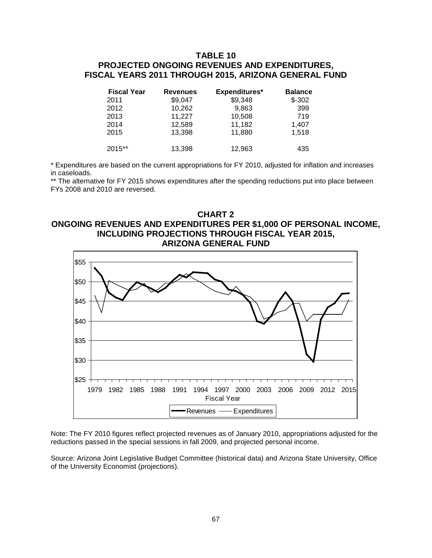### **TABLE 10 PROJECTED ONGOING REVENUES AND EXPENDITURES, FISCAL YEARS 2011 THROUGH 2015, ARIZONA GENERAL FUND**

| <b>Fiscal Year</b> | <b>Revenues</b> | Expenditures* | <b>Balance</b> |
|--------------------|-----------------|---------------|----------------|
| 2011               | \$9,047         | \$9,348       | $$-302$        |
| 2012               | 10,262          | 9,863         | 399            |
| 2013               | 11,227          | 10,508        | 719            |
| 2014               | 12,589          | 11,182        | 1,407          |
| 2015               | 13,398          | 11,880        | 1,518          |
| 2015**             | 13,398          | 12,963        | 435            |

\* Expenditures are based on the current appropriations for FY 2010, adjusted for inflation and increases in caseloads.

\*\* The alternative for FY 2015 shows expenditures after the spending reductions put into place between FYs 2008 and 2010 are reversed.

#### **CHART 2 ONGOING REVENUES AND EXPENDITURES PER \$1,000 OF PERSONAL INCOME, INCLUDING PROJECTIONS THROUGH FISCAL YEAR 2015, ARIZONA GENERAL FUND**



Note: The FY 2010 figures reflect projected revenues as of January 2010, appropriations adjusted for the reductions passed in the special sessions in fall 2009, and projected personal income.

Source: Arizona Joint Legislative Budget Committee (historical data) and Arizona State University, Office of the University Economist (projections).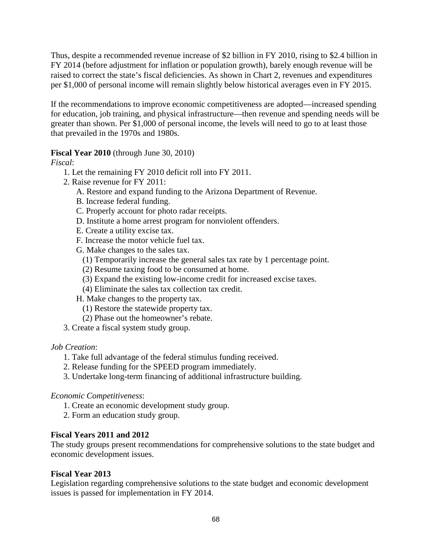Thus, despite a recommended revenue increase of \$2 billion in FY 2010, rising to \$2.4 billion in FY 2014 (before adjustment for inflation or population growth), barely enough revenue will be raised to correct the state's fiscal deficiencies. As shown in Chart 2, revenues and expenditures per \$1,000 of personal income will remain slightly below historical averages even in FY 2015.

If the recommendations to improve economic competitiveness are adopted—increased spending for education, job training, and physical infrastructure—then revenue and spending needs will be greater than shown. Per \$1,000 of personal income, the levels will need to go to at least those that prevailed in the 1970s and 1980s.

## **Fiscal Year 2010** (through June 30, 2010)

*Fiscal*:

- 1. Let the remaining FY 2010 deficit roll into FY 2011.
- 2. Raise revenue for FY 2011:
	- A. Restore and expand funding to the Arizona Department of Revenue.
	- B. Increase federal funding.
	- C. Properly account for photo radar receipts.
	- D. Institute a home arrest program for nonviolent offenders.
	- E. Create a utility excise tax.
	- F. Increase the motor vehicle fuel tax.
	- G. Make changes to the sales tax.
		- (1) Temporarily increase the general sales tax rate by 1 percentage point.
		- (2) Resume taxing food to be consumed at home.
		- (3) Expand the existing low-income credit for increased excise taxes.
		- (4) Eliminate the sales tax collection tax credit.
	- H. Make changes to the property tax.
		- (1) Restore the statewide property tax.
		- (2) Phase out the homeowner's rebate.
- 3. Create a fiscal system study group.

## *Job Creation*:

- 1. Take full advantage of the federal stimulus funding received.
- 2. Release funding for the SPEED program immediately.
- 3. Undertake long-term financing of additional infrastructure building.

## *Economic Competitiveness*:

- 1. Create an economic development study group.
- 2. Form an education study group.

# **Fiscal Years 2011 and 2012**

The study groups present recommendations for comprehensive solutions to the state budget and economic development issues.

## **Fiscal Year 2013**

Legislation regarding comprehensive solutions to the state budget and economic development issues is passed for implementation in FY 2014.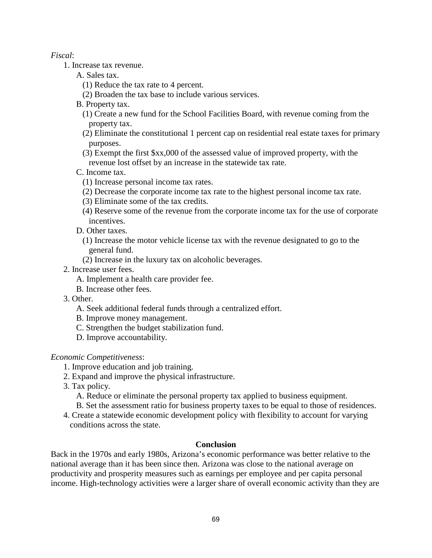#### *Fiscal*:

- 1. Increase tax revenue.
	- A. Sales tax.
		- (1) Reduce the tax rate to 4 percent.
		- (2) Broaden the tax base to include various services.
	- B. Property tax.
		- (1) Create a new fund for the School Facilities Board, with revenue coming from the property tax.
		- (2) Eliminate the constitutional 1 percent cap on residential real estate taxes for primary purposes.
		- (3) Exempt the first \$xx,000 of the assessed value of improved property, with the revenue lost offset by an increase in the statewide tax rate.
	- C. Income tax.
		- (1) Increase personal income tax rates.
		- (2) Decrease the corporate income tax rate to the highest personal income tax rate.
		- (3) Eliminate some of the tax credits.
		- (4) Reserve some of the revenue from the corporate income tax for the use of corporate incentives.
	- D. Other taxes.
		- (1) Increase the motor vehicle license tax with the revenue designated to go to the general fund.
		- (2) Increase in the luxury tax on alcoholic beverages.
- 2. Increase user fees.
	- A. Implement a health care provider fee.
	- B. Increase other fees.
- 3. Other.
	- A. Seek additional federal funds through a centralized effort.
	- B. Improve money management.
	- C. Strengthen the budget stabilization fund.
	- D. Improve accountability.

#### *Economic Competitiveness*:

- 1. Improve education and job training.
- 2. Expand and improve the physical infrastructure.
- 3. Tax policy.
	- A. Reduce or eliminate the personal property tax applied to business equipment.
	- B. Set the assessment ratio for business property taxes to be equal to those of residences.
- 4. Create a statewide economic development policy with flexibility to account for varying conditions across the state.

#### **Conclusion**

Back in the 1970s and early 1980s, Arizona's economic performance was better relative to the national average than it has been since then. Arizona was close to the national average on productivity and prosperity measures such as earnings per employee and per capita personal income. High-technology activities were a larger share of overall economic activity than they are